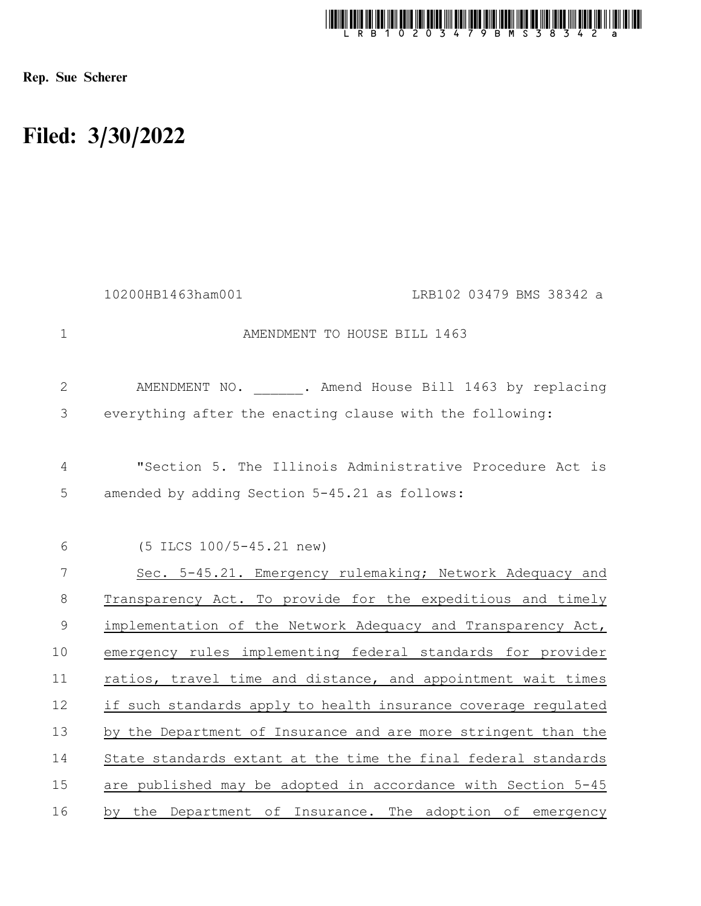

Rep. Sue Scherer

## Filed: 3/30/2022

|               | 10200HB1463ham001<br>LRB102 03479 BMS 38342 a                                                             |
|---------------|-----------------------------------------------------------------------------------------------------------|
| $\mathbf{1}$  | AMENDMENT TO HOUSE BILL 1463                                                                              |
| $\mathbf{2}$  | AMENDMENT NO. . Amend House Bill 1463 by replacing                                                        |
| 3             | everything after the enacting clause with the following:                                                  |
| 4<br>5        | "Section 5. The Illinois Administrative Procedure Act is<br>amended by adding Section 5-45.21 as follows: |
|               |                                                                                                           |
| 6             | (5 ILCS 100/5-45.21 new)                                                                                  |
| 7             | Sec. 5-45.21. Emergency rulemaking; Network Adequacy and                                                  |
| 8             | Transparency Act. To provide for the expeditious and timely                                               |
| $\mathcal{G}$ | implementation of the Network Adequacy and Transparency Act,                                              |
| 10            | emergency rules implementing federal standards for provider                                               |
| 11            | ratios, travel time and distance, and appointment wait times                                              |
| 12            | if such standards apply to health insurance coverage regulated                                            |
| 13            | by the Department of Insurance and are more stringent than the                                            |
| 14            | State standards extant at the time the final federal standards                                            |
| 15            | are published may be adopted in accordance with Section 5-45                                              |
| 16            | by the Department of Insurance. The adoption of emergency                                                 |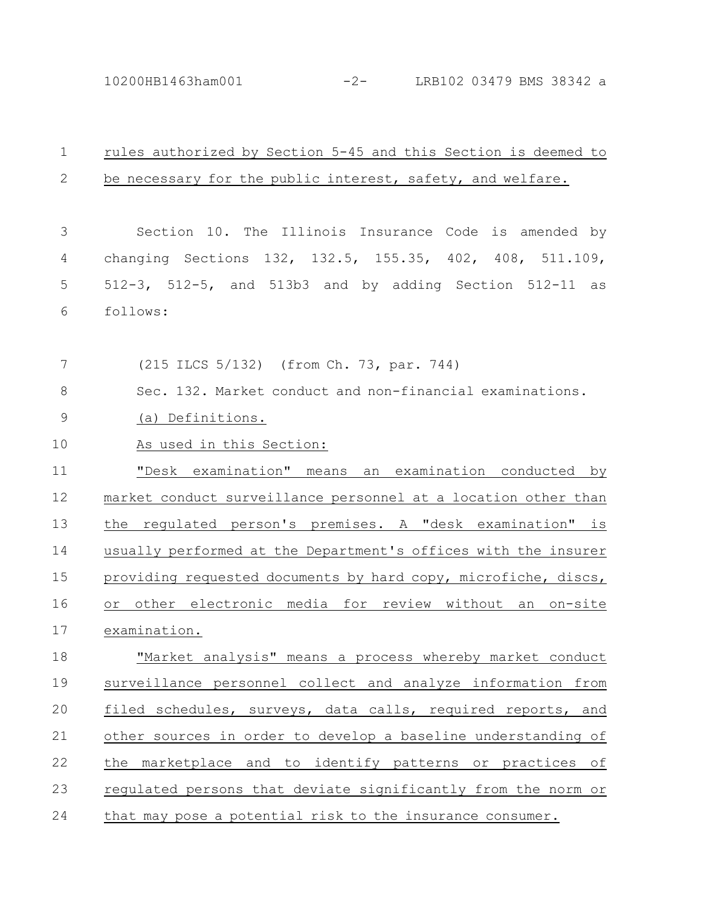10200HB1463ham001 -2- LRB102 03479 BMS 38342 a

| $\mathbf 1$ | rules authorized by Section 5-45 and this Section is deemed to |
|-------------|----------------------------------------------------------------|
| 2           | be necessary for the public interest, safety, and welfare.     |
|             |                                                                |
| 3           | Section 10. The Illinois Insurance Code is amended by          |
| 4           | changing Sections 132, 132.5, 155.35, 402, 408, 511.109,       |
| 5           | 512-3, 512-5, and 513b3 and by adding Section 512-11 as        |
| 6           | follows:                                                       |
|             |                                                                |
| 7           | (215 ILCS 5/132) (from Ch. 73, par. 744)                       |
| $8\,$       | Sec. 132. Market conduct and non-financial examinations.       |
| $\mathsf 9$ | (a) Definitions.                                               |
| 10          | As used in this Section:                                       |
| 11          | "Desk examination" means an examination conducted by           |
| 12          | market conduct surveillance personnel at a location other than |
| 13          | the regulated person's premises. A "desk examination" is       |
| 14          | usually performed at the Department's offices with the insurer |
| 15          | providing requested documents by hard copy, microfiche, discs, |
| 16          | or other electronic media for review without an on-site        |
| 17          | examination.                                                   |
| 18          | "Market analysis" means a process whereby market conduct       |
| 19          | surveillance personnel collect and analyze information from    |
| 20          | filed schedules, surveys, data calls, required reports, and    |
| 21          | other sources in order to develop a baseline understanding of  |
| 22          | the marketplace and to identify patterns or practices of       |
| 23          | regulated persons that deviate significantly from the norm or  |
| 24          | that may pose a potential risk to the insurance consumer.      |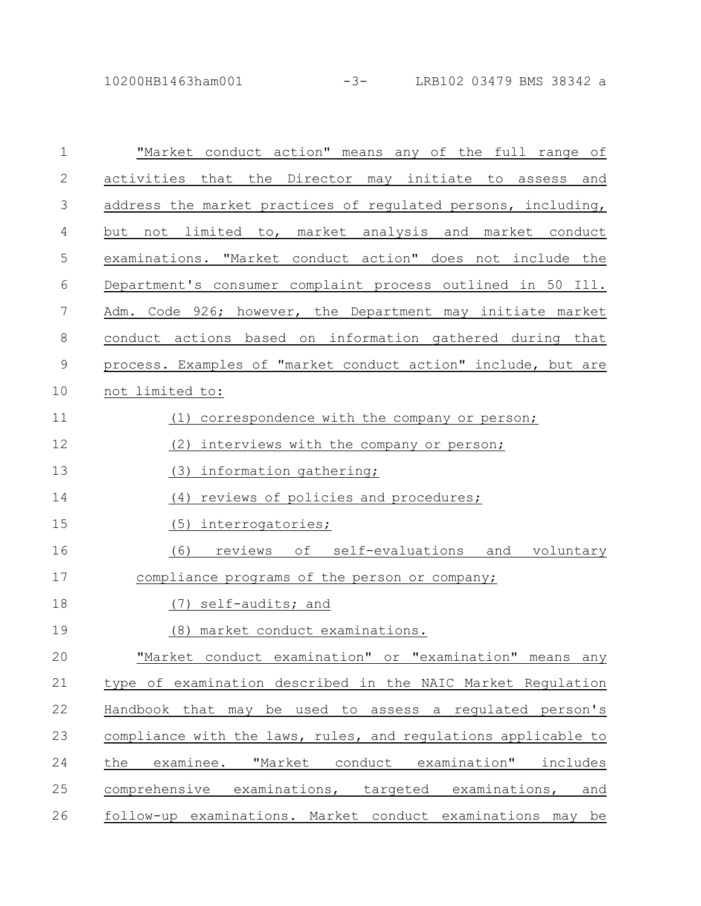10200HB1463ham001 -3- LRB102 03479 BMS 38342 a

| $\mathbf{1}$                         | "Market conduct action" means any of the full range of         |
|--------------------------------------|----------------------------------------------------------------|
| $\mathfrak{2}% _{G}(\mathbb{Z}_{+})$ | activities that the Director may initiate to assess and        |
| $\mathcal{S}$                        | address the market practices of regulated persons, including,  |
| 4                                    | not limited to, market analysis and market conduct<br>but      |
| 5                                    | examinations. "Market conduct action" does not include the     |
| 6                                    | Department's consumer complaint process outlined in 50 Ill.    |
| 7                                    | Adm. Code 926; however, the Department may initiate market     |
| 8                                    | conduct actions based on information gathered during that      |
| $\mathsf 9$                          | process. Examples of "market conduct action" include, but are  |
| 10                                   | not limited to:                                                |
| 11                                   | (1) correspondence with the company or person;                 |
| 12                                   | (2)<br>interviews with the company or person;                  |
| 13                                   | (3)<br>information gathering;                                  |
| 14                                   | reviews of policies and procedures;<br>(4)                     |
| 15                                   | (5) interrogatories;                                           |
| 16                                   | (6) reviews of self-evaluations and voluntary                  |
| 17                                   | compliance programs of the person or company;                  |
| 18                                   | self-audits; and<br>(7)                                        |
| 19                                   | (8)<br>market conduct examinations.                            |
| 20                                   | "Market conduct examination" or "examination" means any        |
| 21                                   | type of examination described in the NAIC Market Regulation    |
| 22                                   | Handbook that may be used to assess a regulated person's       |
| 23                                   | compliance with the laws, rules, and regulations applicable to |
| 24                                   | examinee. "Market conduct examination" includes<br>the         |
| 25                                   | comprehensive examinations, targeted examinations,<br>and      |
| 26                                   | follow-up examinations. Market conduct examinations may be     |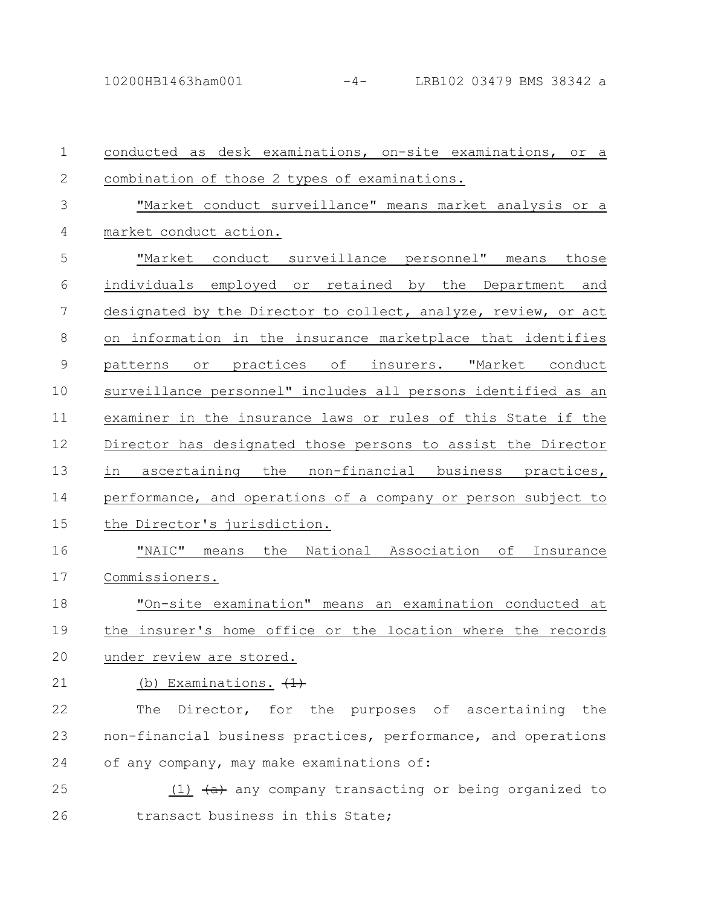| $\mathbf 1$  | conducted as desk examinations, on-site examinations, or a                   |
|--------------|------------------------------------------------------------------------------|
| $\mathbf{2}$ | combination of those 2 types of examinations.                                |
| 3            | "Market conduct surveillance" means market analysis or a                     |
| 4            | market conduct action.                                                       |
| 5            | "Market conduct surveillance personnel" means those                          |
| 6            | individuals employed or retained by the Department and                       |
| 7            | designated by the Director to collect, analyze, review, or act               |
| 8            | on information in the insurance marketplace that identifies                  |
| $\mathsf 9$  | patterns or practices of insurers. "Market conduct                           |
| 10           | surveillance personnel" includes all persons identified as an                |
| 11           | examiner in the insurance laws or rules of this State if the                 |
| 12           | Director has designated those persons to assist the Director                 |
| 13           | ascertaining the non-financial business practices,<br>in                     |
| 14           | performance, and operations of a company or person subject to                |
| 15           | the Director's jurisdiction.                                                 |
| 16           | "NAIC" means the National Association of Insurance                           |
| 17           | Commissioners.                                                               |
| 18           | "On-site examination" means an examination conducted at                      |
| 19           | the insurer's home office or the location where the records                  |
| 20           | under review are stored.                                                     |
| 21           | (b) Examinations. $(1)$                                                      |
| 22           | Director, for the purposes of ascertaining the<br>The                        |
| 23           | non-financial business practices, performance, and operations                |
| 24           | of any company, may make examinations of:                                    |
| 25           | (1) $\left(\frac{a}{b}\right)$ any company transacting or being organized to |
| 26           | transact business in this State;                                             |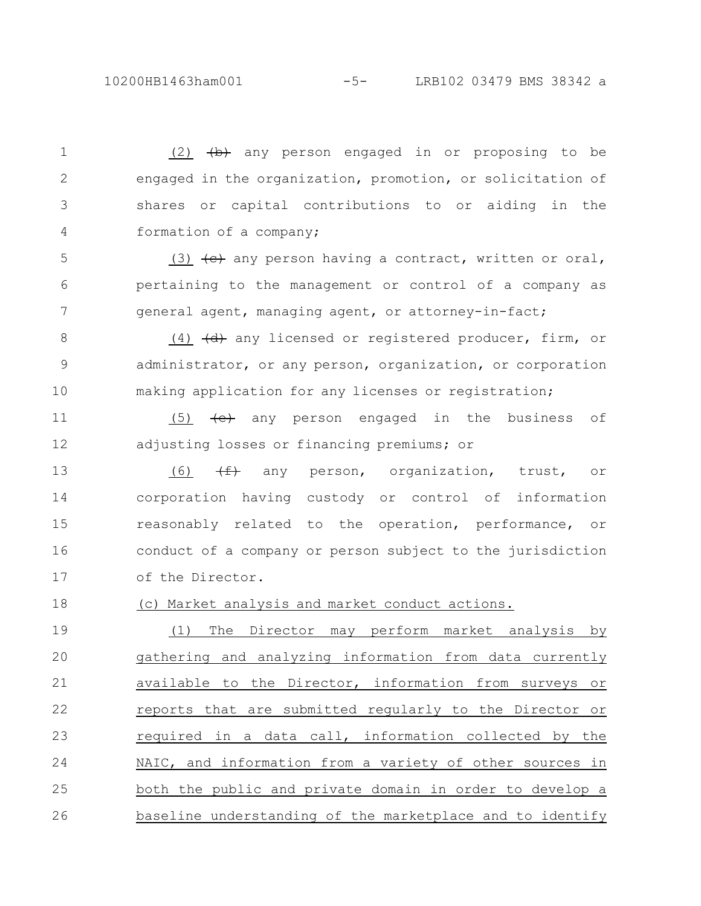$(2)$   $\leftrightarrow$  any person engaged in or proposing to be engaged in the organization, promotion, or solicitation of shares or capital contributions to or aiding in the formation of a company;

(3)  $\left\{\leftrightarrow\right\}$  any person having a contract, written or oral, pertaining to the management or control of a company as general agent, managing agent, or attorney-in-fact; 5 6 7

(4)  $\left(\frac{d}{dt}\right)$  any licensed or registered producer, firm, or administrator, or any person, organization, or corporation making application for any licenses or registration; 8 9 10

(5) (e) any person engaged in the business of adjusting losses or financing premiums; or 11 12

 $(6)$   $(f)$  any person, organization, trust, or corporation having custody or control of information reasonably related to the operation, performance, or conduct of a company or person subject to the jurisdiction of the Director. 13 14 15 16 17

(c) Market analysis and market conduct actions. 18

(1) The Director may perform market analysis by gathering and analyzing information from data currently available to the Director, information from surveys or reports that are submitted regularly to the Director or required in a data call, information collected by the NAIC, and information from a variety of other sources in both the public and private domain in order to develop a baseline understanding of the marketplace and to identify 19 20 21 22 23 24 25 26

1

2

3

4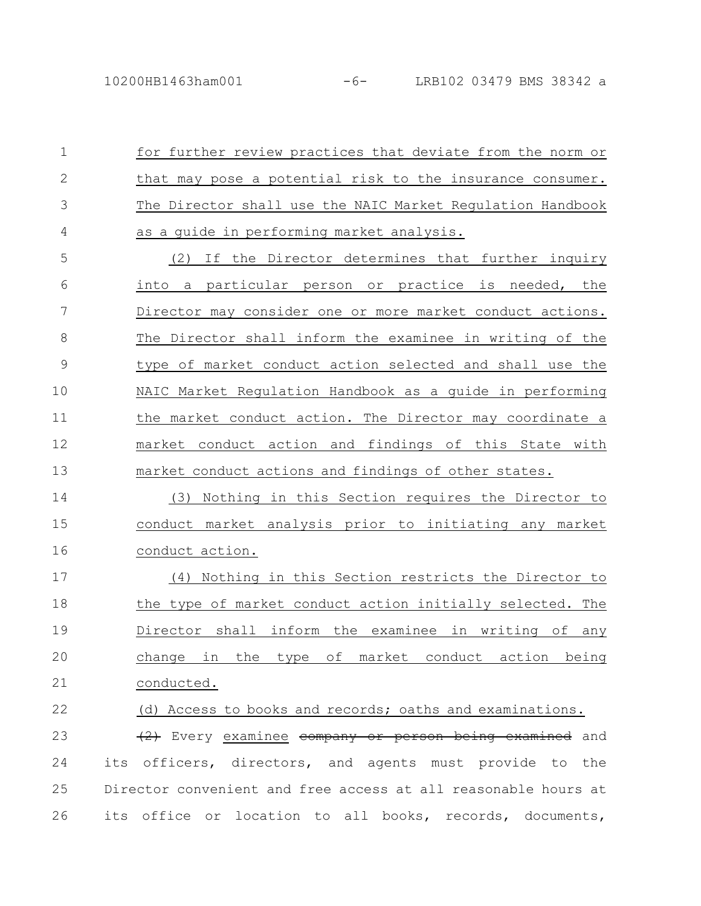for further review practices that deviate from the norm or that may pose a potential risk to the insurance consumer. The Director shall use the NAIC Market Regulation Handbook as a guide in performing market analysis. 1 2 3 4

(2) If the Director determines that further inquiry into a particular person or practice is needed, the Director may consider one or more market conduct actions. The Director shall inform the examinee in writing of the type of market conduct action selected and shall use the NAIC Market Regulation Handbook as a guide in performing the market conduct action. The Director may coordinate a market conduct action and findings of this State with market conduct actions and findings of other states. 5 6 7 8 9 10 11 12 13

(3) Nothing in this Section requires the Director to conduct market analysis prior to initiating any market conduct action. 14 15 16

(4) Nothing in this Section restricts the Director to the type of market conduct action initially selected. The Director shall inform the examinee in writing of any change in the type of market conduct action being conducted. 17 18 19 20 21

(d) Access to books and records; oaths and examinations. 22

(2) Every examinee company or person being examined and its officers, directors, and agents must provide to the Director convenient and free access at all reasonable hours at its office or location to all books, records, documents, 23 24 25 26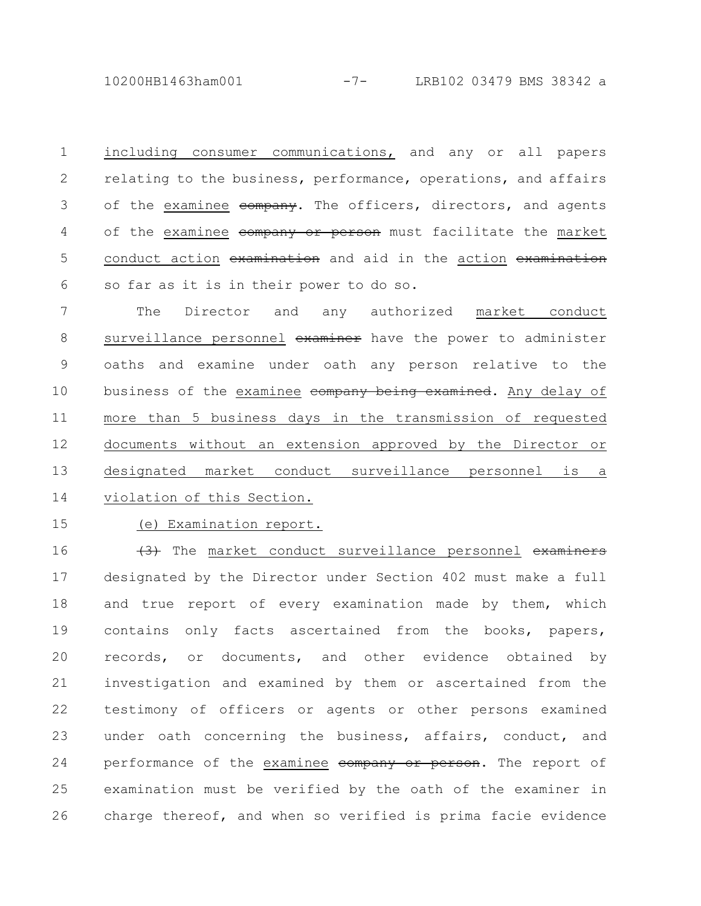10200HB1463ham001 -7- LRB102 03479 BMS 38342 a

including consumer communications, and any or all papers relating to the business, performance, operations, and affairs of the examinee company. The officers, directors, and agents of the examinee company or person must facilitate the market conduct action examination and aid in the action examination so far as it is in their power to do so. 1 2 3 4 5 6

The Director and any authorized market conduct surveillance personnel examiner have the power to administer oaths and examine under oath any person relative to the business of the examinee company being examined. Any delay of more than 5 business days in the transmission of requested documents without an extension approved by the Director or designated market conduct surveillance personnel is a violation of this Section. 7 8 9 10 11 12 13 14

15

(e) Examination report.

(3) The market conduct surveillance personnel examiners designated by the Director under Section 402 must make a full and true report of every examination made by them, which contains only facts ascertained from the books, papers, records, or documents, and other evidence obtained by investigation and examined by them or ascertained from the testimony of officers or agents or other persons examined under oath concerning the business, affairs, conduct, and performance of the examinee company or person. The report of examination must be verified by the oath of the examiner in charge thereof, and when so verified is prima facie evidence 16 17 18 19 20 21 22 23 24 25 26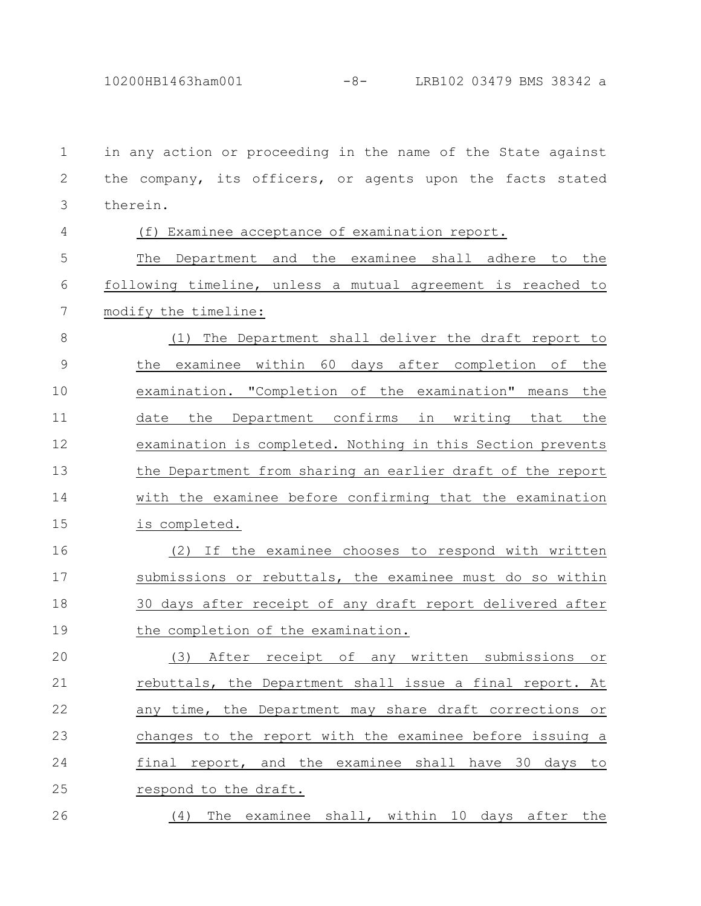10200HB1463ham001 -8- LRB102 03479 BMS 38342 a

in any action or proceeding in the name of the State against the company, its officers, or agents upon the facts stated therein. 1 2 3

4

## (f) Examinee acceptance of examination report.

The Department and the examinee shall adhere to the following timeline, unless a mutual agreement is reached to modify the timeline: 5 6 7

(1) The Department shall deliver the draft report to the examinee within 60 days after completion of the examination. "Completion of the examination" means the date the Department confirms in writing that the examination is completed. Nothing in this Section prevents the Department from sharing an earlier draft of the report with the examinee before confirming that the examination is completed. 8 9 10 11 12 13 14 15

(2) If the examinee chooses to respond with written submissions or rebuttals, the examinee must do so within 30 days after receipt of any draft report delivered after the completion of the examination. 16 17 18 19

(3) After receipt of any written submissions or rebuttals, the Department shall issue a final report. At any time, the Department may share draft corrections or changes to the report with the examinee before issuing a final report, and the examinee shall have 30 days to respond to the draft. 20 21 22 23 24 25

(4) The examinee shall, within 10 days after the 26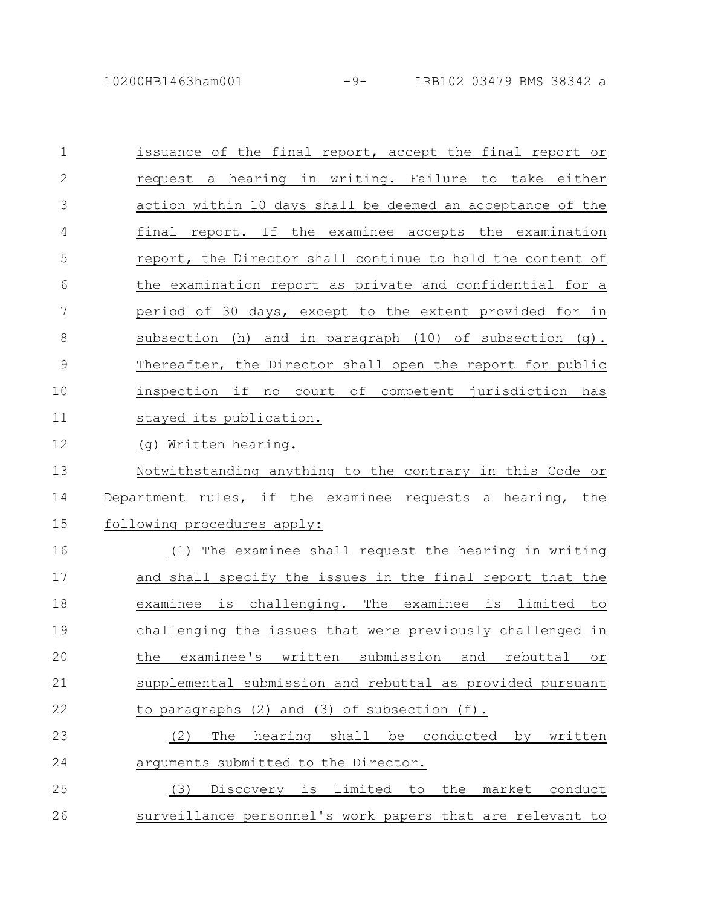10200HB1463ham001 -9- LRB102 03479 BMS 38342 a

| $\mathbf 1$    | issuance of the final report, accept the final report or                      |
|----------------|-------------------------------------------------------------------------------|
| $\mathbf{2}$   | request a hearing in writing. Failure to take either                          |
| 3              | action within 10 days shall be deemed an acceptance of the                    |
| $\overline{4}$ | final report. If the examinee accepts the examination                         |
| 5              | report, the Director shall continue to hold the content of                    |
| 6              | the examination report as private and confidential for a                      |
| 7              | period of 30 days, except to the extent provided for in                       |
| 8              | subsection (h) and in paragraph $(10)$ of subsection $(q)$ .                  |
| $\mathcal{G}$  | Thereafter, the Director shall open the report for public                     |
| 10             | inspection if no court of competent jurisdiction has                          |
| 11             | stayed its publication.                                                       |
| 12             | (g) Written hearing.                                                          |
| 13             | Notwithstanding anything to the contrary in this Code or                      |
| 14             | Department rules, if the examinee requests a hearing, the                     |
| 15             | following procedures apply:                                                   |
| 16             | The examinee shall request the hearing in writing<br>(1)                      |
| 17             | and shall specify the issues in the final report that the                     |
| 18             | examinee is challenging. The examinee is limited to                           |
| 19             | challenging the issues that were previously challenged in                     |
| 20             | the<br>examinee's<br>written<br>submission<br>and<br>rebuttal<br>$\circ$ $\,$ |
| 21             | supplemental submission and rebuttal as provided pursuant                     |
| 22             | to paragraphs (2) and (3) of subsection (f).                                  |
| 23             | hearing shall be conducted<br>The<br>by written<br>(2)                        |
| 24             | arguments submitted to the Director.                                          |
| 25             | Discovery is limited to the market conduct<br>(3)                             |
|                |                                                                               |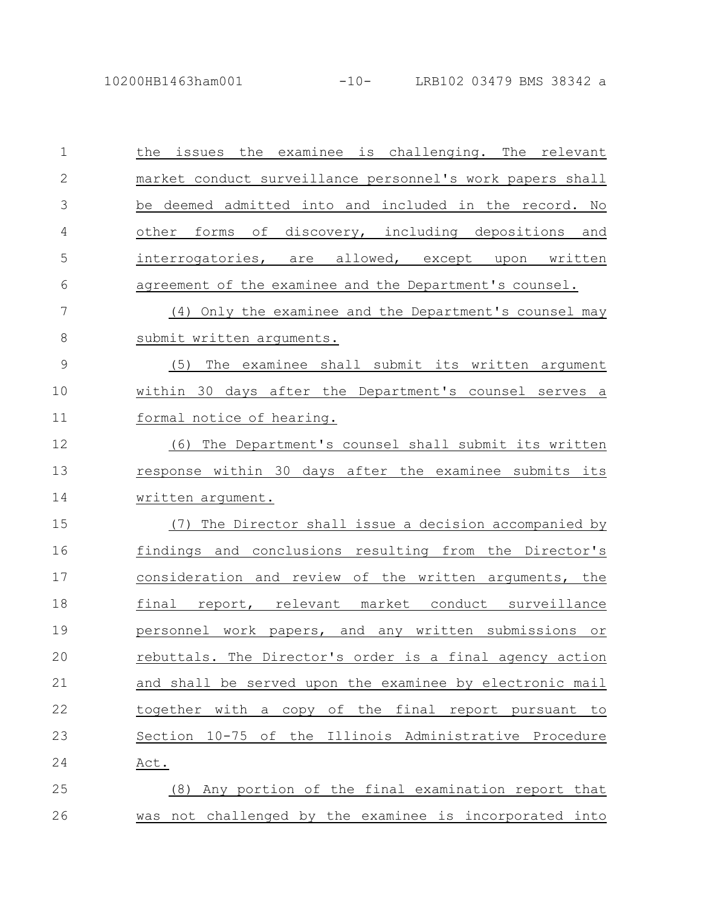| $\mathbf{1}$    | the issues the examinee is challenging. The relevant      |
|-----------------|-----------------------------------------------------------|
| $\mathbf{2}$    | market conduct_surveillance personnel's work papers shall |
| 3               | be deemed admitted into and included in the record. No    |
| 4               | other forms of discovery, including depositions and       |
| 5               | interrogatories, are allowed, except upon written         |
| 6               | agreement of the examinee and the Department's counsel.   |
| $7\phantom{.0}$ | (4) Only the examinee and the Department's counsel may    |
| $8\,$           | submit written arguments.                                 |
| $\mathsf 9$     | (5)<br>The examinee shall submit its written argument     |
| 10              | within 30 days after the Department's counsel serves a    |
| 11              | formal notice of hearing.                                 |
| 12              | (6) The Department's counsel shall submit its written     |
| 13              | response within 30 days after the examinee submits its    |
| 14              | written argument.                                         |
| 15              | (7) The Director shall issue a decision accompanied by    |
| 16              | findings and conclusions resulting from the Director's    |
| 17              | consideration and review of the written arguments, the    |
| 18              | final report, relevant market conduct surveillance        |
| 19              | personnel work papers, and any written submissions or     |
| 20              | rebuttals. The Director's order is a final agency action  |
| 21              | and shall be served upon the examinee by electronic mail  |
| 22              | together with a copy of the final report pursuant to      |
| 23              | Section 10-75 of the Illinois Administrative Procedure    |
| 24              | Act.                                                      |
| 25              | (8) Any portion of the final examination report that      |
| 26              | was not challenged by the examinee is incorporated into   |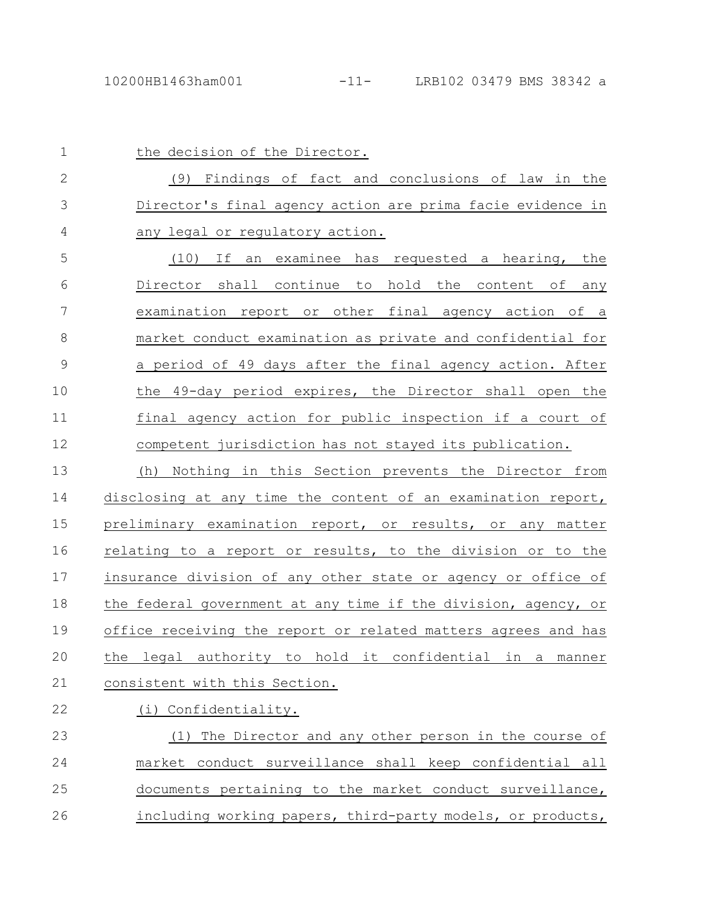| $\mathbf 1$   | the decision of the Director.                                                             |
|---------------|-------------------------------------------------------------------------------------------|
| 2             | (9) Findings of fact and conclusions of law in the                                        |
| 3             | Director's final agency action are prima facie evidence in                                |
| 4             | any legal or regulatory action.                                                           |
| 5             | an examinee has requested a hearing, the<br>If<br>(10)                                    |
| 6             | Director shall continue to hold the content of any                                        |
| 7             | examination report or other final agency action of a                                      |
| 8             | market conduct examination as private and confidential for                                |
| $\mathcal{G}$ | a period of 49 days after the final agency action. After                                  |
| 10            | the 49-day period expires, the Director shall open the                                    |
| 11            | final agency action for public inspection if a court of                                   |
| 12            | competent jurisdiction has not stayed its publication.                                    |
| 13            | Nothing in this Section prevents the Director from<br>(h)                                 |
| 14            | disclosing at any time the content of an examination report,                              |
| 15            | preliminary examination report, or results, or any matter                                 |
| 16            | relating to a report or results, to the division or to the                                |
| 17            | insurance division of any other state or agency or office of                              |
| 18            | the federal government at any time if the division, agency, or                            |
| 19            | office receiving the report or related matters agrees and has                             |
| 20            | legal<br>authority to<br>hold<br>it<br>confidential<br>in<br>the<br>$\mathsf a$<br>manner |
| 21            | consistent with this Section.                                                             |
| 22            | (i) Confidentiality.                                                                      |
| 23            | The Director and any other person in the course of<br>(1)                                 |
| 24            | market conduct surveillance shall keep confidential all                                   |
| 25            | documents pertaining to the market conduct surveillance,                                  |

including working papers, third-party models, or products, 26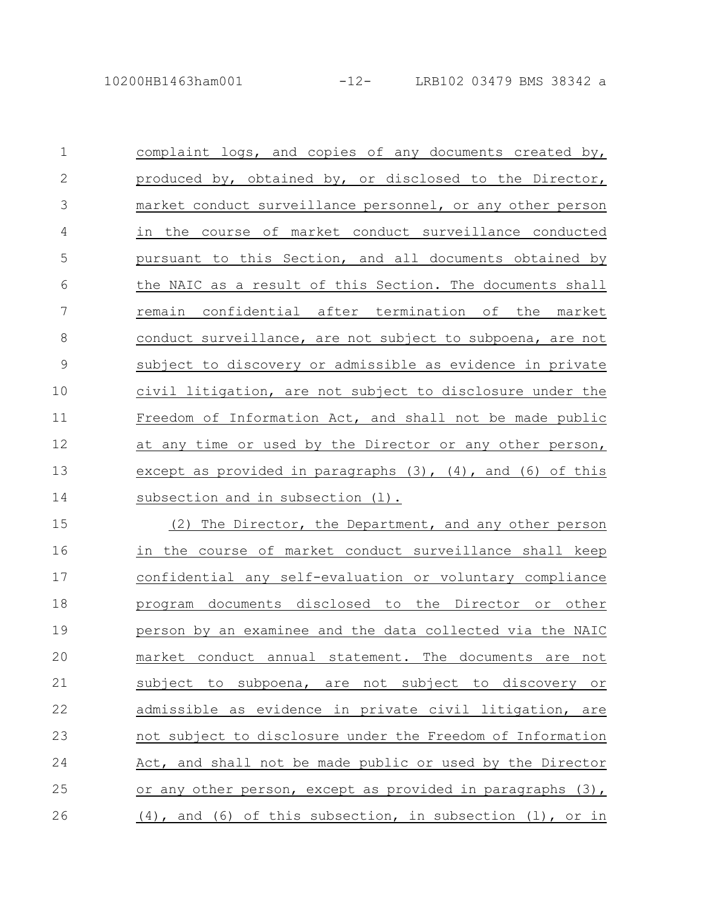23

24

25

26

| $\mathbf 1$    | complaint logs, and copies of any documents created by,            |
|----------------|--------------------------------------------------------------------|
| 2              | produced by, obtained by, or disclosed to the Director,            |
| 3              | market conduct surveillance personnel, or any other person         |
| $\overline{4}$ | in the course of market conduct surveillance conducted             |
| 5              | pursuant to this Section, and all documents obtained by            |
| 6              | the NAIC as a result of this Section. The documents shall          |
| 7              | remain confidential after termination of the market                |
| 8              | conduct surveillance, are not subject to subpoena, are not         |
| $\mathcal{G}$  | subject to discovery or admissible as evidence in private          |
| 10             | civil litigation, are not subject to disclosure under the          |
| 11             | Freedom of Information Act, and shall not be made public           |
| 12             | at any time or used by the Director or any other person,           |
| 13             | except as provided in paragraphs $(3)$ , $(4)$ , and $(6)$ of this |
| 14             | subsection and in subsection (1).                                  |
| 15             | The Director, the Department, and any other person<br>(2)          |
| 16             | in the course of market conduct surveillance shall keep            |
| 17             | confidential any self-evaluation or voluntary compliance           |
| 18             | program documents disclosed to the Director or other               |
| 19             | person by an examinee and the data collected via the NAIC          |
| 20             | market conduct annual statement. The documents are not             |
| 21             | subject to subpoena, are not subject to discovery or               |
| 22             | admissible as evidence in private civil litigation,<br>are         |

admissible as evidence in private civil litigation, are not subject to disclosure under the Freedom of Information Act, and shall not be made public or used by the Director or any other person, except as provided in paragraphs (3), (4), and (6) of this subsection, in subsection (l), or in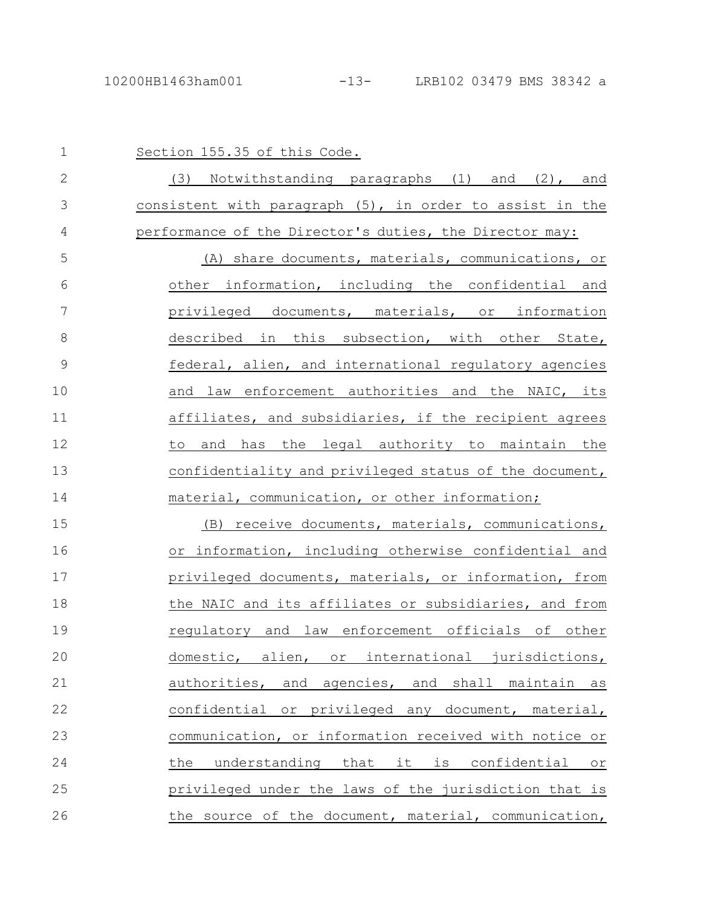| $\mathbf{1}$  | Section 155.35 of this Code.                             |
|---------------|----------------------------------------------------------|
| $\mathbf{2}$  | (3) Notwithstanding paragraphs (1) and (2), and          |
| 3             | consistent with paragraph (5), in order to assist in the |
| 4             | performance of the Director's duties, the Director may:  |
| 5             | (A) share documents, materials, communications, or       |
| 6             | other information, including the confidential and        |
| 7             | privileged documents, materials, or information          |
| 8             | described in this subsection, with other State,          |
| $\mathcal{G}$ | federal, alien, and international regulatory agencies    |
| 10            | and law enforcement authorities and the NAIC, its        |
| 11            | affiliates, and subsidiaries, if the recipient agrees    |
| 12            | the legal authority to maintain the<br>and has<br>to     |
| 13            | confidentiality and privileged status of the document,   |
| 14            | material, communication, or other information;           |
| 15            | (B) receive documents, materials, communications,        |
| 16            | or information, including otherwise confidential and     |
| 17            | privileged documents, materials, or information, from    |
| 18            | the NAIC and its affiliates or subsidiaries, and from    |
| 19            | requlatory and law enforcement officials of other        |
| 20            | domestic, alien, or international jurisdictions,         |
| 21            | authorities, and agencies, and shall maintain as         |
| 22            | confidential or privileged any document, material,       |
|               | communication, or information received with notice or    |
| 23            |                                                          |
| 24            | understanding that it is confidential or<br>the          |
| 25            | privileged under the laws of the jurisdiction that is    |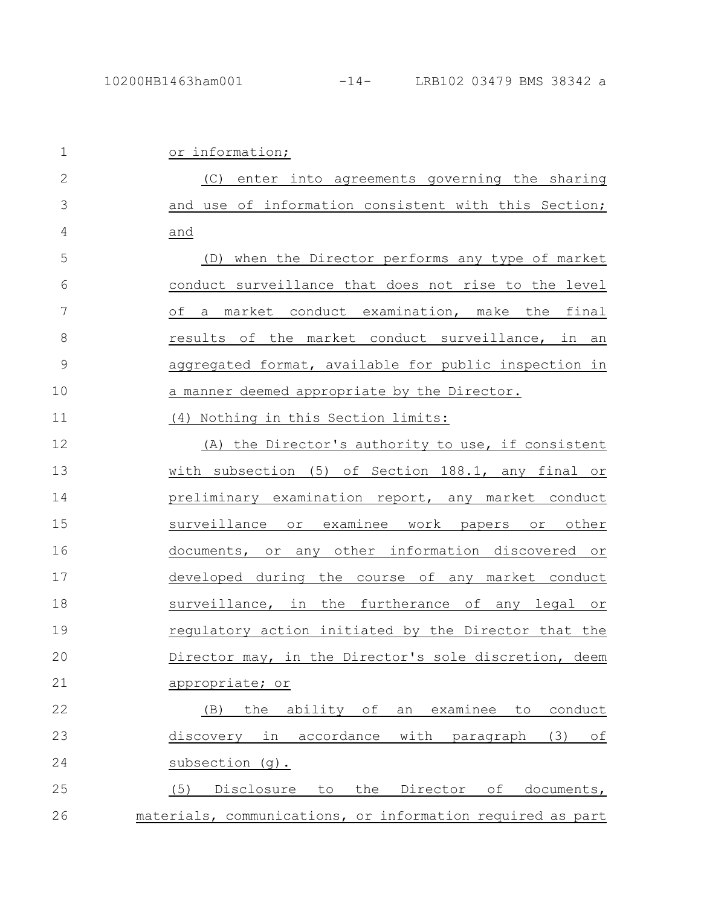| $\mathbf 1$  | or information;                                              |
|--------------|--------------------------------------------------------------|
| $\mathbf{2}$ | (C) enter into agreements governing the sharing              |
| 3            | and use of information consistent with this Section;         |
| 4            | and                                                          |
| 5            | (D) when the Director performs any type of market            |
| 6            | conduct surveillance that does not rise to the level         |
| 7            | of a market conduct examination, make the final              |
| 8            | results of the market conduct surveillance, in an            |
| $\mathsf 9$  | aggregated format, available for public inspection in        |
| 10           | a manner deemed appropriate by the Director.                 |
| 11           | (4) Nothing in this Section limits:                          |
| 12           | (A) the Director's authority to use, if consistent           |
| 13           | with subsection (5) of Section 188.1, any final or           |
| 14           | preliminary examination report, any market conduct           |
| 15           | surveillance or examinee work papers or other                |
| 16           | documents, or any other information discovered or            |
| 17           | developed during the course of any market conduct            |
| 18           | surveillance, in the furtherance of any legal or             |
| 19           | regulatory action initiated by the Director that the         |
| 20           | Director may, in the Director's sole discretion, deem        |
| 21           | appropriate; or                                              |
| 22           | ability of<br>the<br>examinee<br>conduct<br>(B)<br>an<br>to  |
| 23           | discovery in<br>accordance<br>with<br>(3)<br>оf<br>paragraph |
| 24           | subsection (g).                                              |
| 25           | the Director<br>Disclosure<br>to<br>of<br>documents,<br>(5)  |
| 26           | materials, communications, or information required as part   |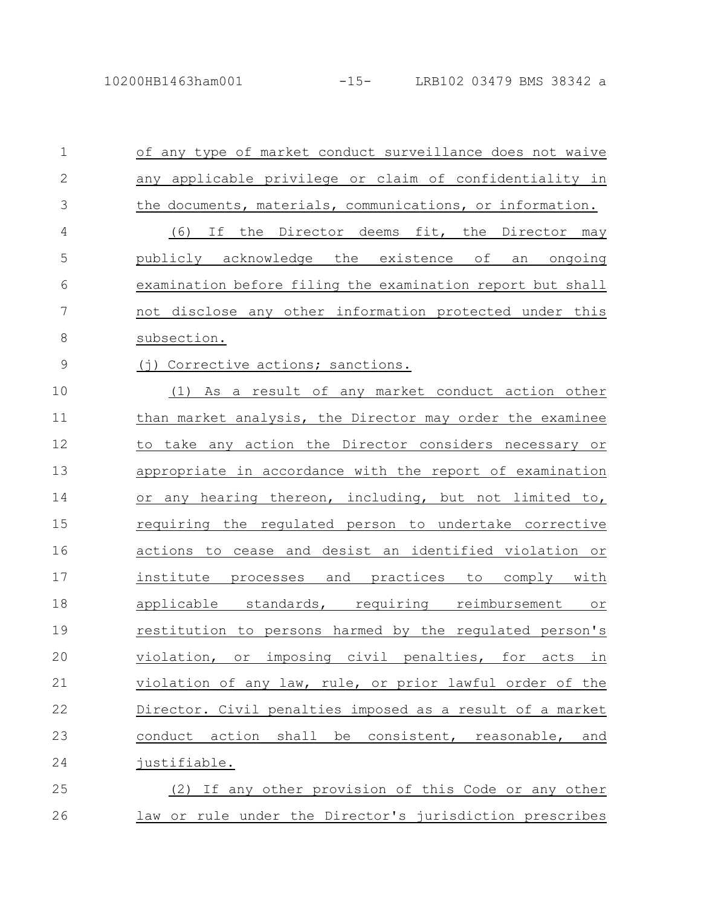| $\mathbf 1$  | of any type of market conduct surveillance does not waive  |
|--------------|------------------------------------------------------------|
| $\mathbf{2}$ | any applicable privilege or claim of confidentiality in    |
| 3            | the documents, materials, communications, or information.  |
| 4            | If the Director deems fit, the Director may<br>(6)         |
| 5            | publicly acknowledge the existence of<br>ongoing<br>an     |
| 6            | examination before filing the examination report but shall |
| 7            | not disclose any other information protected under this    |
| 8            | subsection.                                                |
| 9            | (j) Corrective actions; sanctions.                         |
| 10           | (1) As a result of any market conduct action other         |
| 11           | than market analysis, the Director may order the examinee  |
| 12           | to take any action the Director considers necessary or     |
| 13           | appropriate in accordance with the report of examination   |
| 14           | or any hearing thereon, including, but not limited to,     |
| 15           | requiring the regulated person to undertake corrective     |
| 16           | actions to cease and desist an identified violation or     |
| 17           | institute processes and practices<br>to comply with        |
| 18           | applicable standards, requiring reimbursement<br>or        |
| 19           | restitution to persons harmed by the regulated person's    |
| 20           | violation, or imposing civil penalties, for acts in        |
| 21           | violation of any law, rule, or prior lawful order of the   |
| 22           | Director. Civil penalties imposed as a result of a market  |
| 23           | conduct action shall be consistent, reasonable, and        |
| 24           | justifiable.                                               |
| 25           | (2) If any other provision of this Code or any other       |
| 26           | law or rule under the Director's jurisdiction prescribes   |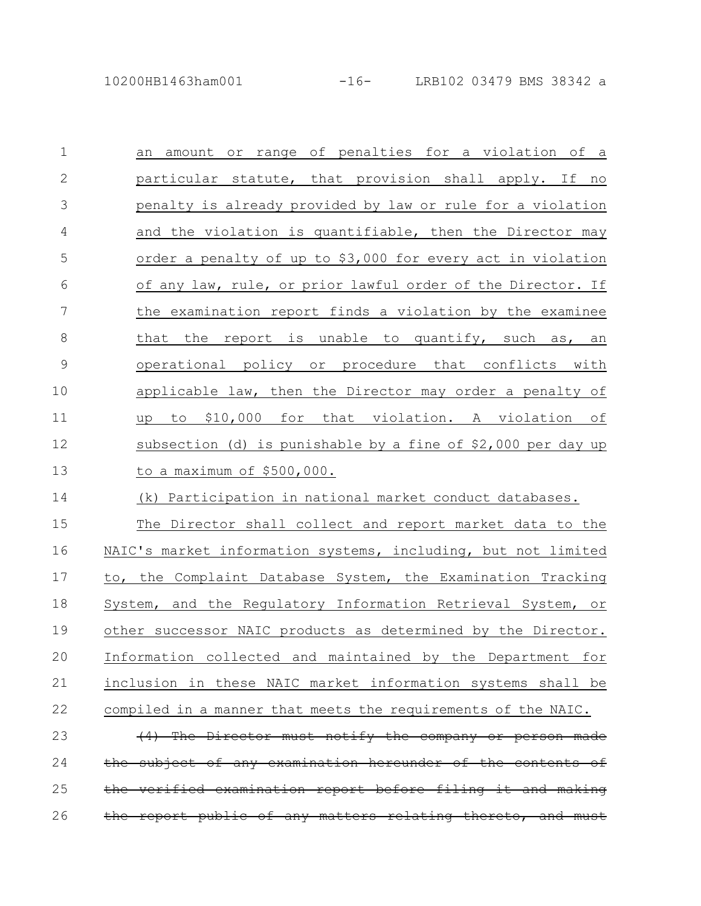| $\mathbf 1$     | amount or range of penalties for a violation of a<br>an       |
|-----------------|---------------------------------------------------------------|
| $\mathbf{2}$    | particular statute, that provision shall apply. If no         |
| 3               | penalty is already provided by law or rule for a violation    |
| 4               | and the violation is quantifiable, then the Director may      |
| 5               | order a penalty of up to \$3,000 for every act in violation   |
| 6               | of any law, rule, or prior lawful order of the Director. If   |
| $7\phantom{.0}$ | the examination report finds a violation by the examinee      |
| $8\,$           | that the report is unable to quantify, such as, an            |
| $\mathsf 9$     | operational policy or procedure that conflicts with           |
| 10              | applicable law, then the Director may order a penalty of      |
| 11              | to \$10,000 for that violation. A violation of<br>up          |
| 12              | subsection (d) is punishable by a fine of $$2,000$ per day up |
| 13              | to a maximum of \$500,000.                                    |
| 14              | (k) Participation in national market conduct databases.       |
| 15              | The Director shall collect and report market data to the      |
| 16              | NAIC's market information systems, including, but not limited |
| 17              | to, the Complaint Database System, the Examination Tracking   |
| 18              | System, and the Regulatory Information Retrieval System, or   |
| 19              | other successor NAIC products as determined by the Director.  |
| 20              | Information collected and maintained by the Department for    |
| 21              | inclusion in these NAIC market information systems shall be   |
| 22              | compiled in a manner that meets the requirements of the NAIC. |
| 23              | (4) The Director must notify the company or person made       |
| 24              | the subject of any examination hereunder of the contents of   |
|                 |                                                               |

26 the report public of any matters relating thereto, and must

25 the verified examination report before filing it and making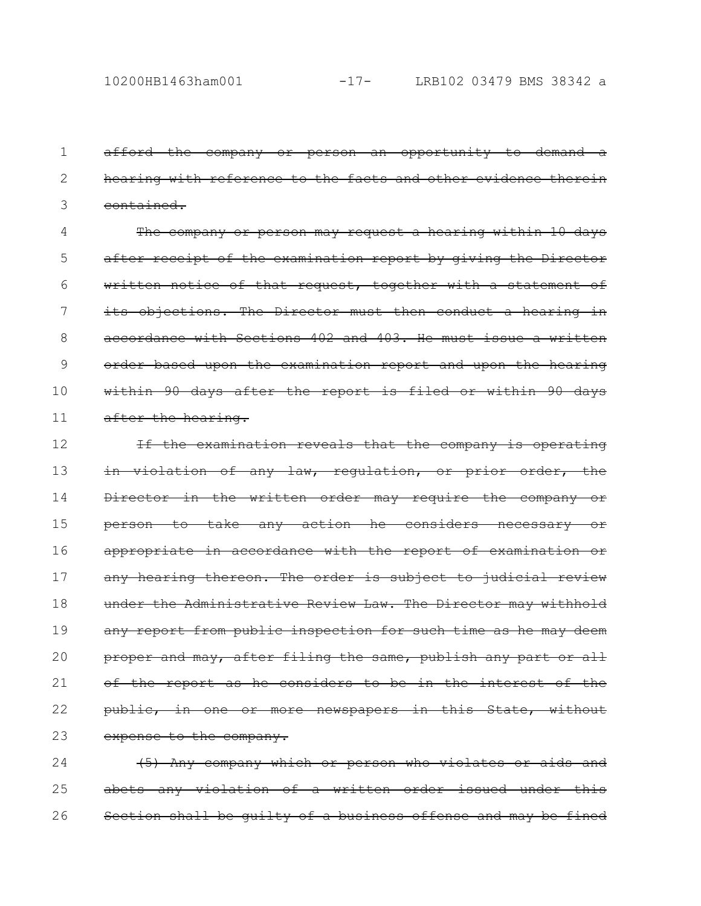afford the company or person an opportunity to demand hearing with reference to the facts and other evidence therein contained. 1 2 3

The company or person may request a hearing within 10 days after receipt of the examination report by giving the Director written notice of that request, together with a statement of its objections. The Director must then conduct a hearing in accordance with Sections 402 and 403. He must issue a written order based upon the examination report and upon the hearing within 90 days after the report is filed or within 90 days after the hearing. 4 5 6 7 8 9 10 11

If the examination reveals that the company is operating in violation of any law, regulation, or prior order, the Director in the written order may require the company person to take any action he considers necessary appropriate in accordance with the report of examination or any hearing thereon. The order is subject to judicial review under the Administrative Review Law. The Director may withhold any report from public inspection for such time as he may deem proper and may, after filing the same, publish any part or all of the report as he considers to be in the interest of the public, in one or more newspapers in this State, without expense to the company. 12 13 14 15 16 17 18 19 20 21 22 23

(5) Any company which or person who violates or aids and abets any violation of a written order issued under Section shall be guilty of a business offense and may be fined 24 25 26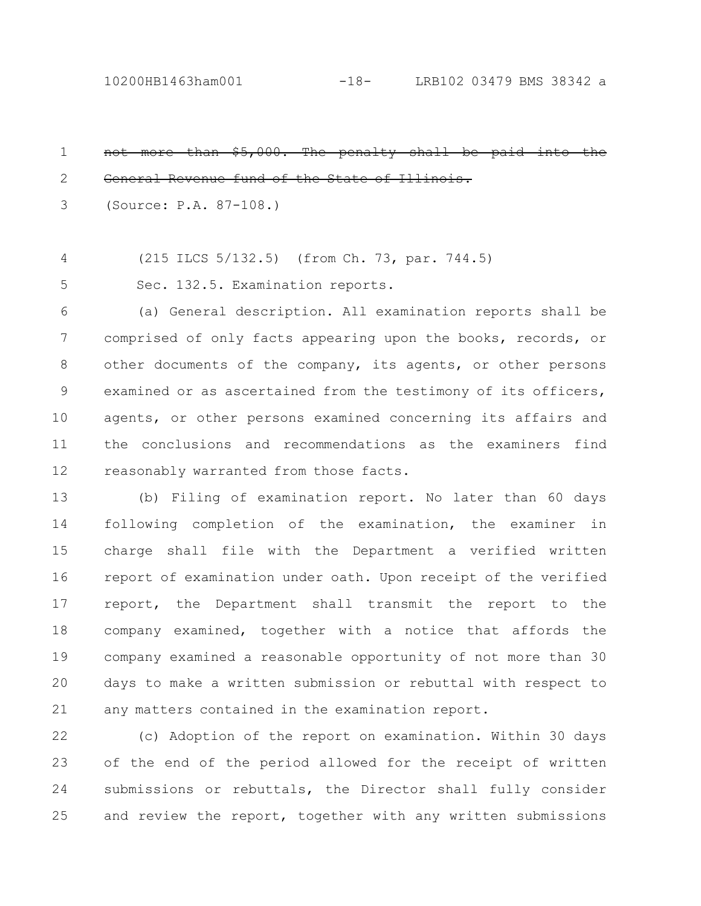10200HB1463ham001 -18- LRB102 03479 BMS 38342 a

| $\mathbf 1$ | not more than \$5,000. The penalty shall be paid into the      |
|-------------|----------------------------------------------------------------|
| 2           | General Revenue fund of the State of Illinois.                 |
| 3           | (Source: P.A. 87-108.)                                         |
| 4           | (215 ILCS 5/132.5) (from Ch. 73, par. 744.5)                   |
| 5           | Sec. 132.5. Examination reports.                               |
| 6           | (a) General description. All examination reports shall be      |
| 7           | comprised of only facts appearing upon the books, records, or  |
| $8\,$       | other documents of the company, its agents, or other persons   |
| 9           | examined or as ascertained from the testimony of its officers, |
| 10          | agents, or other persons examined concerning its affairs and   |
| 11          | the conclusions and recommendations as the examiners find      |
| 12          | reasonably warranted from those facts.                         |
| 13          | (b) Filing of examination report. No later than 60 days        |
| 14          | following completion of the examination, the examiner in       |
| 15          | charge shall file with the Department a verified written       |
| 16          | report of examination under oath. Upon receipt of the verified |
| 17          | report, the Department shall transmit the report to the        |
| 18          | company examined, together with a notice that affords the      |
| 19          | company examined a reasonable opportunity of not more than 30  |
| 20          | days to make a written submission or rebuttal with respect to  |

any matters contained in the examination report. 21

(c) Adoption of the report on examination. Within 30 days of the end of the period allowed for the receipt of written submissions or rebuttals, the Director shall fully consider and review the report, together with any written submissions 22 23 24 25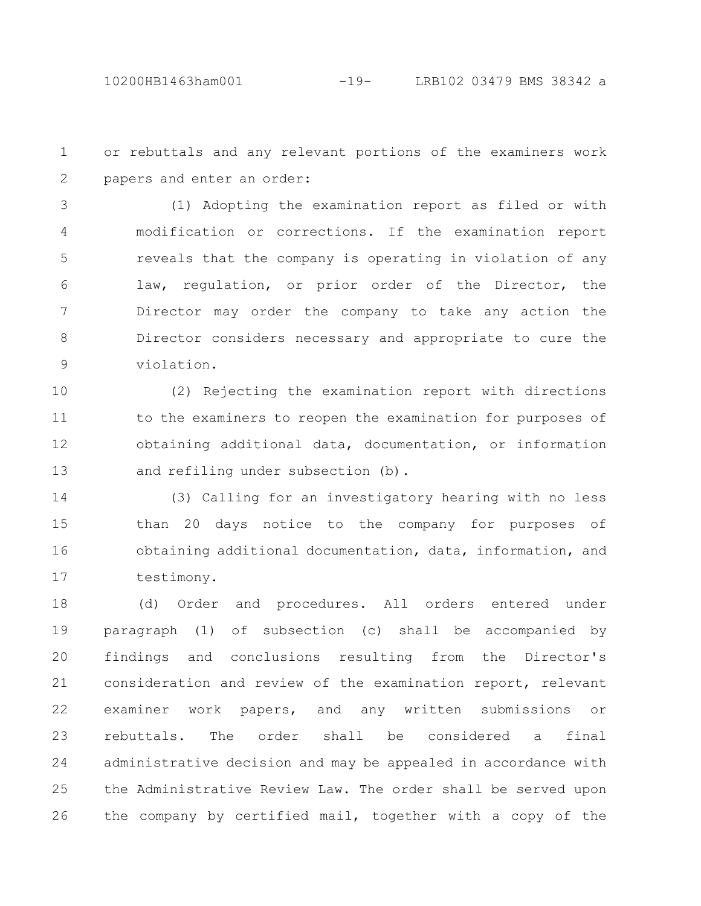or rebuttals and any relevant portions of the examiners work papers and enter an order: 1 2

(1) Adopting the examination report as filed or with modification or corrections. If the examination report reveals that the company is operating in violation of any law, regulation, or prior order of the Director, the Director may order the company to take any action the Director considers necessary and appropriate to cure the violation. 3 4 5 6 7 8 9

(2) Rejecting the examination report with directions to the examiners to reopen the examination for purposes of obtaining additional data, documentation, or information and refiling under subsection (b). 10 11 12 13

(3) Calling for an investigatory hearing with no less than 20 days notice to the company for purposes of obtaining additional documentation, data, information, and testimony. 14 15 16 17

(d) Order and procedures. All orders entered under paragraph (1) of subsection (c) shall be accompanied by findings and conclusions resulting from the Director's consideration and review of the examination report, relevant examiner work papers, and any written submissions or rebuttals. The order shall be considered a final administrative decision and may be appealed in accordance with the Administrative Review Law. The order shall be served upon the company by certified mail, together with a copy of the 18 19 20 21 22 23 24 25 26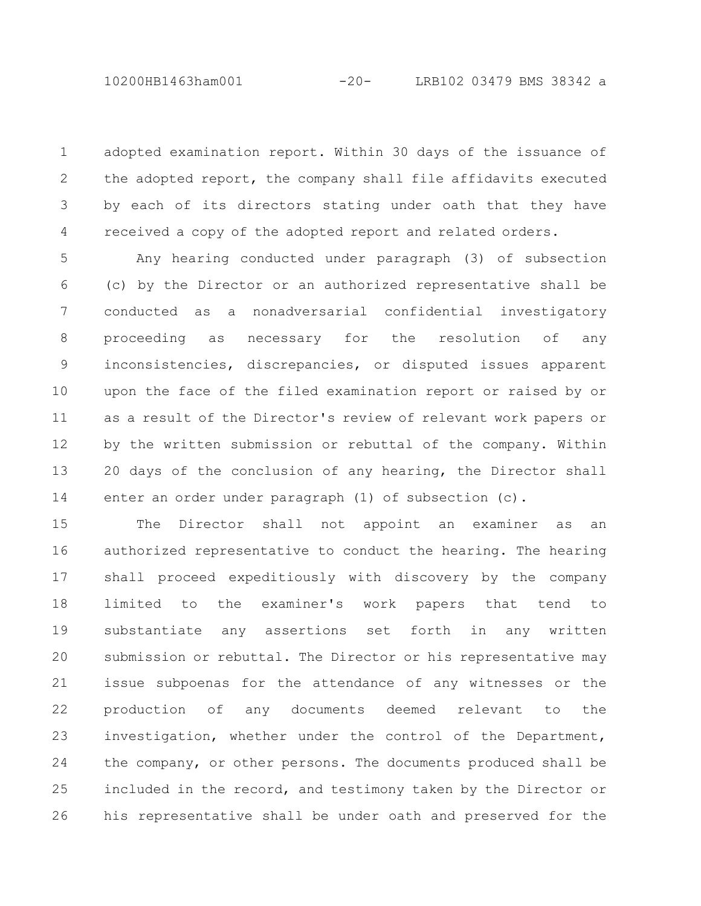adopted examination report. Within 30 days of the issuance of the adopted report, the company shall file affidavits executed by each of its directors stating under oath that they have received a copy of the adopted report and related orders. 1 2 3 4

Any hearing conducted under paragraph (3) of subsection (c) by the Director or an authorized representative shall be conducted as a nonadversarial confidential investigatory proceeding as necessary for the resolution of any inconsistencies, discrepancies, or disputed issues apparent upon the face of the filed examination report or raised by or as a result of the Director's review of relevant work papers or by the written submission or rebuttal of the company. Within 20 days of the conclusion of any hearing, the Director shall enter an order under paragraph (1) of subsection (c). 5 6 7 8 9 10 11 12 13 14

The Director shall not appoint an examiner as an authorized representative to conduct the hearing. The hearing shall proceed expeditiously with discovery by the company limited to the examiner's work papers that tend to substantiate any assertions set forth in any written submission or rebuttal. The Director or his representative may issue subpoenas for the attendance of any witnesses or the production of any documents deemed relevant to the investigation, whether under the control of the Department, the company, or other persons. The documents produced shall be included in the record, and testimony taken by the Director or his representative shall be under oath and preserved for the 15 16 17 18 19 20 21 22 23 24 25 26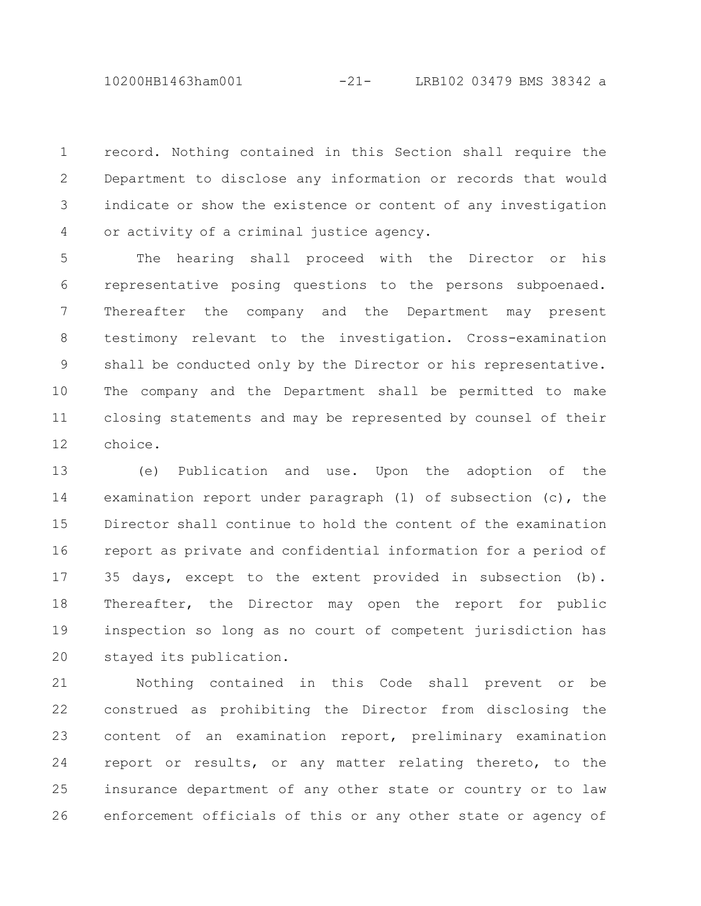10200HB1463ham001 -21- LRB102 03479 BMS 38342 a

record. Nothing contained in this Section shall require the Department to disclose any information or records that would indicate or show the existence or content of any investigation or activity of a criminal justice agency. 1 2 3 4

The hearing shall proceed with the Director or his representative posing questions to the persons subpoenaed. Thereafter the company and the Department may present testimony relevant to the investigation. Cross-examination shall be conducted only by the Director or his representative. The company and the Department shall be permitted to make closing statements and may be represented by counsel of their choice. 5 6 7 8 9 10 11 12

(e) Publication and use. Upon the adoption of the examination report under paragraph (1) of subsection (c), the Director shall continue to hold the content of the examination report as private and confidential information for a period of 35 days, except to the extent provided in subsection (b). Thereafter, the Director may open the report for public inspection so long as no court of competent jurisdiction has stayed its publication. 13 14 15 16 17 18 19 20

Nothing contained in this Code shall prevent or be construed as prohibiting the Director from disclosing the content of an examination report, preliminary examination report or results, or any matter relating thereto, to the insurance department of any other state or country or to law enforcement officials of this or any other state or agency of 21 22 23 24 25 26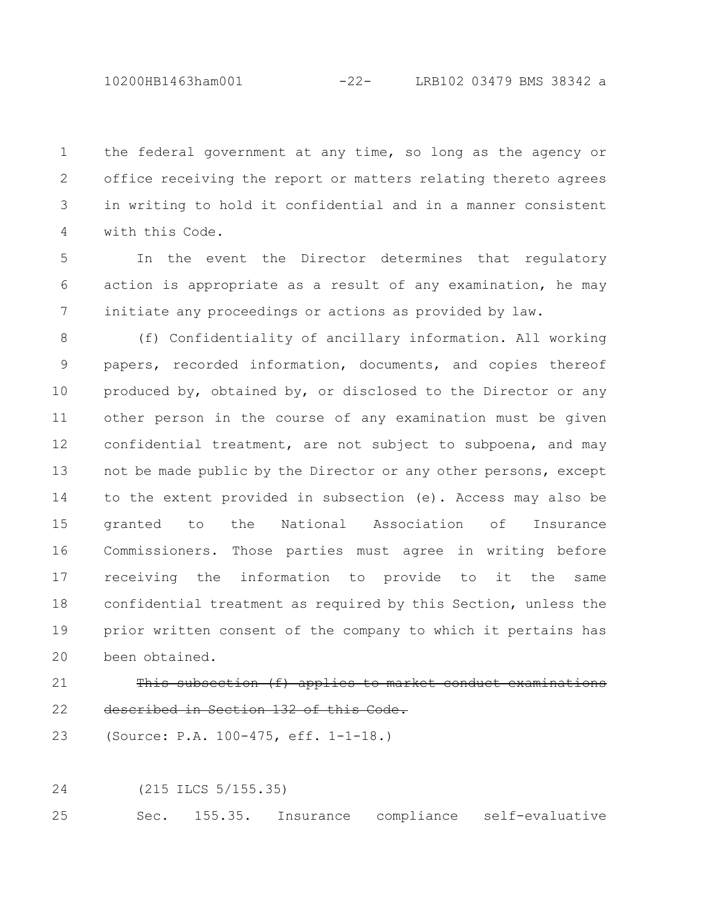10200HB1463ham001 -22- LRB102 03479 BMS 38342 a

the federal government at any time, so long as the agency or office receiving the report or matters relating thereto agrees in writing to hold it confidential and in a manner consistent with this Code. 1 2 3 4

In the event the Director determines that regulatory action is appropriate as a result of any examination, he may initiate any proceedings or actions as provided by law. 5 6 7

(f) Confidentiality of ancillary information. All working papers, recorded information, documents, and copies thereof produced by, obtained by, or disclosed to the Director or any other person in the course of any examination must be given confidential treatment, are not subject to subpoena, and may not be made public by the Director or any other persons, except to the extent provided in subsection (e). Access may also be granted to the National Association of Insurance Commissioners. Those parties must agree in writing before receiving the information to provide to it the same confidential treatment as required by this Section, unless the prior written consent of the company to which it pertains has been obtained. 8 9 10 11 12 13 14 15 16 17 18 19 20

## 21

described in Section 132 of this Code. 22

(Source: P.A. 100-475, eff. 1-1-18.) 23

(215 ILCS 5/155.35) 24

Sec. 155.35. Insurance compliance self-evaluative 25

This subsection (f) applies to market conduct examinations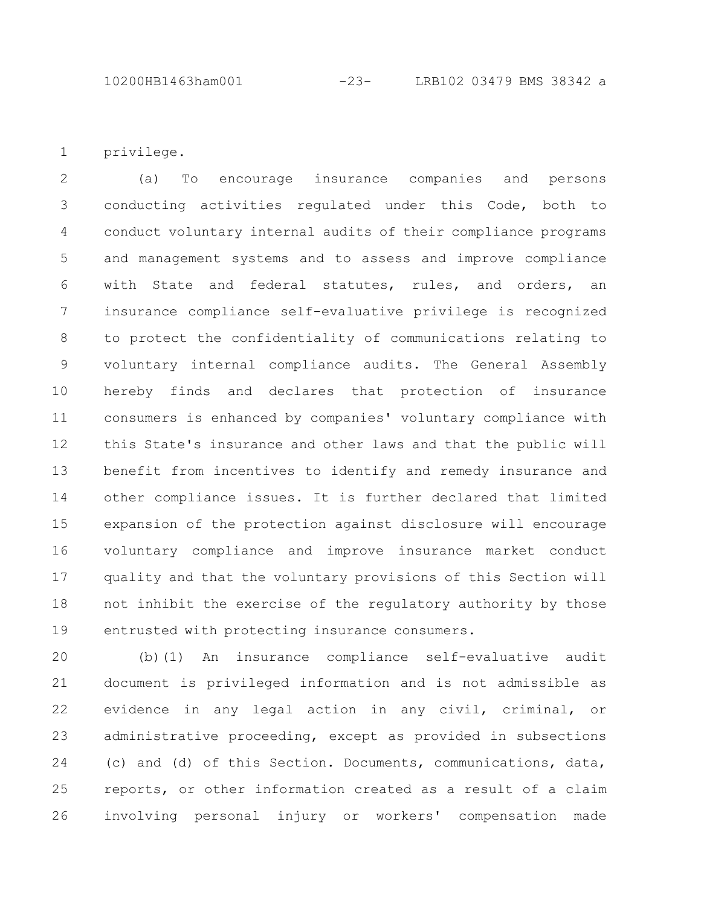10200HB1463ham001 -23- LRB102 03479 BMS 38342 a

privilege. 1

(a) To encourage insurance companies and persons conducting activities regulated under this Code, both to conduct voluntary internal audits of their compliance programs and management systems and to assess and improve compliance with State and federal statutes, rules, and orders, an insurance compliance self-evaluative privilege is recognized to protect the confidentiality of communications relating to voluntary internal compliance audits. The General Assembly hereby finds and declares that protection of insurance consumers is enhanced by companies' voluntary compliance with this State's insurance and other laws and that the public will benefit from incentives to identify and remedy insurance and other compliance issues. It is further declared that limited expansion of the protection against disclosure will encourage voluntary compliance and improve insurance market conduct quality and that the voluntary provisions of this Section will not inhibit the exercise of the regulatory authority by those entrusted with protecting insurance consumers. 2 3 4 5 6 7 8 9 10 11 12 13 14 15 16 17 18 19

(b)(1) An insurance compliance self-evaluative audit document is privileged information and is not admissible as evidence in any legal action in any civil, criminal, or administrative proceeding, except as provided in subsections (c) and (d) of this Section. Documents, communications, data, reports, or other information created as a result of a claim involving personal injury or workers' compensation made 20 21 22 23 24 25 26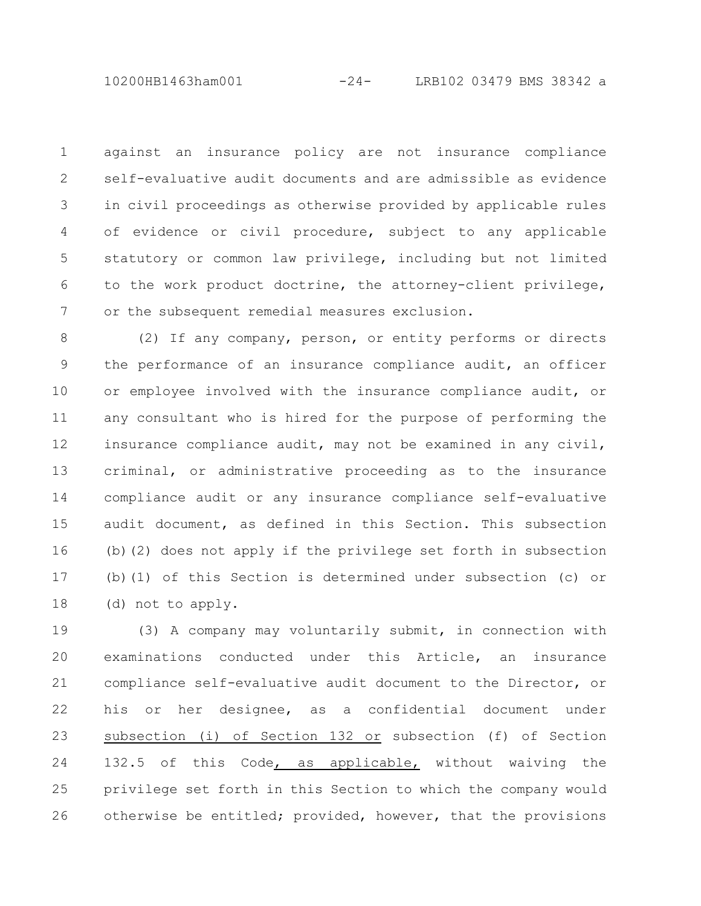against an insurance policy are not insurance compliance self-evaluative audit documents and are admissible as evidence in civil proceedings as otherwise provided by applicable rules of evidence or civil procedure, subject to any applicable statutory or common law privilege, including but not limited to the work product doctrine, the attorney-client privilege, or the subsequent remedial measures exclusion. 1 2 3 4 5 6 7

(2) If any company, person, or entity performs or directs the performance of an insurance compliance audit, an officer or employee involved with the insurance compliance audit, or any consultant who is hired for the purpose of performing the insurance compliance audit, may not be examined in any civil, criminal, or administrative proceeding as to the insurance compliance audit or any insurance compliance self-evaluative audit document, as defined in this Section. This subsection (b)(2) does not apply if the privilege set forth in subsection (b)(1) of this Section is determined under subsection (c) or (d) not to apply. 8 9 10 11 12 13 14 15 16 17 18

(3) A company may voluntarily submit, in connection with examinations conducted under this Article, an insurance compliance self-evaluative audit document to the Director, or his or her designee, as a confidential document under subsection (i) of Section 132 or subsection (f) of Section 132.5 of this Code, as applicable, without waiving the privilege set forth in this Section to which the company would otherwise be entitled; provided, however, that the provisions 19 20 21 22 23 24 25 26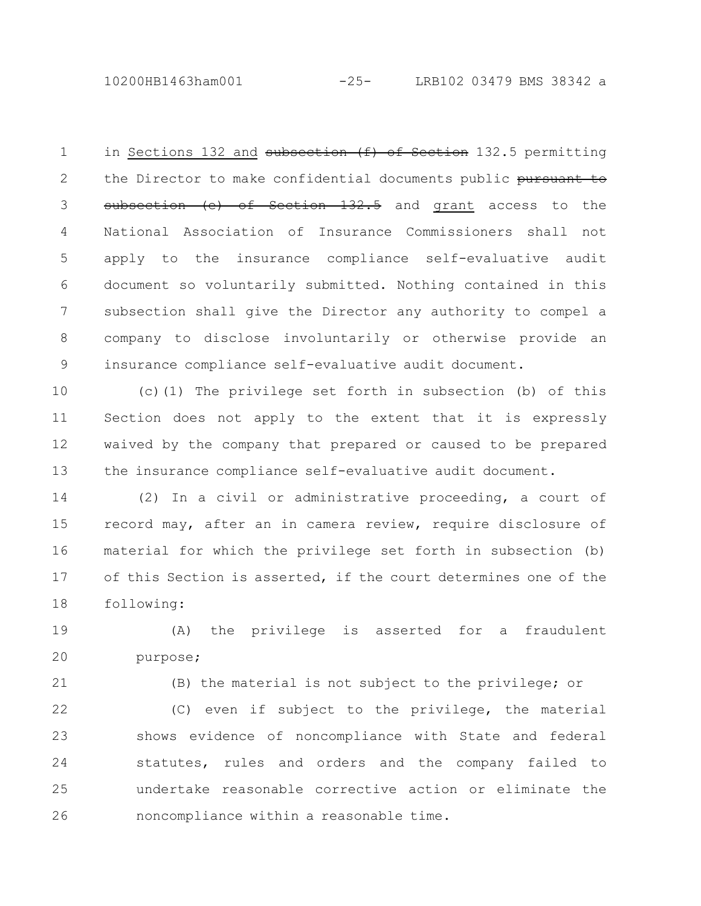10200HB1463ham001 -25- LRB102 03479 BMS 38342 a

in Sections 132 and subsection (f) of Section 132.5 permitting the Director to make confidential documents public pursuant to subsection (e) of Section 132.5 and grant access to the National Association of Insurance Commissioners shall not apply to the insurance compliance self-evaluative audit document so voluntarily submitted. Nothing contained in this subsection shall give the Director any authority to compel a company to disclose involuntarily or otherwise provide an insurance compliance self-evaluative audit document. 1 2 3 4 5 6 7 8 9

(c)(1) The privilege set forth in subsection (b) of this Section does not apply to the extent that it is expressly waived by the company that prepared or caused to be prepared the insurance compliance self-evaluative audit document. 10 11 12 13

(2) In a civil or administrative proceeding, a court of record may, after an in camera review, require disclosure of material for which the privilege set forth in subsection (b) of this Section is asserted, if the court determines one of the following: 14 15 16 17 18

(A) the privilege is asserted for a fraudulent purpose; 19 20

21

(B) the material is not subject to the privilege; or

(C) even if subject to the privilege, the material shows evidence of noncompliance with State and federal statutes, rules and orders and the company failed to undertake reasonable corrective action or eliminate the noncompliance within a reasonable time. 22 23 24 25 26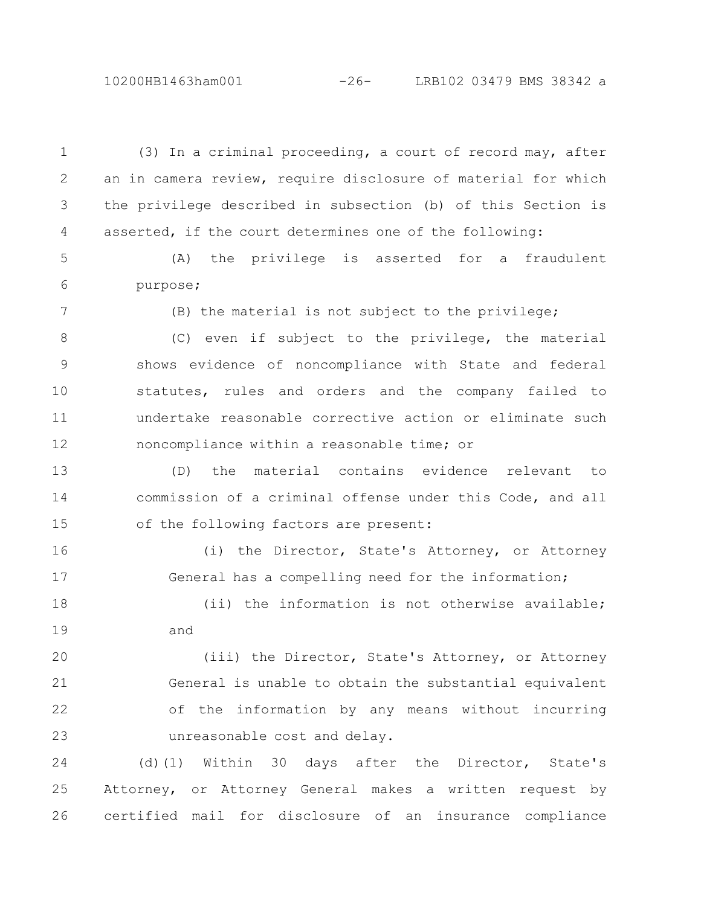## 10200HB1463ham001 -26- LRB102 03479 BMS 38342 a

(3) In a criminal proceeding, a court of record may, after an in camera review, require disclosure of material for which the privilege described in subsection (b) of this Section is asserted, if the court determines one of the following: (A) the privilege is asserted for a fraudulent purpose; (B) the material is not subject to the privilege; (C) even if subject to the privilege, the material shows evidence of noncompliance with State and federal statutes, rules and orders and the company failed to undertake reasonable corrective action or eliminate such noncompliance within a reasonable time; or (D) the material contains evidence relevant to commission of a criminal offense under this Code, and all of the following factors are present: (i) the Director, State's Attorney, or Attorney General has a compelling need for the information; (ii) the information is not otherwise available; and (iii) the Director, State's Attorney, or Attorney General is unable to obtain the substantial equivalent of the information by any means without incurring unreasonable cost and delay. (d)(1) Within 30 days after the Director, State's Attorney, or Attorney General makes a written request by 1 2 3 4 5 6 7 8 9 10 11 12 13 14 15 16 17 18 19 20 21 22 23 24 25

certified mail for disclosure of an insurance compliance

26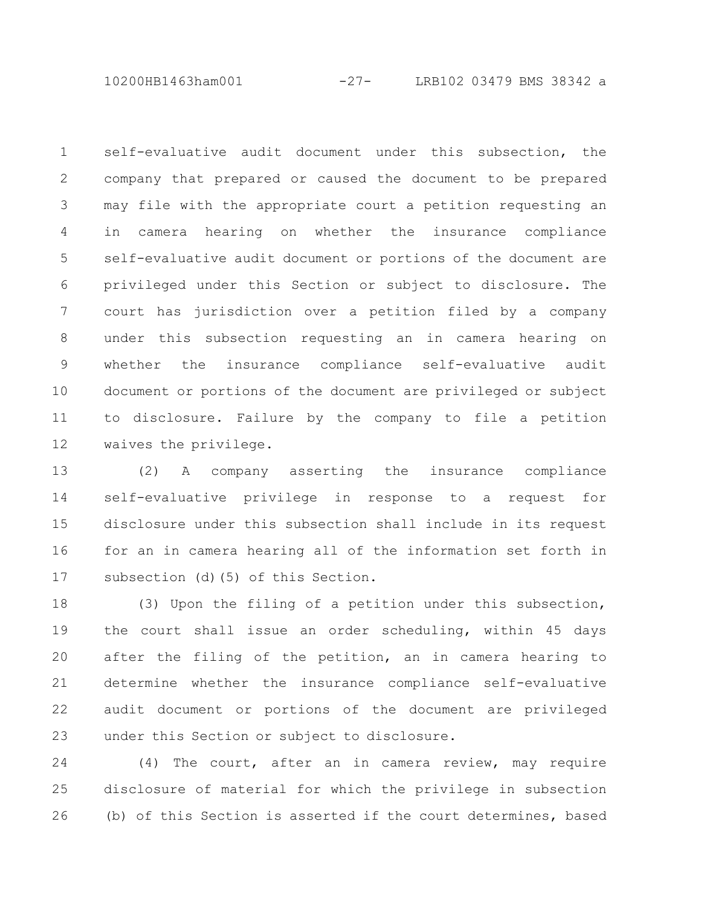10200HB1463ham001 -27- LRB102 03479 BMS 38342 a

self-evaluative audit document under this subsection, the company that prepared or caused the document to be prepared may file with the appropriate court a petition requesting an in camera hearing on whether the insurance compliance self-evaluative audit document or portions of the document are privileged under this Section or subject to disclosure. The court has jurisdiction over a petition filed by a company under this subsection requesting an in camera hearing on whether the insurance compliance self-evaluative audit document or portions of the document are privileged or subject to disclosure. Failure by the company to file a petition waives the privilege. 1 2 3 4 5 6 7 8 9 10 11 12

(2) A company asserting the insurance compliance self-evaluative privilege in response to a request for disclosure under this subsection shall include in its request for an in camera hearing all of the information set forth in subsection (d)(5) of this Section. 13 14 15 16 17

(3) Upon the filing of a petition under this subsection, the court shall issue an order scheduling, within 45 days after the filing of the petition, an in camera hearing to determine whether the insurance compliance self-evaluative audit document or portions of the document are privileged under this Section or subject to disclosure. 18 19 20 21 22 23

(4) The court, after an in camera review, may require disclosure of material for which the privilege in subsection (b) of this Section is asserted if the court determines, based 24 25 26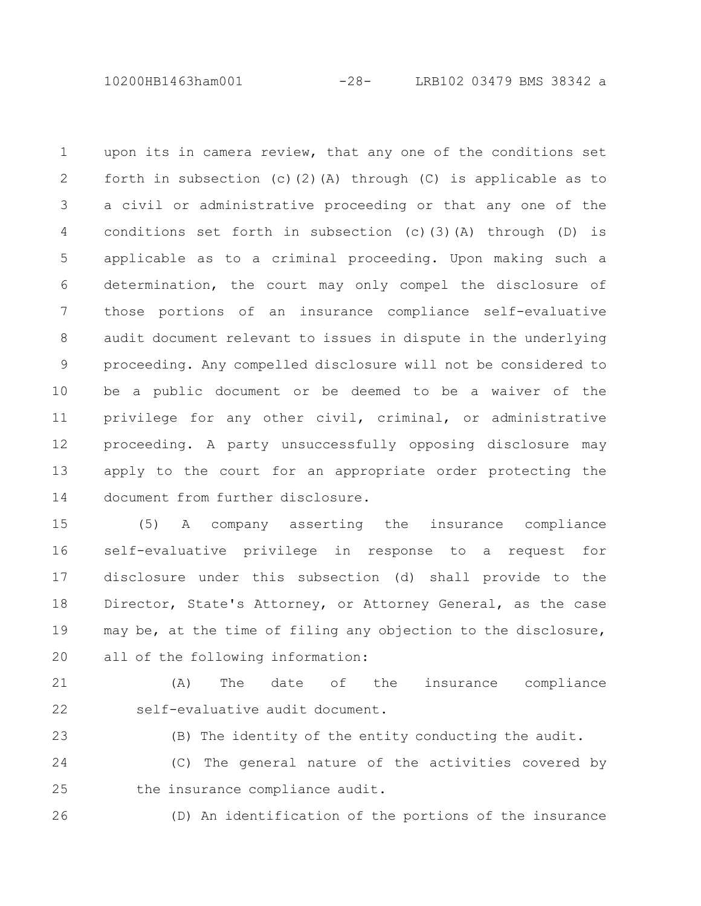10200HB1463ham001 -28- LRB102 03479 BMS 38342 a

upon its in camera review, that any one of the conditions set forth in subsection (c)(2)(A) through (C) is applicable as to a civil or administrative proceeding or that any one of the conditions set forth in subsection (c)(3)(A) through (D) is applicable as to a criminal proceeding. Upon making such a determination, the court may only compel the disclosure of those portions of an insurance compliance self-evaluative audit document relevant to issues in dispute in the underlying proceeding. Any compelled disclosure will not be considered to be a public document or be deemed to be a waiver of the privilege for any other civil, criminal, or administrative proceeding. A party unsuccessfully opposing disclosure may apply to the court for an appropriate order protecting the document from further disclosure. 1 2 3 4 5 6 7 8 9 10 11 12 13 14

(5) A company asserting the insurance compliance self-evaluative privilege in response to a request for disclosure under this subsection (d) shall provide to the Director, State's Attorney, or Attorney General, as the case may be, at the time of filing any objection to the disclosure, all of the following information: 15 16 17 18 19 20

21

22

(A) The date of the insurance compliance self-evaluative audit document.

23

(B) The identity of the entity conducting the audit.

(C) The general nature of the activities covered by the insurance compliance audit. 24 25

(D) An identification of the portions of the insurance 26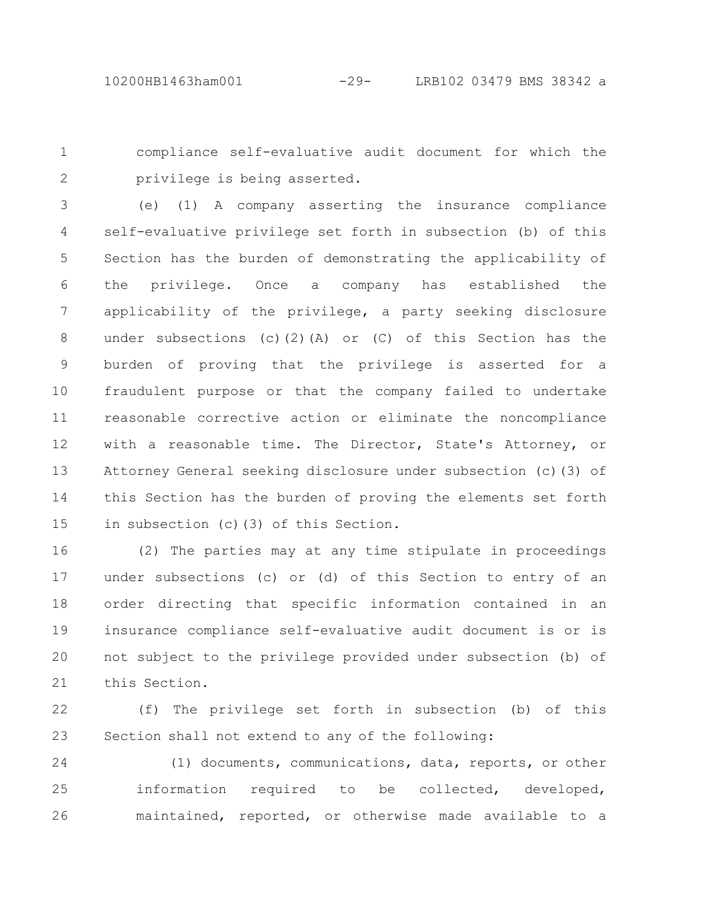compliance self-evaluative audit document for which the privilege is being asserted. 1 2

(e) (1) A company asserting the insurance compliance self-evaluative privilege set forth in subsection (b) of this Section has the burden of demonstrating the applicability of the privilege. Once a company has established the applicability of the privilege, a party seeking disclosure under subsections (c)(2)(A) or (C) of this Section has the burden of proving that the privilege is asserted for a fraudulent purpose or that the company failed to undertake reasonable corrective action or eliminate the noncompliance with a reasonable time. The Director, State's Attorney, or Attorney General seeking disclosure under subsection (c)(3) of this Section has the burden of proving the elements set forth in subsection (c)(3) of this Section. 3 4 5 6 7 8 9 10 11 12 13 14 15

(2) The parties may at any time stipulate in proceedings under subsections (c) or (d) of this Section to entry of an order directing that specific information contained in an insurance compliance self-evaluative audit document is or is not subject to the privilege provided under subsection (b) of this Section. 16 17 18 19 20 21

(f) The privilege set forth in subsection (b) of this Section shall not extend to any of the following: 22 23

(1) documents, communications, data, reports, or other information required to be collected, developed, maintained, reported, or otherwise made available to a 24 25 26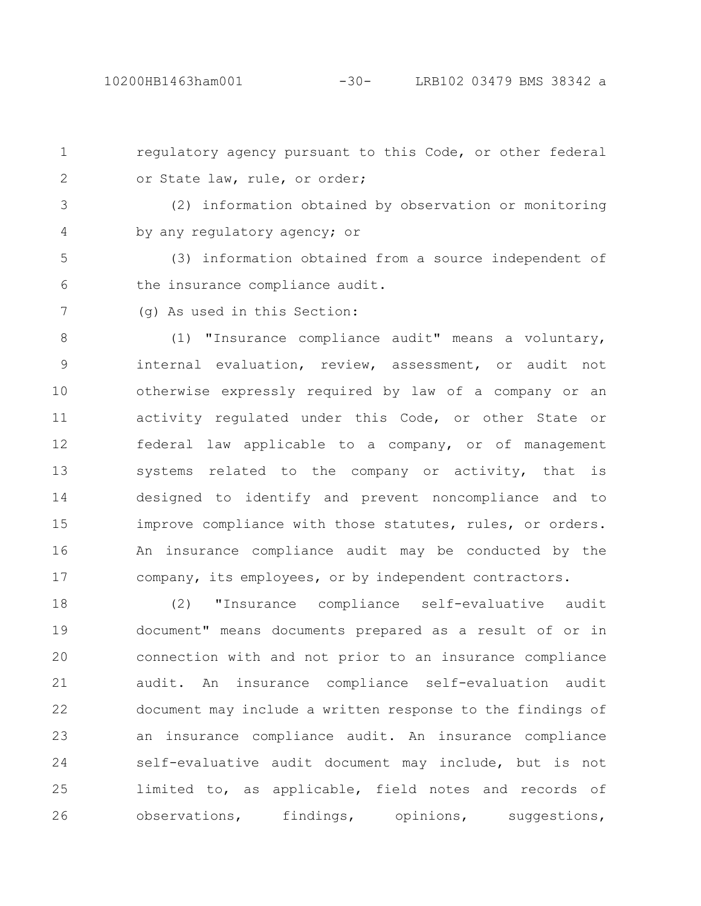regulatory agency pursuant to this Code, or other federal or State law, rule, or order; 1 2

(2) information obtained by observation or monitoring by any regulatory agency; or 3 4

(3) information obtained from a source independent of the insurance compliance audit. 5 6

(g) As used in this Section: 7

(1) "Insurance compliance audit" means a voluntary, internal evaluation, review, assessment, or audit not otherwise expressly required by law of a company or an activity regulated under this Code, or other State or federal law applicable to a company, or of management systems related to the company or activity, that is designed to identify and prevent noncompliance and to improve compliance with those statutes, rules, or orders. An insurance compliance audit may be conducted by the company, its employees, or by independent contractors. 8 9 10 11 12 13 14 15 16 17

(2) "Insurance compliance self-evaluative audit document" means documents prepared as a result of or in connection with and not prior to an insurance compliance audit. An insurance compliance self-evaluation audit document may include a written response to the findings of an insurance compliance audit. An insurance compliance self-evaluative audit document may include, but is not limited to, as applicable, field notes and records of observations, findings, opinions, suggestions, 18 19 20 21 22 23 24 25 26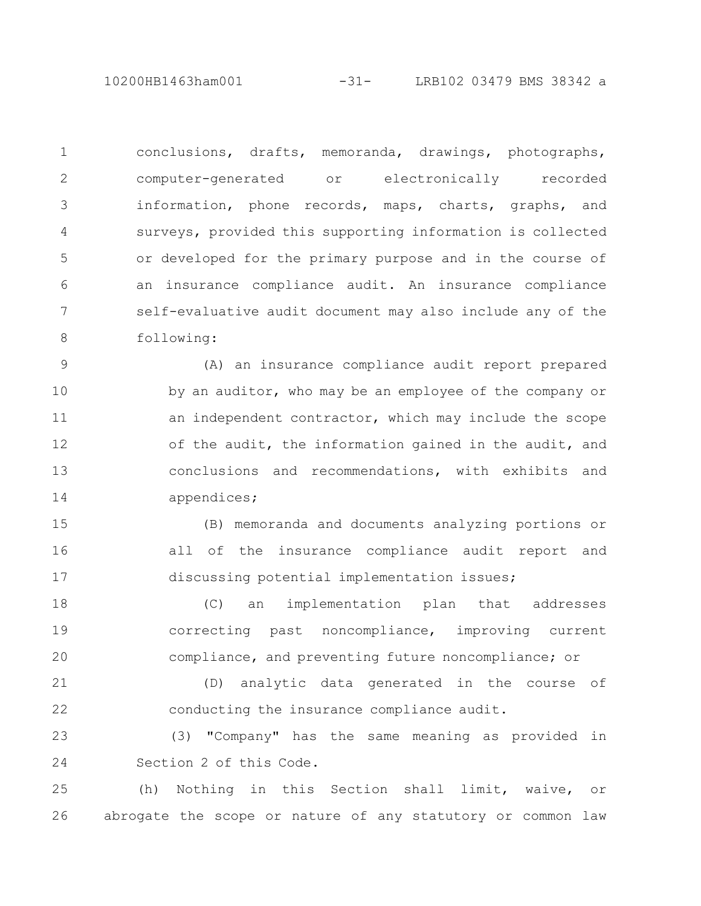10200HB1463ham001 -31- LRB102 03479 BMS 38342 a

conclusions, drafts, memoranda, drawings, photographs, computer-generated or electronically recorded information, phone records, maps, charts, graphs, and surveys, provided this supporting information is collected or developed for the primary purpose and in the course of an insurance compliance audit. An insurance compliance self-evaluative audit document may also include any of the following: 1 2 3 4 5 6 7 8

(A) an insurance compliance audit report prepared by an auditor, who may be an employee of the company or an independent contractor, which may include the scope of the audit, the information gained in the audit, and conclusions and recommendations, with exhibits and appendices; 9 10 11 12 13 14

(B) memoranda and documents analyzing portions or all of the insurance compliance audit report and discussing potential implementation issues; 15 16 17

(C) an implementation plan that addresses correcting past noncompliance, improving current compliance, and preventing future noncompliance; or 18 19 20

(D) analytic data generated in the course of conducting the insurance compliance audit. 21 22

(3) "Company" has the same meaning as provided in Section 2 of this Code. 23 24

(h) Nothing in this Section shall limit, waive, or abrogate the scope or nature of any statutory or common law 25 26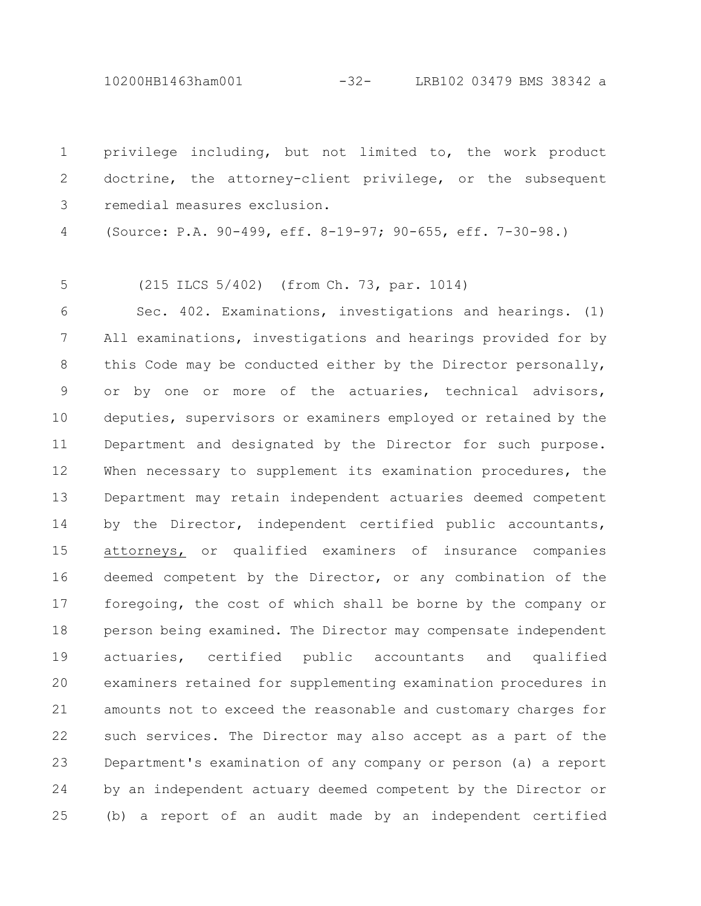10200HB1463ham001 -32- LRB102 03479 BMS 38342 a

privilege including, but not limited to, the work product doctrine, the attorney-client privilege, or the subsequent remedial measures exclusion. 1 2 3

(Source: P.A. 90-499, eff. 8-19-97; 90-655, eff. 7-30-98.) 4

(215 ILCS 5/402) (from Ch. 73, par. 1014) 5

Sec. 402. Examinations, investigations and hearings. (1) All examinations, investigations and hearings provided for by this Code may be conducted either by the Director personally, or by one or more of the actuaries, technical advisors, deputies, supervisors or examiners employed or retained by the Department and designated by the Director for such purpose. When necessary to supplement its examination procedures, the Department may retain independent actuaries deemed competent by the Director, independent certified public accountants, attorneys, or qualified examiners of insurance companies deemed competent by the Director, or any combination of the foregoing, the cost of which shall be borne by the company or person being examined. The Director may compensate independent actuaries, certified public accountants and qualified examiners retained for supplementing examination procedures in amounts not to exceed the reasonable and customary charges for such services. The Director may also accept as a part of the Department's examination of any company or person (a) a report by an independent actuary deemed competent by the Director or (b) a report of an audit made by an independent certified 6 7 8 9 10 11 12 13 14 15 16 17 18 19 20 21 22 23 24 25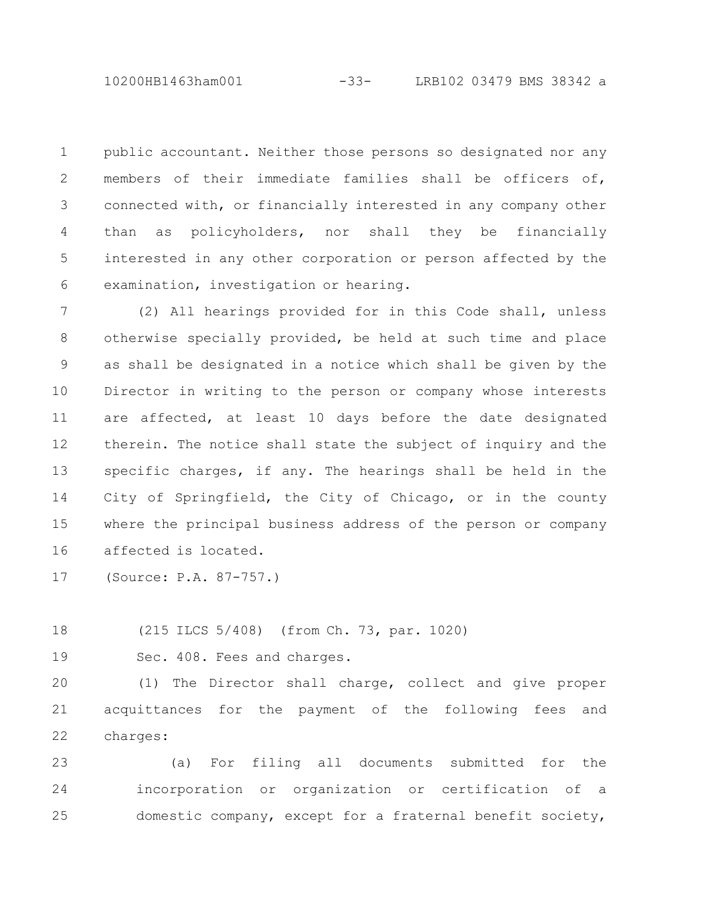10200HB1463ham001 -33- LRB102 03479 BMS 38342 a

public accountant. Neither those persons so designated nor any members of their immediate families shall be officers of, connected with, or financially interested in any company other than as policyholders, nor shall they be financially interested in any other corporation or person affected by the examination, investigation or hearing. 1 2 3 4 5 6

(2) All hearings provided for in this Code shall, unless otherwise specially provided, be held at such time and place as shall be designated in a notice which shall be given by the Director in writing to the person or company whose interests are affected, at least 10 days before the date designated therein. The notice shall state the subject of inquiry and the specific charges, if any. The hearings shall be held in the City of Springfield, the City of Chicago, or in the county where the principal business address of the person or company affected is located. 7 8 9 10 11 12 13 14 15 16

(Source: P.A. 87-757.) 17

(215 ILCS 5/408) (from Ch. 73, par. 1020) 18

19

Sec. 408. Fees and charges.

(1) The Director shall charge, collect and give proper acquittances for the payment of the following fees and charges:  $20$ 21 22

(a) For filing all documents submitted for the incorporation or organization or certification of a domestic company, except for a fraternal benefit society, 23 24 25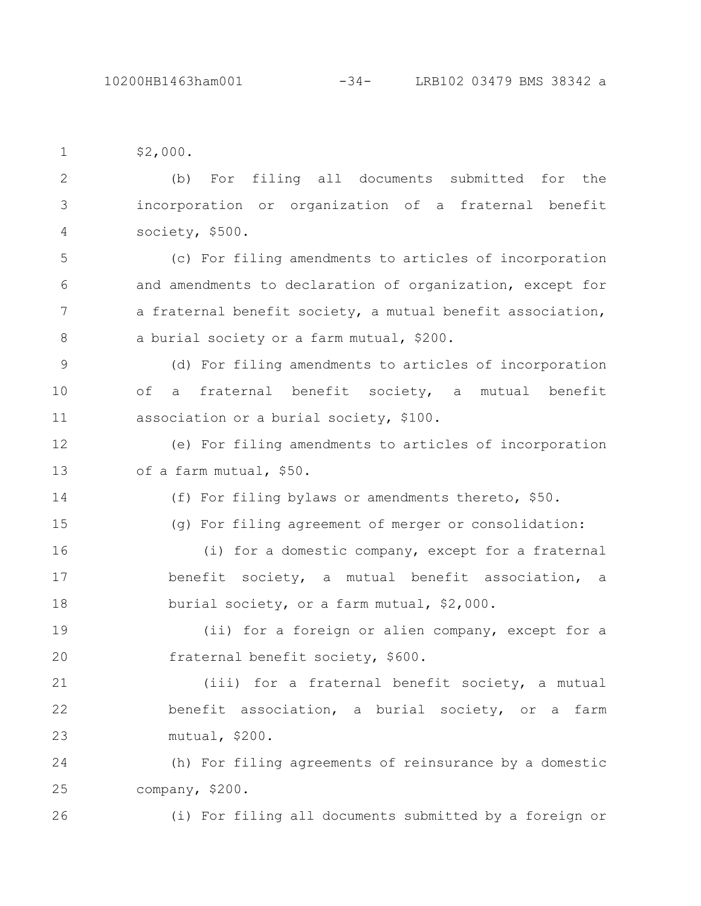\$2,000. 1

(b) For filing all documents submitted for the incorporation or organization of a fraternal benefit society, \$500. 2 3 4

(c) For filing amendments to articles of incorporation and amendments to declaration of organization, except for a fraternal benefit society, a mutual benefit association, a burial society or a farm mutual, \$200. 5 6 7 8

(d) For filing amendments to articles of incorporation of a fraternal benefit society, a mutual benefit association or a burial society, \$100. 9 10 11

(e) For filing amendments to articles of incorporation of a farm mutual, \$50. 12 13

14

(f) For filing bylaws or amendments thereto, \$50.

15

(g) For filing agreement of merger or consolidation:

(i) for a domestic company, except for a fraternal benefit society, a mutual benefit association, a burial society, or a farm mutual, \$2,000. 16 17 18

(ii) for a foreign or alien company, except for a fraternal benefit society, \$600. 19 20

(iii) for a fraternal benefit society, a mutual benefit association, a burial society, or a farm mutual, \$200. 21 22 23

(h) For filing agreements of reinsurance by a domestic company, \$200. 24 25

(i) For filing all documents submitted by a foreign or 26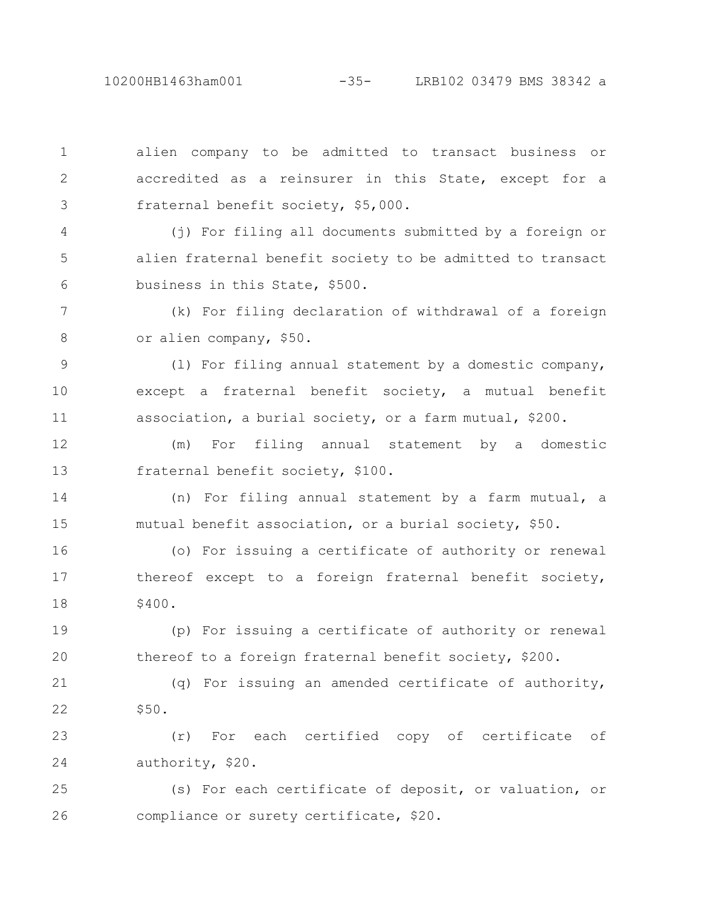alien company to be admitted to transact business or accredited as a reinsurer in this State, except for a fraternal benefit society, \$5,000. (j) For filing all documents submitted by a foreign or alien fraternal benefit society to be admitted to transact business in this State, \$500. (k) For filing declaration of withdrawal of a foreign or alien company, \$50. (l) For filing annual statement by a domestic company, except a fraternal benefit society, a mutual benefit association, a burial society, or a farm mutual, \$200. (m) For filing annual statement by a domestic fraternal benefit society, \$100. (n) For filing annual statement by a farm mutual, a mutual benefit association, or a burial society, \$50. (o) For issuing a certificate of authority or renewal thereof except to a foreign fraternal benefit society, \$400. (p) For issuing a certificate of authority or renewal thereof to a foreign fraternal benefit society, \$200. 1 2 3 4 5 6 7 8 9 10 11 12 13 14 15 16 17 18 19 20

(q) For issuing an amended certificate of authority, \$50. 21 22

(r) For each certified copy of certificate of authority, \$20. 23 24

(s) For each certificate of deposit, or valuation, or compliance or surety certificate, \$20. 25 26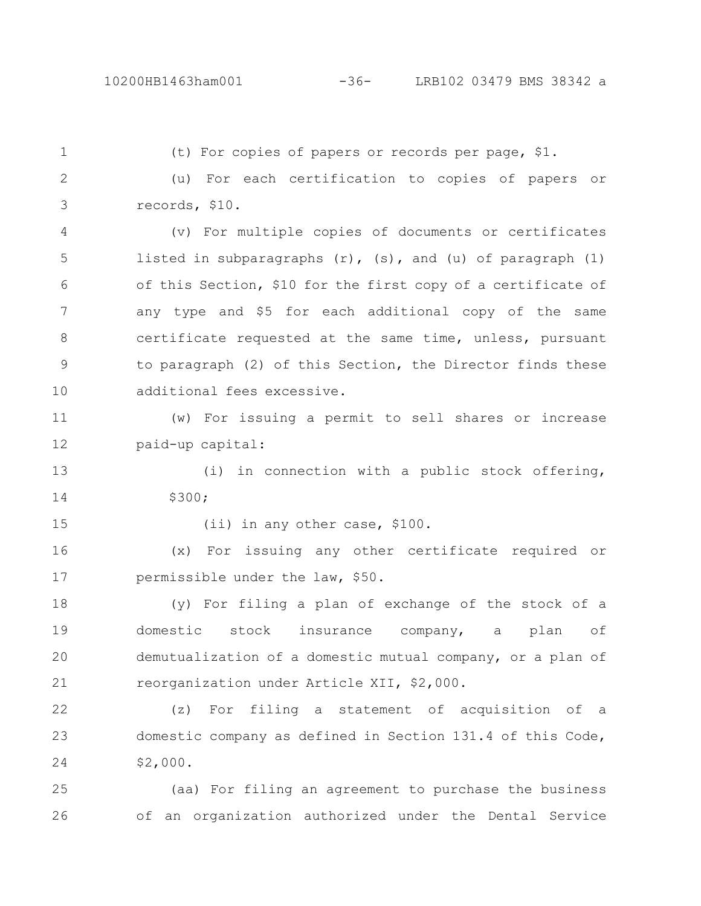(t) For copies of papers or records per page, \$1. (u) For each certification to copies of papers or records, \$10. (v) For multiple copies of documents or certificates listed in subparagraphs  $(r)$ ,  $(s)$ , and  $(u)$  of paragraph  $(1)$ of this Section, \$10 for the first copy of a certificate of any type and \$5 for each additional copy of the same certificate requested at the same time, unless, pursuant to paragraph (2) of this Section, the Director finds these additional fees excessive. (w) For issuing a permit to sell shares or increase paid-up capital: (i) in connection with a public stock offering, \$300; (ii) in any other case, \$100. (x) For issuing any other certificate required or permissible under the law, \$50. (y) For filing a plan of exchange of the stock of a domestic stock insurance company, a plan of demutualization of a domestic mutual company, or a plan of reorganization under Article XII, \$2,000. (z) For filing a statement of acquisition of a domestic company as defined in Section 131.4 of this Code, \$2,000. 1 2 3 4 5 6 7 8 9 10 11 12 13 14 15 16 17 18 19 20 21 22 23 24

(aa) For filing an agreement to purchase the business of an organization authorized under the Dental Service 25 26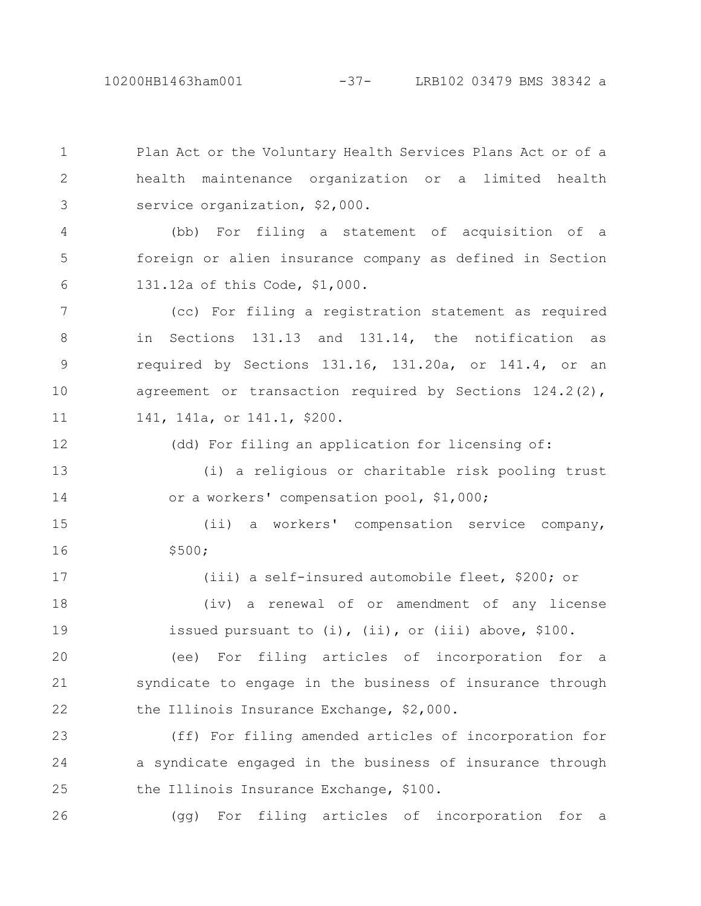Plan Act or the Voluntary Health Services Plans Act or of a health maintenance organization or a limited health service organization, \$2,000. 1 2 3

(bb) For filing a statement of acquisition of a foreign or alien insurance company as defined in Section 131.12a of this Code, \$1,000. 4 5 6

(cc) For filing a registration statement as required in Sections 131.13 and 131.14, the notification as required by Sections 131.16, 131.20a, or 141.4, or an agreement or transaction required by Sections 124.2(2), 141, 141a, or 141.1, \$200. 7 8 9 10 11

(dd) For filing an application for licensing of: (i) a religious or charitable risk pooling trust or a workers' compensation pool, \$1,000; 12 13 14

(ii) a workers' compensation service company, \$500; 15 16

(iii) a self-insured automobile fleet, \$200; or (iv) a renewal of or amendment of any license issued pursuant to (i), (ii), or (iii) above, \$100. 17 18 19

(ee) For filing articles of incorporation for a syndicate to engage in the business of insurance through the Illinois Insurance Exchange, \$2,000. 20 21 22

(ff) For filing amended articles of incorporation for a syndicate engaged in the business of insurance through the Illinois Insurance Exchange, \$100. 23 24 25

(gg) For filing articles of incorporation for a 26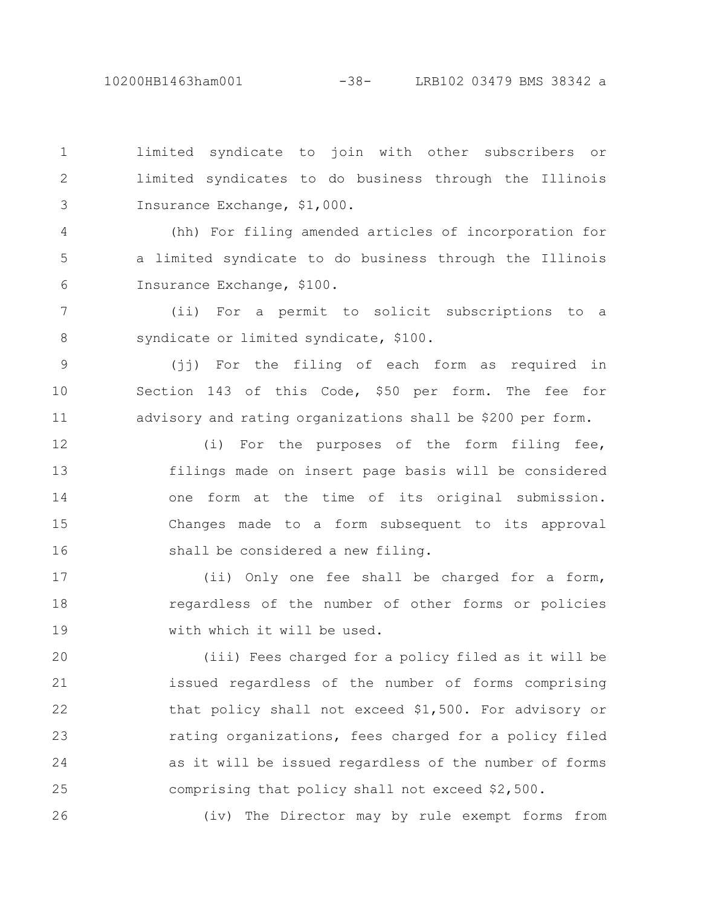26

limited syndicate to join with other subscribers or limited syndicates to do business through the Illinois Insurance Exchange, \$1,000. 1 2 3

(hh) For filing amended articles of incorporation for a limited syndicate to do business through the Illinois Insurance Exchange, \$100. 4 5 6

(ii) For a permit to solicit subscriptions to a syndicate or limited syndicate, \$100. 7 8

(jj) For the filing of each form as required in Section 143 of this Code, \$50 per form. The fee for advisory and rating organizations shall be \$200 per form. 9 10 11

(i) For the purposes of the form filing fee, filings made on insert page basis will be considered one form at the time of its original submission. Changes made to a form subsequent to its approval shall be considered a new filing. 12 13 14 15 16

(ii) Only one fee shall be charged for a form, regardless of the number of other forms or policies with which it will be used. 17 18 19

(iii) Fees charged for a policy filed as it will be issued regardless of the number of forms comprising that policy shall not exceed \$1,500. For advisory or rating organizations, fees charged for a policy filed as it will be issued regardless of the number of forms comprising that policy shall not exceed \$2,500. 20 21 22 23 24 25

(iv) The Director may by rule exempt forms from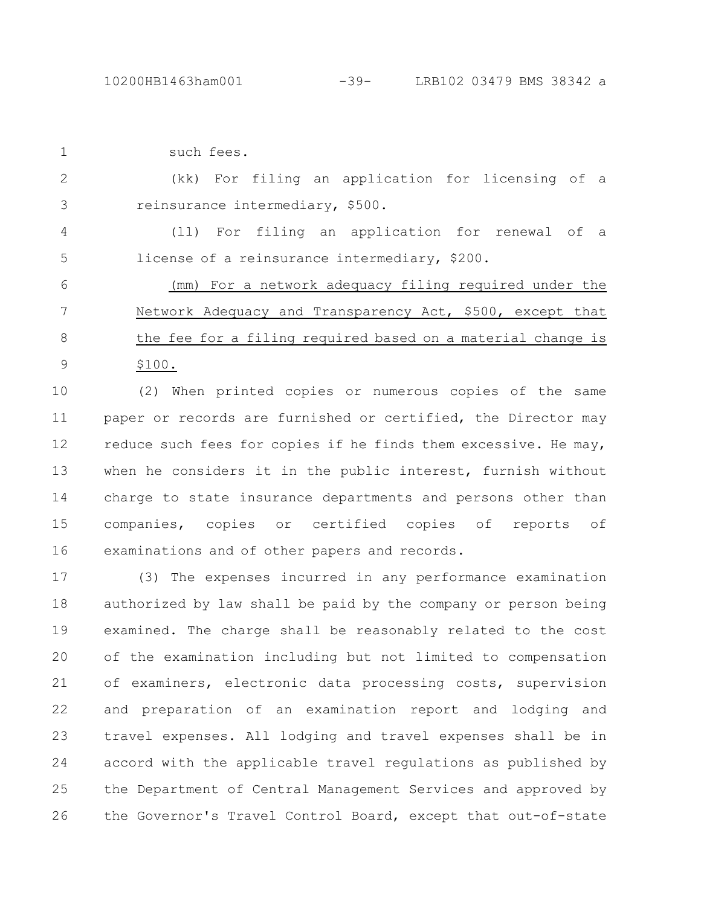| $\mathbf 1$ | such fees.                                                      |
|-------------|-----------------------------------------------------------------|
| 2           | For filing an application for licensing of a<br>(kk)            |
| 3           | reinsurance intermediary, \$500.                                |
| 4           | For filing an application for renewal of a<br>(11)              |
| 5           | license of a reinsurance intermediary, \$200.                   |
| 6           | (mm) For a network adequacy filing required under the           |
| 7           | Network Adequacy and Transparency Act, \$500, except that       |
| 8           | the fee for a filing required based on a material change is     |
| 9           | \$100.                                                          |
| 10          | (2) When printed copies or numerous copies of the same          |
| 11          | paper or records are furnished or certified, the Director may   |
| 12          | reduce such fees for copies if he finds them excessive. He may, |
| 13          | when he considers it in the public interest, furnish without    |
| 14          | charge to state insurance departments and persons other than    |
| 15          | companies, copies or certified copies of<br>reports<br>оf       |
| 16          | examinations and of other papers and records.                   |
| 17          | (3) The expenses incurred in any performance examination        |
| 18          | authorized by law shall be paid by the company or person being  |
| 19          | examined. The charge shall be reasonably related to the cost    |
| 20          | of the examination including but not limited to compensation    |
| 21          | of examiners, electronic data processing costs, supervision     |
| 22          | and preparation of an examination report and lodging and        |

travel expenses. All lodging and travel expenses shall be in accord with the applicable travel regulations as published by the Department of Central Management Services and approved by the Governor's Travel Control Board, except that out-of-state 23 24 25 26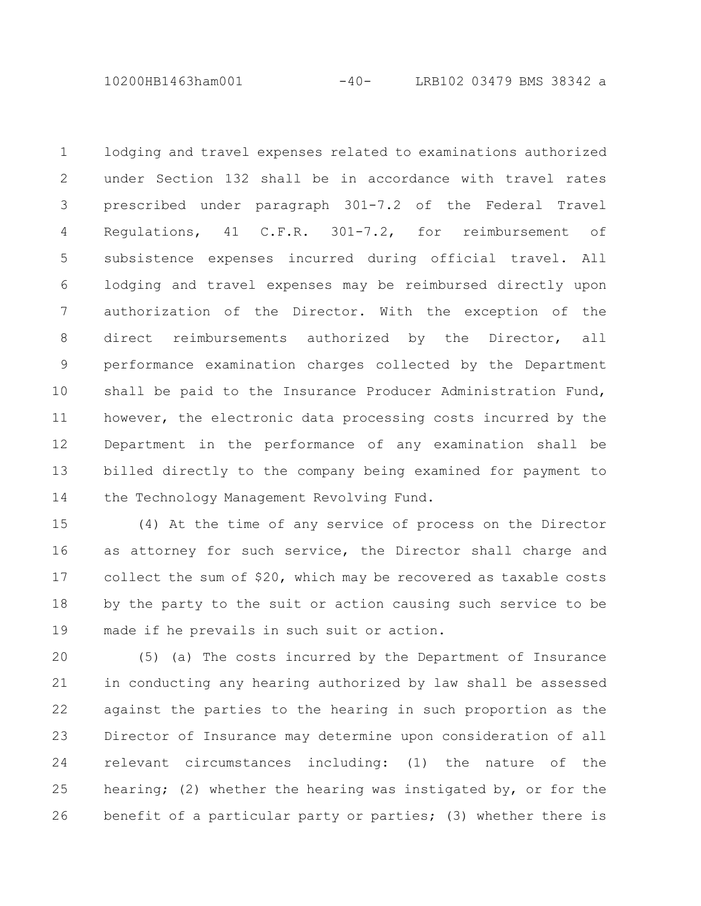10200HB1463ham001 -40- LRB102 03479 BMS 38342 a

lodging and travel expenses related to examinations authorized under Section 132 shall be in accordance with travel rates prescribed under paragraph 301-7.2 of the Federal Travel Regulations, 41 C.F.R. 301-7.2, for reimbursement of subsistence expenses incurred during official travel. All lodging and travel expenses may be reimbursed directly upon authorization of the Director. With the exception of the direct reimbursements authorized by the Director, all performance examination charges collected by the Department shall be paid to the Insurance Producer Administration Fund, however, the electronic data processing costs incurred by the Department in the performance of any examination shall be billed directly to the company being examined for payment to the Technology Management Revolving Fund. 1 2 3 4 5 6 7 8 9 10 11 12 13 14

(4) At the time of any service of process on the Director as attorney for such service, the Director shall charge and collect the sum of \$20, which may be recovered as taxable costs by the party to the suit or action causing such service to be made if he prevails in such suit or action. 15 16 17 18 19

(5) (a) The costs incurred by the Department of Insurance in conducting any hearing authorized by law shall be assessed against the parties to the hearing in such proportion as the Director of Insurance may determine upon consideration of all relevant circumstances including: (1) the nature of the hearing; (2) whether the hearing was instigated by, or for the benefit of a particular party or parties; (3) whether there is 20 21 22 23 24 25 26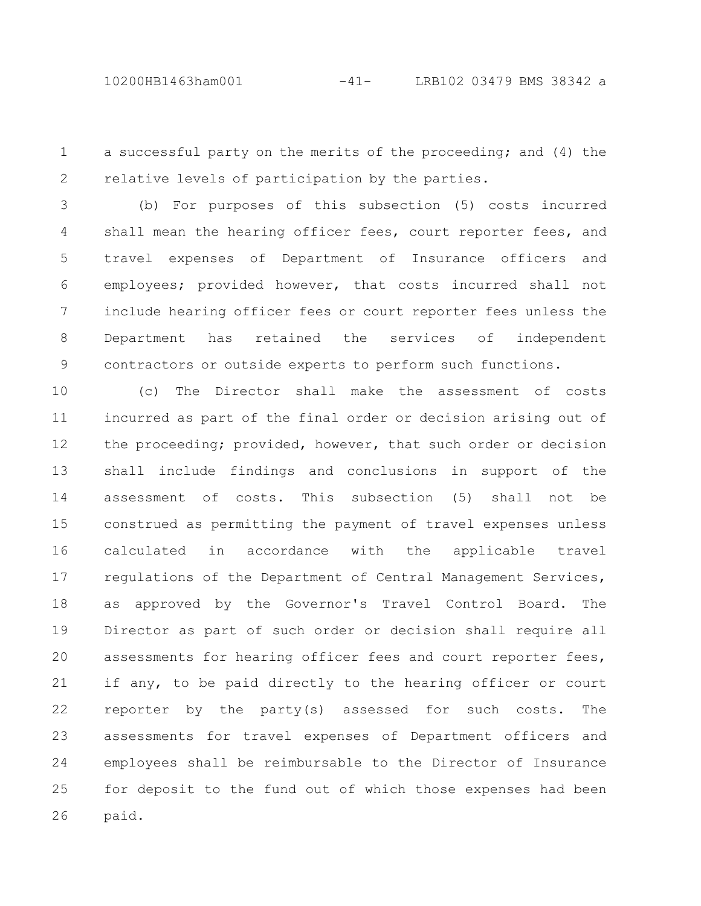a successful party on the merits of the proceeding; and (4) the relative levels of participation by the parties. 1 2

(b) For purposes of this subsection (5) costs incurred shall mean the hearing officer fees, court reporter fees, and travel expenses of Department of Insurance officers and employees; provided however, that costs incurred shall not include hearing officer fees or court reporter fees unless the Department has retained the services of independent contractors or outside experts to perform such functions. 3 4 5 6 7 8 9

(c) The Director shall make the assessment of costs incurred as part of the final order or decision arising out of the proceeding; provided, however, that such order or decision shall include findings and conclusions in support of the assessment of costs. This subsection (5) shall not be construed as permitting the payment of travel expenses unless calculated in accordance with the applicable travel regulations of the Department of Central Management Services, as approved by the Governor's Travel Control Board. The Director as part of such order or decision shall require all assessments for hearing officer fees and court reporter fees, if any, to be paid directly to the hearing officer or court reporter by the party(s) assessed for such costs. The assessments for travel expenses of Department officers and employees shall be reimbursable to the Director of Insurance for deposit to the fund out of which those expenses had been paid. 10 11 12 13 14 15 16 17 18 19 20 21 22 23 24 25 26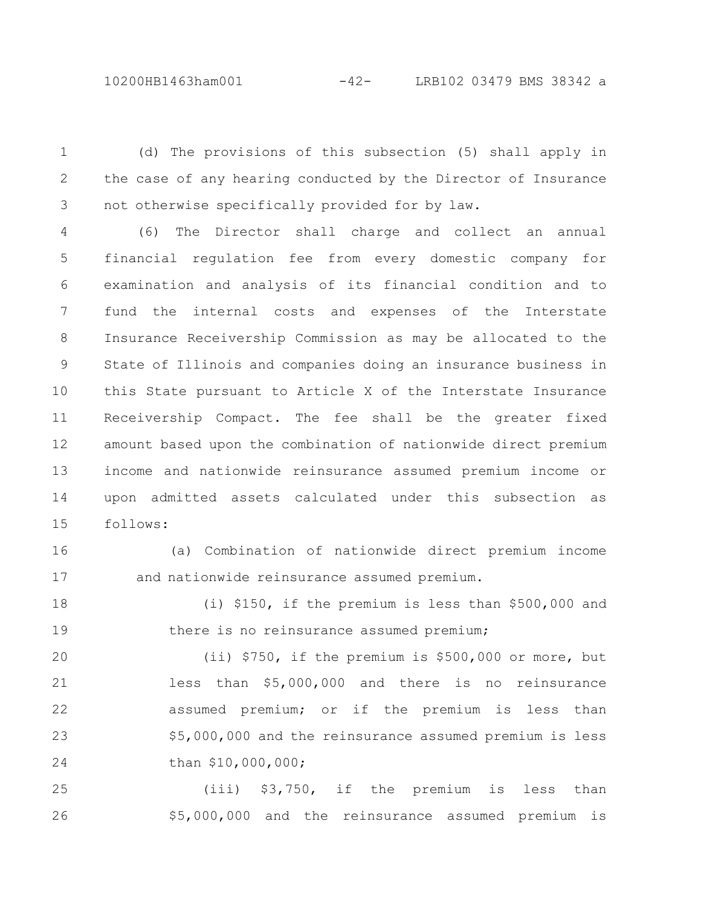10200HB1463ham001 -42- LRB102 03479 BMS 38342 a

(d) The provisions of this subsection (5) shall apply in the case of any hearing conducted by the Director of Insurance not otherwise specifically provided for by law. 1 2 3

(6) The Director shall charge and collect an annual financial regulation fee from every domestic company for examination and analysis of its financial condition and to fund the internal costs and expenses of the Interstate Insurance Receivership Commission as may be allocated to the State of Illinois and companies doing an insurance business in this State pursuant to Article X of the Interstate Insurance Receivership Compact. The fee shall be the greater fixed amount based upon the combination of nationwide direct premium income and nationwide reinsurance assumed premium income or upon admitted assets calculated under this subsection as follows: 4 5 6 7 8 9 10 11 12 13 14 15

16

17

(a) Combination of nationwide direct premium income and nationwide reinsurance assumed premium.

(i) \$150, if the premium is less than \$500,000 and there is no reinsurance assumed premium; 18 19

(ii) \$750, if the premium is \$500,000 or more, but less than \$5,000,000 and there is no reinsurance assumed premium; or if the premium is less than \$5,000,000 and the reinsurance assumed premium is less than \$10,000,000; 20 21 22 23 24

(iii) \$3,750, if the premium is less than \$5,000,000 and the reinsurance assumed premium is 25 26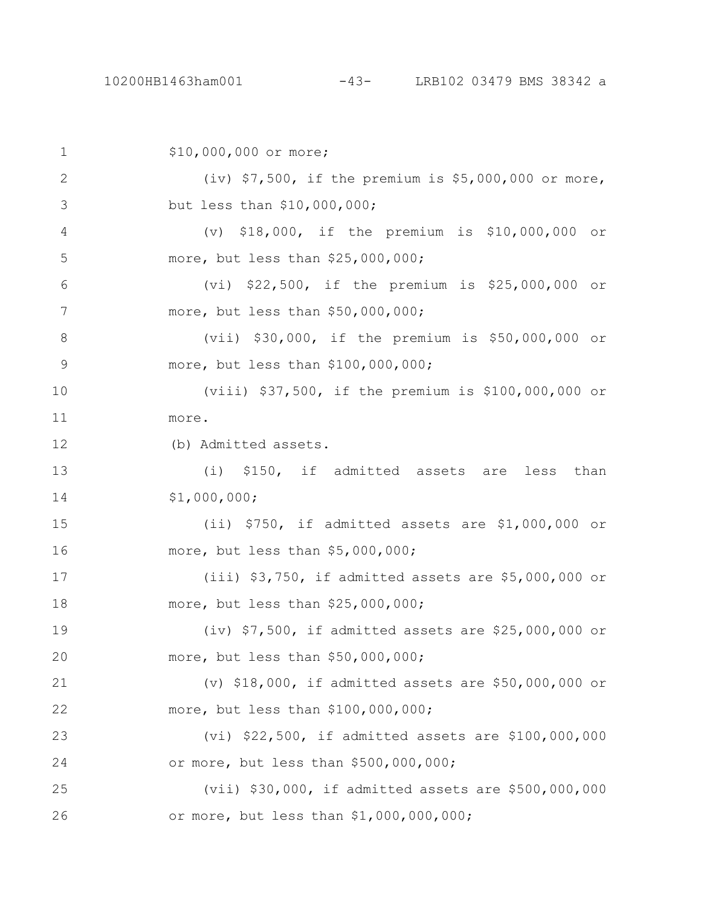\$10,000,000 or more; (iv) \$7,500, if the premium is \$5,000,000 or more, but less than \$10,000,000; (v) \$18,000, if the premium is \$10,000,000 or more, but less than \$25,000,000; (vi) \$22,500, if the premium is \$25,000,000 or more, but less than \$50,000,000; (vii) \$30,000, if the premium is \$50,000,000 or more, but less than \$100,000,000; (viii) \$37,500, if the premium is \$100,000,000 or more. (b) Admitted assets. (i) \$150, if admitted assets are less than \$1,000,000; (ii) \$750, if admitted assets are \$1,000,000 or more, but less than \$5,000,000; (iii) \$3,750, if admitted assets are \$5,000,000 or more, but less than \$25,000,000; (iv) \$7,500, if admitted assets are \$25,000,000 or more, but less than \$50,000,000; (v) \$18,000, if admitted assets are \$50,000,000 or more, but less than \$100,000,000; (vi) \$22,500, if admitted assets are \$100,000,000 or more, but less than \$500,000,000; (vii) \$30,000, if admitted assets are \$500,000,000 or more, but less than \$1,000,000,000; 1 2 3 4 5 6 7 8 9 10 11 12 13 14 15 16 17 18 19 20 21 22 23 24 25 26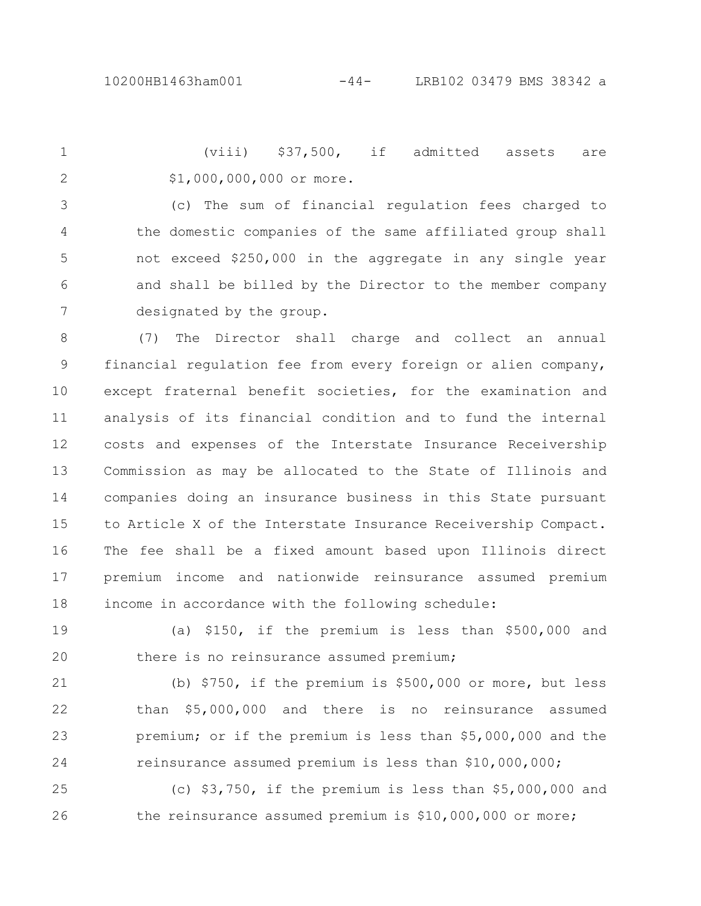(viii) \$37,500, if admitted assets are \$1,000,000,000 or more. 1 2

(c) The sum of financial regulation fees charged to the domestic companies of the same affiliated group shall not exceed \$250,000 in the aggregate in any single year and shall be billed by the Director to the member company designated by the group. 3 4 5 6 7

(7) The Director shall charge and collect an annual financial regulation fee from every foreign or alien company, except fraternal benefit societies, for the examination and analysis of its financial condition and to fund the internal costs and expenses of the Interstate Insurance Receivership Commission as may be allocated to the State of Illinois and companies doing an insurance business in this State pursuant to Article X of the Interstate Insurance Receivership Compact. The fee shall be a fixed amount based upon Illinois direct premium income and nationwide reinsurance assumed premium income in accordance with the following schedule: 8 9 10 11 12 13 14 15 16 17 18

(a) \$150, if the premium is less than \$500,000 and there is no reinsurance assumed premium; 19 20

(b) \$750, if the premium is \$500,000 or more, but less than \$5,000,000 and there is no reinsurance assumed premium; or if the premium is less than \$5,000,000 and the reinsurance assumed premium is less than \$10,000,000; 21 22 23 24

(c) \$3,750, if the premium is less than \$5,000,000 and the reinsurance assumed premium is \$10,000,000 or more; 25 26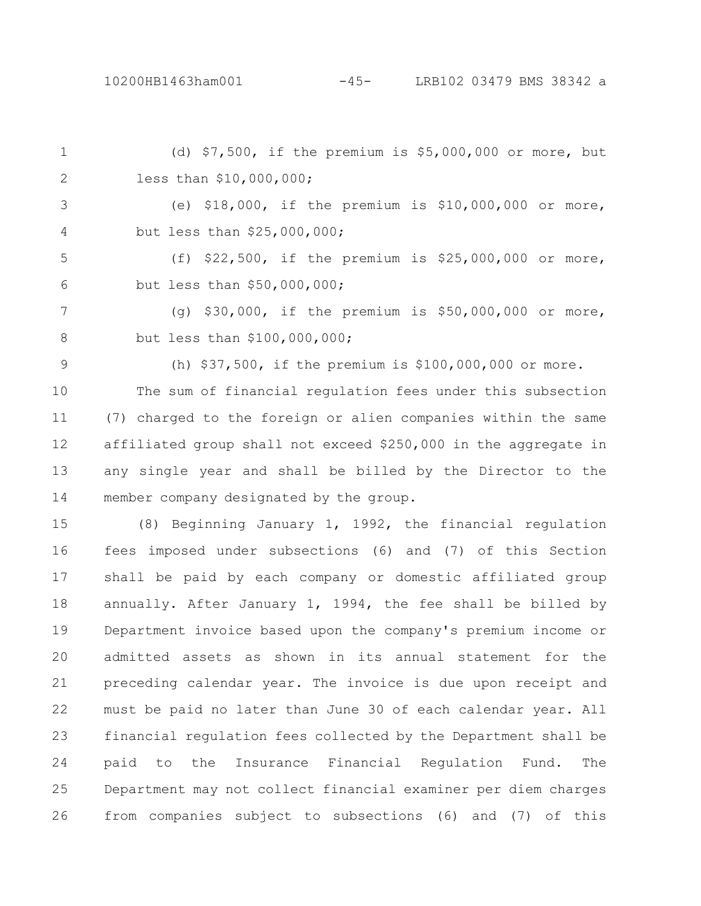(d) \$7,500, if the premium is \$5,000,000 or more, but less than \$10,000,000; (e) \$18,000, if the premium is \$10,000,000 or more, but less than \$25,000,000; (f) \$22,500, if the premium is \$25,000,000 or more, but less than \$50,000,000; (g) \$30,000, if the premium is \$50,000,000 or more, but less than \$100,000,000; (h) \$37,500, if the premium is \$100,000,000 or more. The sum of financial regulation fees under this subsection (7) charged to the foreign or alien companies within the same 1 2 3 4 5 6 7 8 9 10 11

affiliated group shall not exceed \$250,000 in the aggregate in any single year and shall be billed by the Director to the member company designated by the group. 12 13 14

(8) Beginning January 1, 1992, the financial regulation fees imposed under subsections (6) and (7) of this Section shall be paid by each company or domestic affiliated group annually. After January 1, 1994, the fee shall be billed by Department invoice based upon the company's premium income or admitted assets as shown in its annual statement for the preceding calendar year. The invoice is due upon receipt and must be paid no later than June 30 of each calendar year. All financial regulation fees collected by the Department shall be paid to the Insurance Financial Regulation Fund. The Department may not collect financial examiner per diem charges from companies subject to subsections (6) and (7) of this 15 16 17 18 19 20 21 22 23 24 25 26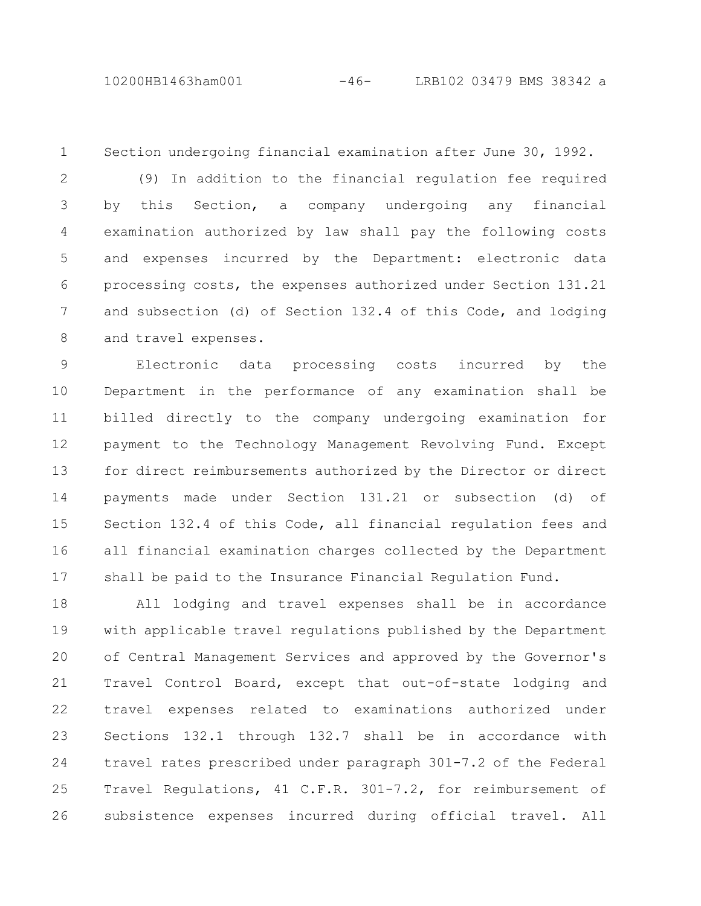10200HB1463ham001 -46- LRB102 03479 BMS 38342 a

1

Section undergoing financial examination after June 30, 1992.

(9) In addition to the financial regulation fee required by this Section, a company undergoing any financial examination authorized by law shall pay the following costs and expenses incurred by the Department: electronic data processing costs, the expenses authorized under Section 131.21 and subsection (d) of Section 132.4 of this Code, and lodging and travel expenses. 2 3 4 5 6 7 8

Electronic data processing costs incurred by the Department in the performance of any examination shall be billed directly to the company undergoing examination for payment to the Technology Management Revolving Fund. Except for direct reimbursements authorized by the Director or direct payments made under Section 131.21 or subsection (d) of Section 132.4 of this Code, all financial regulation fees and all financial examination charges collected by the Department shall be paid to the Insurance Financial Regulation Fund. 9 10 11 12 13 14 15 16 17

All lodging and travel expenses shall be in accordance with applicable travel regulations published by the Department of Central Management Services and approved by the Governor's Travel Control Board, except that out-of-state lodging and travel expenses related to examinations authorized under Sections 132.1 through 132.7 shall be in accordance with travel rates prescribed under paragraph 301-7.2 of the Federal Travel Regulations, 41 C.F.R. 301-7.2, for reimbursement of subsistence expenses incurred during official travel. All 18 19 20 21 22 23 24 25 26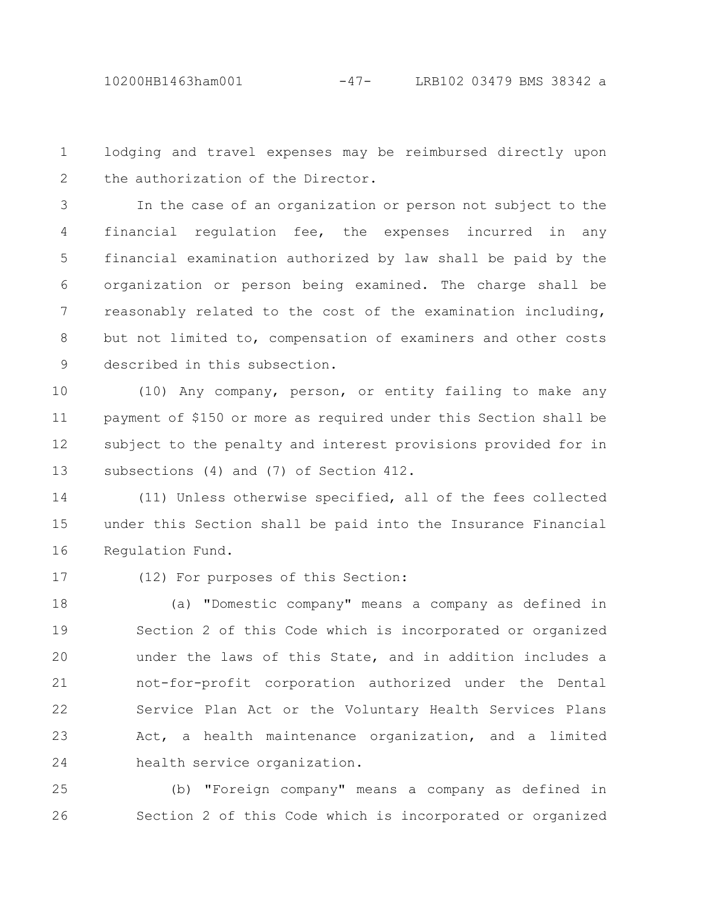lodging and travel expenses may be reimbursed directly upon the authorization of the Director. 1 2

In the case of an organization or person not subject to the financial regulation fee, the expenses incurred in any financial examination authorized by law shall be paid by the organization or person being examined. The charge shall be reasonably related to the cost of the examination including, but not limited to, compensation of examiners and other costs described in this subsection. 3 4 5 6 7 8 9

(10) Any company, person, or entity failing to make any payment of \$150 or more as required under this Section shall be subject to the penalty and interest provisions provided for in subsections (4) and (7) of Section 412. 10 11 12 13

(11) Unless otherwise specified, all of the fees collected under this Section shall be paid into the Insurance Financial Regulation Fund. 14 15 16

17

## (12) For purposes of this Section:

(a) "Domestic company" means a company as defined in Section 2 of this Code which is incorporated or organized under the laws of this State, and in addition includes a not-for-profit corporation authorized under the Dental Service Plan Act or the Voluntary Health Services Plans Act, a health maintenance organization, and a limited health service organization. 18 19 20 21 22 23 24

(b) "Foreign company" means a company as defined in Section 2 of this Code which is incorporated or organized 25 26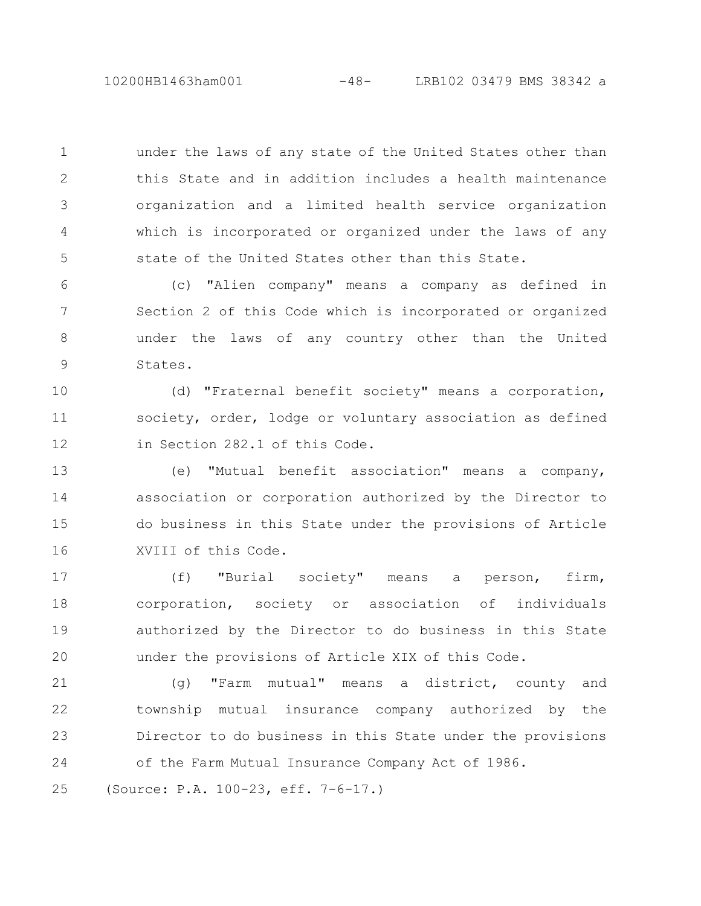10200HB1463ham001 -48- LRB102 03479 BMS 38342 a

under the laws of any state of the United States other than this State and in addition includes a health maintenance organization and a limited health service organization which is incorporated or organized under the laws of any state of the United States other than this State. 1 2 3 4 5

(c) "Alien company" means a company as defined in Section 2 of this Code which is incorporated or organized under the laws of any country other than the United States. 6 7 8 9

(d) "Fraternal benefit society" means a corporation, society, order, lodge or voluntary association as defined in Section 282.1 of this Code. 10 11 12

(e) "Mutual benefit association" means a company, association or corporation authorized by the Director to do business in this State under the provisions of Article XVIII of this Code. 13 14 15 16

(f) "Burial society" means a person, firm, corporation, society or association of individuals authorized by the Director to do business in this State under the provisions of Article XIX of this Code. 17 18 19 20

(g) "Farm mutual" means a district, county and township mutual insurance company authorized by the Director to do business in this State under the provisions of the Farm Mutual Insurance Company Act of 1986. 21 22 23 24

(Source: P.A. 100-23, eff. 7-6-17.) 25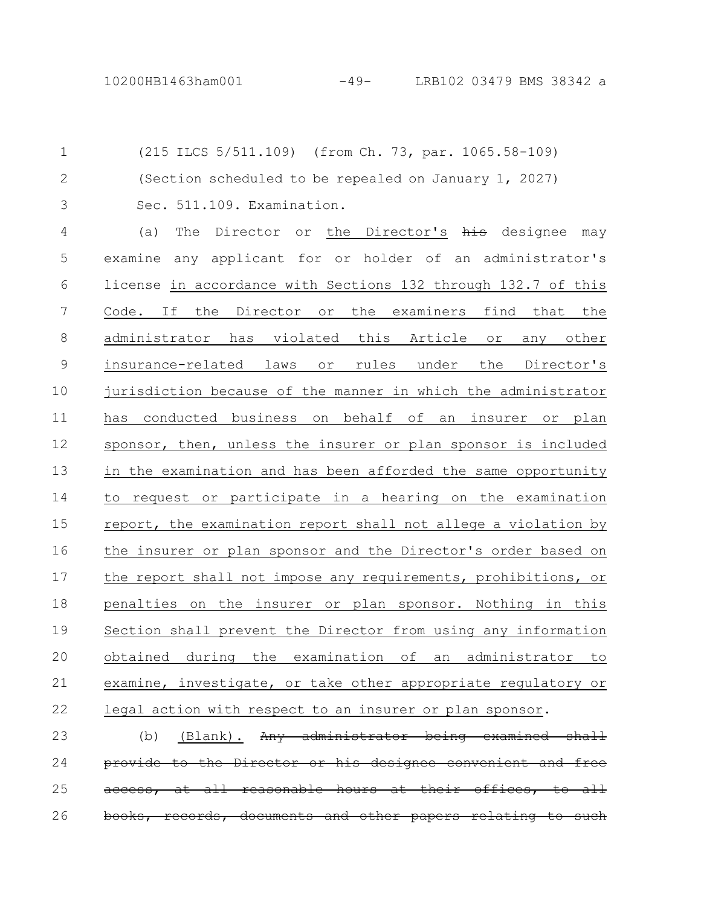(215 ILCS 5/511.109) (from Ch. 73, par. 1065.58-109) (Section scheduled to be repealed on January 1, 2027) Sec. 511.109. Examination. 1 2 3

(a) The Director or the Director's his designee may examine any applicant for or holder of an administrator's license in accordance with Sections 132 through 132.7 of this Code. If the Director or the examiners find that the administrator has violated this Article or any other insurance-related laws or rules under the Director's jurisdiction because of the manner in which the administrator has conducted business on behalf of an insurer or plan sponsor, then, unless the insurer or plan sponsor is included in the examination and has been afforded the same opportunity to request or participate in a hearing on the examination report, the examination report shall not allege a violation by the insurer or plan sponsor and the Director's order based on the report shall not impose any requirements, prohibitions, or penalties on the insurer or plan sponsor. Nothing in this Section shall prevent the Director from using any information obtained during the examination of an administrator to examine, investigate, or take other appropriate regulatory or legal action with respect to an insurer or plan sponsor. 4 5 6 7 8 9 10 11 12 13 14 15 16 17 18 19 20 21 22

 $(b)$  (Blank). Any administrator being examined provide to the Director or his designee convenient reasonable hours records, documents and other papers 23 24 25 26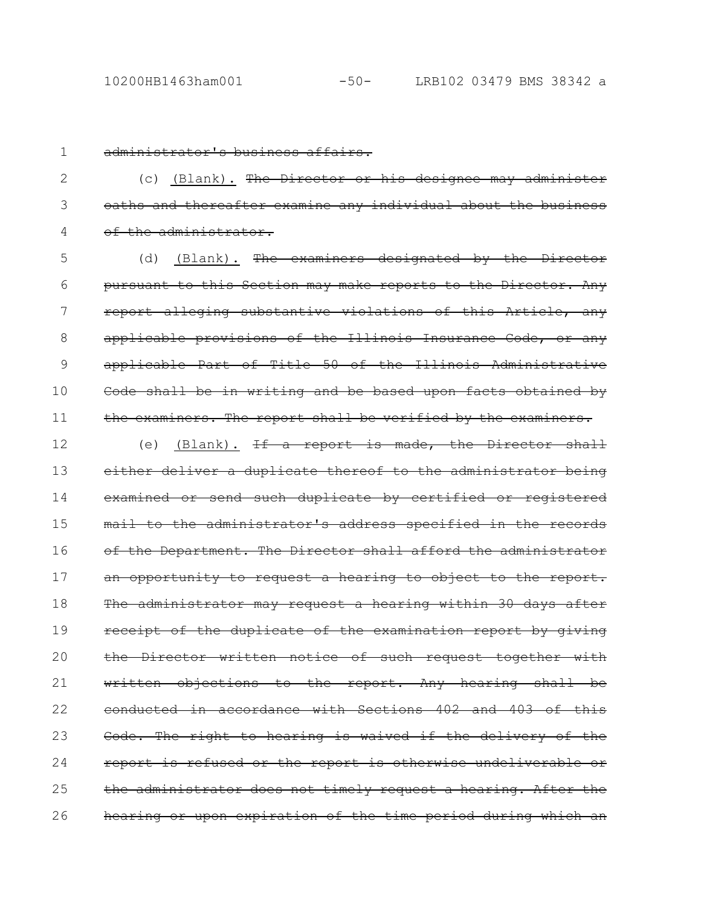1

## administrator's business affairs.

(c) (Blank). The Director or his designee may administer oaths and thereafter examine any individual about the business of the administrator. 2 3 4

(d) (Blank). The examiners designated by the Director pursuant to this Section may make reports to the Director. Any report alleging substantive violations of this Article, any applicable provisions of the Illinois Insurance Code, or any applicable Part of Title 50 of the Illinois Administrative Code shall be in writing and be based upon facts obtained by the examiners. The report shall be verified by the examiners. 5 6 7 8 9 10 11

(e) (Blank). <del>If a report is made, the Director shall</del> either deliver a duplicate thereof to the administrator being examined or send such duplicate by certified or registered mail to the administrator's address specified in the of the Department. The Director shall afford the administrator an opportunity to request a hearing to object to the report. The administrator may request a hearing within 30 days after receipt of the duplicate of the examination report by giving the Director written notice of such request together with written objections to the report. Any hearing shall be conducted in accordance with Sections 402 and 403 of this Code. The right to hearing is waived if the delivery of the report is refused or the report is otherwise undeliverable the administrator does not timely request a hearing. After the hearing or upon expiration of the time period during which an 12 13 14 15 16 17 18 19 20 21 22 23 24 25 26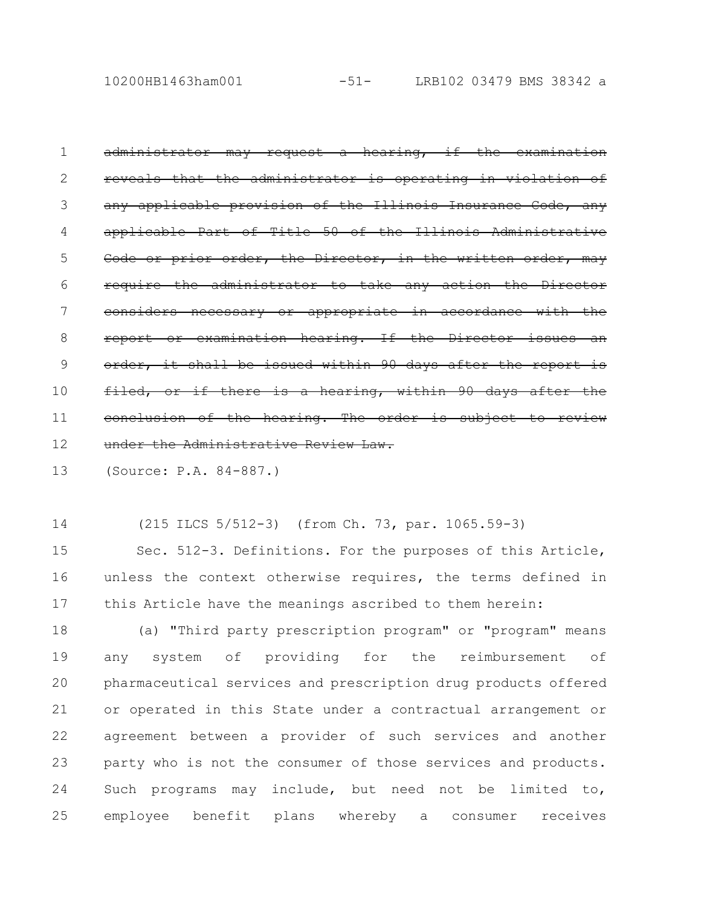10200HB1463ham001 -51- LRB102 03479 BMS 38342 a

administrator may request a hearing, if reveals that the administrator is operating in violation of any applicable provision of the Illinois Insurance Cod applicable Part of Title 50 of the Illinois Admin Code or prior order, the Director, in the written require the administrator to take any action considers necessary or appropriate in accordance with the report or examination hearing. If the Director order, it shall be issued within 90 days after filed, or if there is a hearing, within 90 days after conclusion of the hearing. The order is subject under the Administrative Review Law. 1 2 3 4 5 6 7 8 9 10 11 12

(Source: P.A. 84-887.) 13

(215 ILCS 5/512-3) (from Ch. 73, par. 1065.59-3) 14

Sec. 512-3. Definitions. For the purposes of this Article, unless the context otherwise requires, the terms defined in this Article have the meanings ascribed to them herein: 15 16 17

(a) "Third party prescription program" or "program" means any system of providing for the reimbursement of pharmaceutical services and prescription drug products offered or operated in this State under a contractual arrangement or agreement between a provider of such services and another party who is not the consumer of those services and products. Such programs may include, but need not be limited to, employee benefit plans whereby a consumer receives 18 19 20 21 22 23 24 25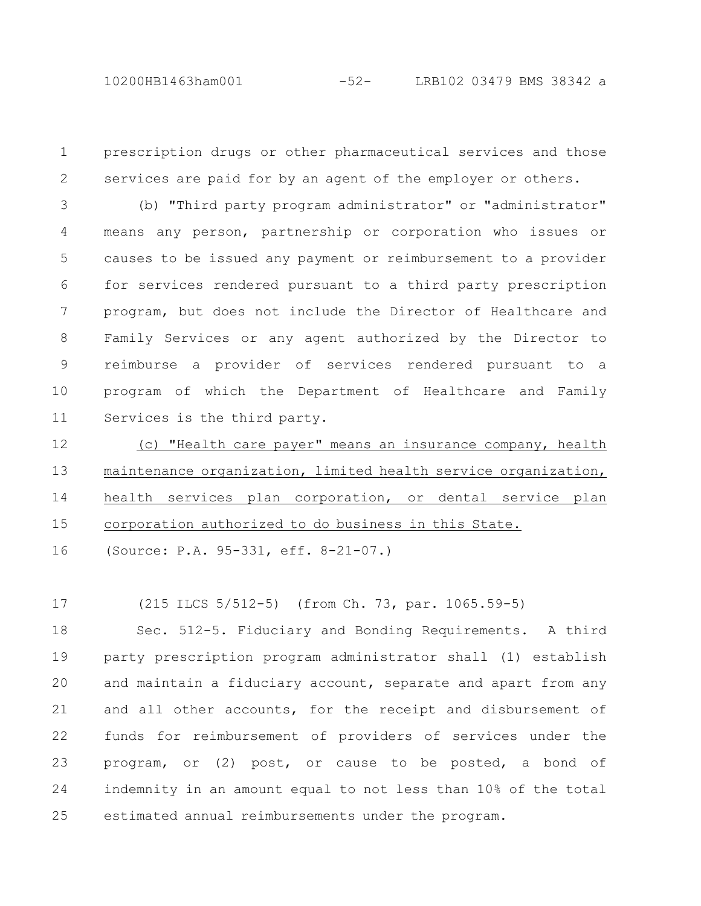prescription drugs or other pharmaceutical services and those services are paid for by an agent of the employer or others. 1 2

(b) "Third party program administrator" or "administrator" means any person, partnership or corporation who issues or causes to be issued any payment or reimbursement to a provider for services rendered pursuant to a third party prescription program, but does not include the Director of Healthcare and Family Services or any agent authorized by the Director to reimburse a provider of services rendered pursuant to a program of which the Department of Healthcare and Family Services is the third party. 3 4 5 6 7 8 9 10 11

(c) "Health care payer" means an insurance company, health maintenance organization, limited health service organization, health services plan corporation, or dental service plan corporation authorized to do business in this State. 12 13 14 15

(Source: P.A. 95-331, eff. 8-21-07.) 16

(215 ILCS 5/512-5) (from Ch. 73, par. 1065.59-5) 17

Sec. 512-5. Fiduciary and Bonding Requirements. A third party prescription program administrator shall (1) establish and maintain a fiduciary account, separate and apart from any and all other accounts, for the receipt and disbursement of funds for reimbursement of providers of services under the program, or (2) post, or cause to be posted, a bond of indemnity in an amount equal to not less than 10% of the total estimated annual reimbursements under the program. 18 19 20 21 22 23 24 25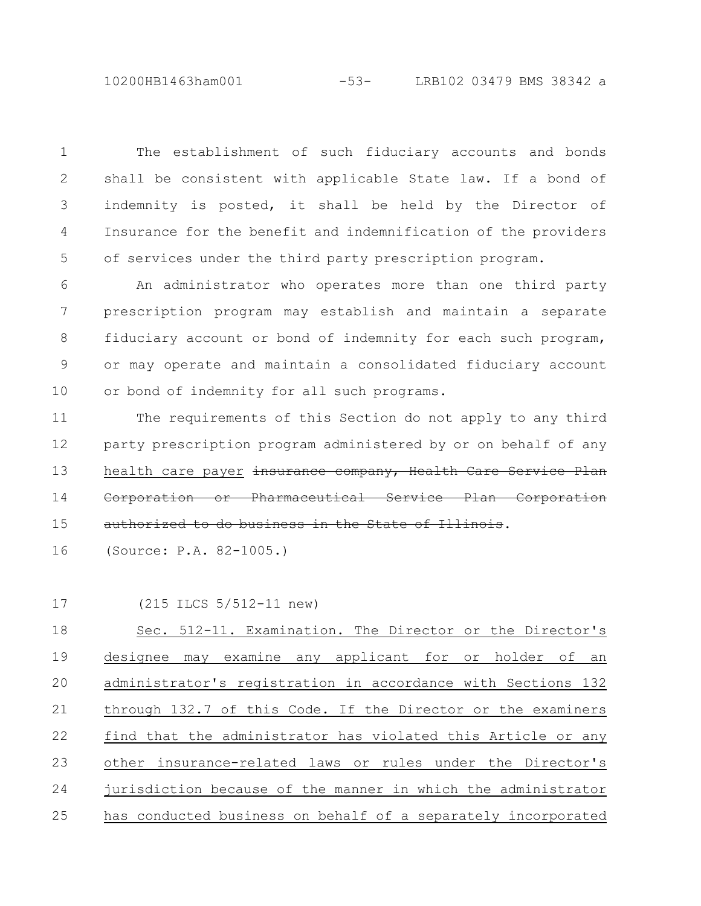## 10200HB1463ham001 -53- LRB102 03479 BMS 38342 a

The establishment of such fiduciary accounts and bonds shall be consistent with applicable State law. If a bond of indemnity is posted, it shall be held by the Director of Insurance for the benefit and indemnification of the providers of services under the third party prescription program. 1 2 3 4 5

An administrator who operates more than one third party prescription program may establish and maintain a separate fiduciary account or bond of indemnity for each such program, or may operate and maintain a consolidated fiduciary account or bond of indemnity for all such programs. 6 7 8 9 10

The requirements of this Section do not apply to any third party prescription program administered by or on behalf of any health care payer insurance company, Health Care Service Corporation or Pharmaceutical Service Plan Corporation authorized to do business in the State 11 12 13 14 15

(Source: P.A. 82-1005.) 16

(215 ILCS 5/512-11 new) 17

Sec. 512-11. Examination. The Director or the Director's designee may examine any applicant for or holder of an administrator's registration in accordance with Sections 132 through 132.7 of this Code. If the Director or the examiners find that the administrator has violated this Article or any other insurance-related laws or rules under the Director's jurisdiction because of the manner in which the administrator has conducted business on behalf of a separately incorporated 18 19 20 21 22 23 24 25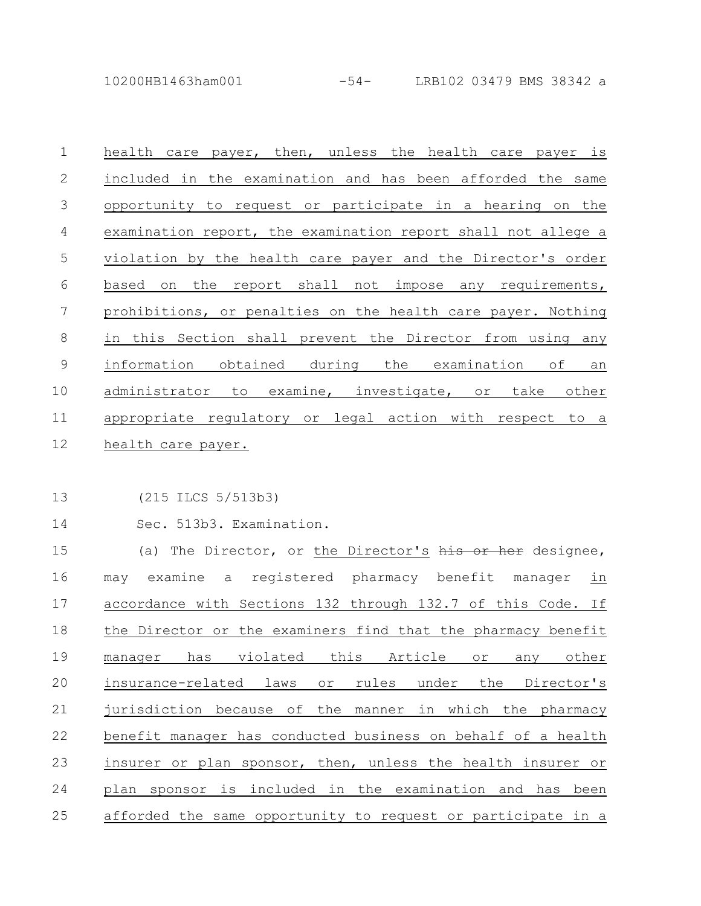10200HB1463ham001 -54- LRB102 03479 BMS 38342 a

health care payer, then, unless the health care payer is included in the examination and has been afforded the same opportunity to request or participate in a hearing on the examination report, the examination report shall not allege a violation by the health care payer and the Director's order based on the report shall not impose any requirements, prohibitions, or penalties on the health care payer. Nothing in this Section shall prevent the Director from using any information obtained during the examination of an administrator to examine, investigate, or take other appropriate regulatory or legal action with respect to a health care payer. 1 2 3 4 5 6 7 8 9 10 11 12

(215 ILCS 5/513b3) 13

Sec. 513b3. Examination. 14

(a) The Director, or the Director's his or her designee, may examine a registered pharmacy benefit manager in accordance with Sections 132 through 132.7 of this Code. If the Director or the examiners find that the pharmacy benefit manager has violated this Article or any other insurance-related laws or rules under the Director's jurisdiction because of the manner in which the pharmacy benefit manager has conducted business on behalf of a health insurer or plan sponsor, then, unless the health insurer or plan sponsor is included in the examination and has been afforded the same opportunity to request or participate in a 15 16 17 18 19 20 21 22 23 24 25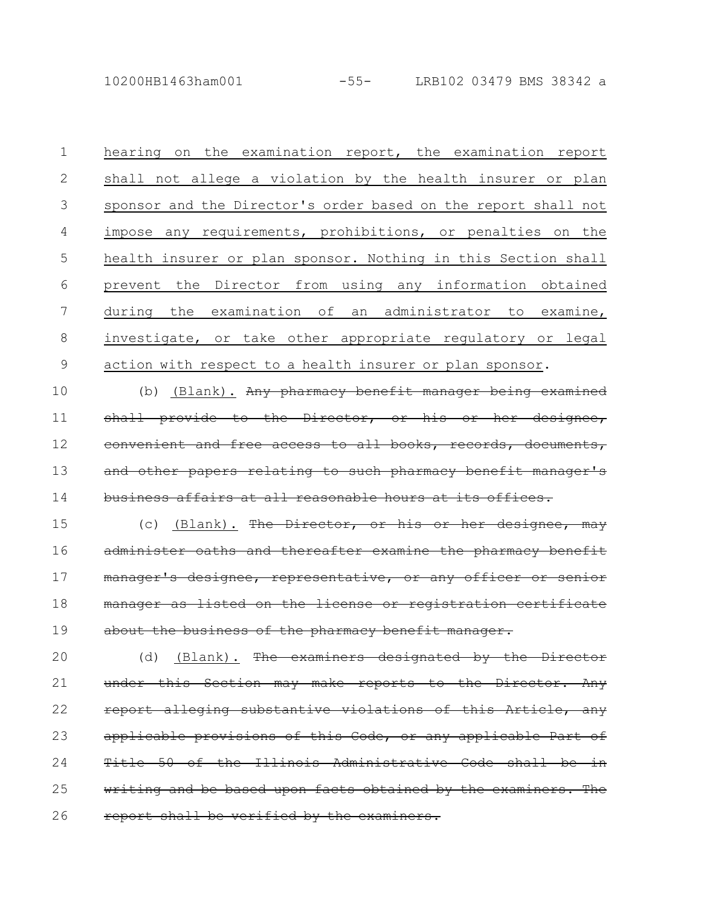10200HB1463ham001 -55- LRB102 03479 BMS 38342 a

hearing on the examination report, the examination report shall not allege a violation by the health insurer or plan sponsor and the Director's order based on the report shall not impose any requirements, prohibitions, or penalties on the health insurer or plan sponsor. Nothing in this Section shall prevent the Director from using any information obtained during the examination of an administrator to examine, investigate, or take other appropriate regulatory or legal action with respect to a health insurer or plan sponsor. 1 2 3 4 5 6 7 8 9

(b) (Blank). Any pharmacy benefit manager being examined shall provide to the Director, or his or her designee, convenient and free access to all books, records, documents, and other papers relating to such pharmacy benefit manager's business affairs at all reasonable hours at 10 11 12 13 14

(c) (Blank). The Director, or his or her designe administer oaths and thereafter examine the pharmacy benefit manager's designee, representative, or any officer manager as listed on the license or registration certificate about the business of the pharmacy benefit manager. 15 16 17 18 19

(d) (Blank). The examiners designated by the Director under this Section may make reports to the Director. Any report alleging substantive violations of this Article, any applicable provisions of this Code, or any applicable Part Title 50 of the Illinois Administrative Code shall ting and be based upon facts obtained by the examiners. report shall be verified by the examiners. 20 21 22 23 24 25 26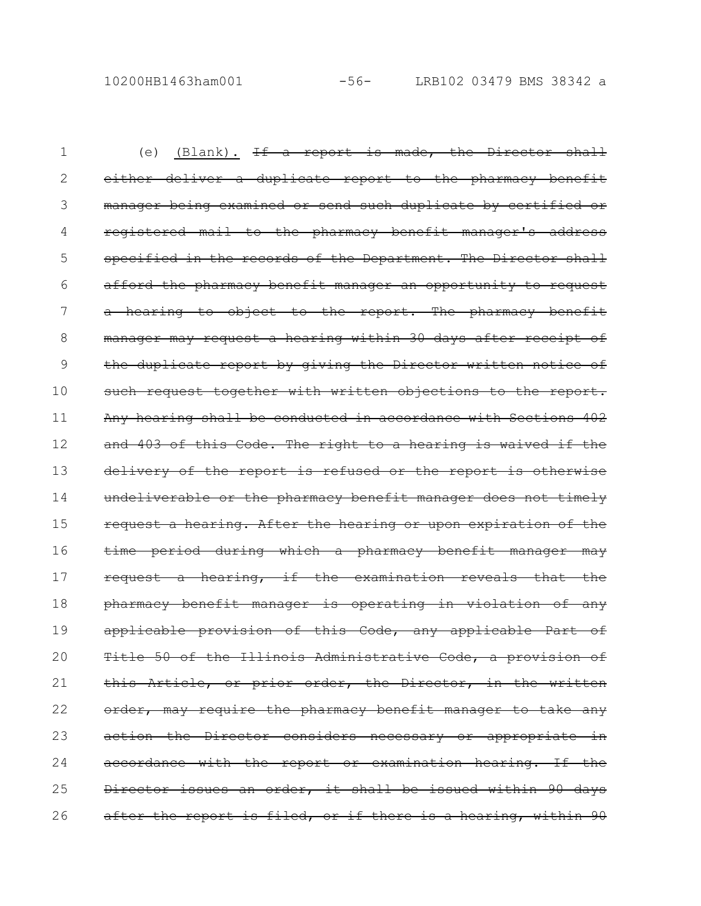(e) (Blank).  $If a$  report is made, the Director shall either deliver a duplicate report to the pharmacy benefit manager being examined or send such duplicate by certified or registered mail to the pharmacy benefit manager's address specified in the records of the Department. The Director shall afford the pharmacy benefit manager an opportunity to request a hearing to object to the report. The pharmacy benefit manager may request a hearing within 30 days after receipt of the duplicate report by giving the Director written notice of such request together with written objections to the report. Any hearing shall be conducted in accordance with Sections 402 and 403 of this Code. The right to a hearing is waived if the delivery of the report is refused or the report is otherwise undeliverable or the pharmacy benefit manager does not timely request a hearing. After the hearing or upon expiration of time period during which a pharmacy benefit manager may request a hearing, if the examination reveals that the pharmacy benefit manager is operating in violation of any applicable provision of this Code, any applicable Part of Title 50 of the Illinois Administrative Code, a provision this Article, or prior order, the Director, in the written order, may require the pharmacy benefit manager to take any action the Director considers necessary or appropriate accordance with the report or examination hearing. If the Director issues an order, it shall be issued within 90 days after the report is filed, or if there is a hearing, within 90 1 2 3 4 5 6 7 8 9 10 11 12 13 14 15 16 17 18 19 20 21 22 23 24 25 26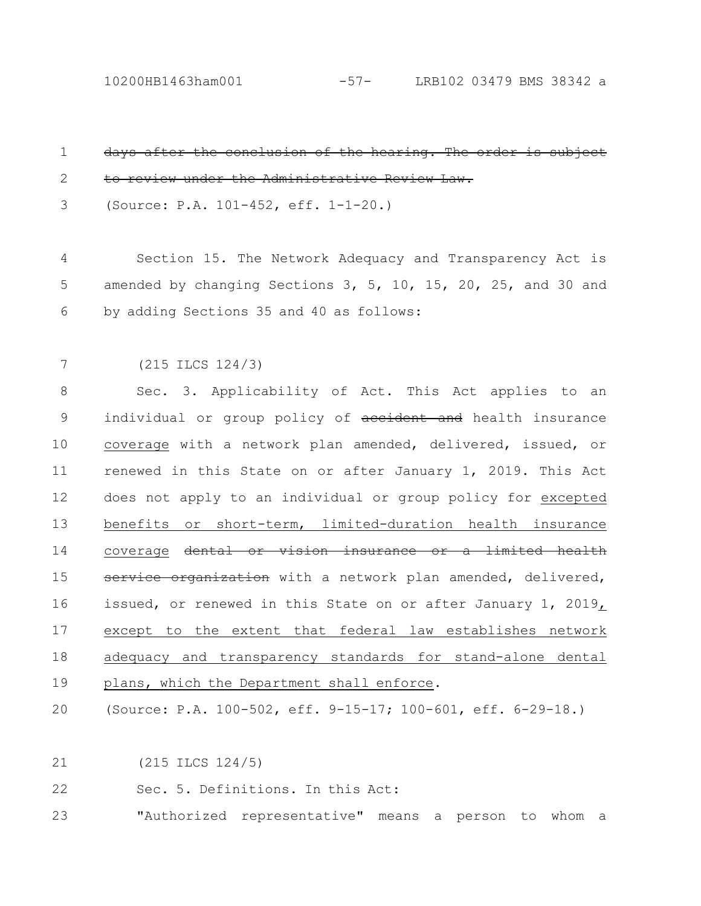10200HB1463ham001 -57- LRB102 03479 BMS 38342 a

| $\mathbf 1$ | days after the conclusion of the hearing. The order is sub-   |
|-------------|---------------------------------------------------------------|
| 2           | to review under the Administrative Review Law.                |
| 3           | (Source: P.A. 101-452, eff. 1-1-20.)                          |
|             |                                                               |
| 4           | Section 15. The Network Adequacy and Transparency Act is      |
| 5           | amended by changing Sections 3, 5, 10, 15, 20, 25, and 30 and |
| 6           | by adding Sections 35 and 40 as follows:                      |
|             |                                                               |
| 7           | $(215$ ILCS $124/3)$                                          |
| 8           | Sec. 3. Applicability of Act. This Act applies to an          |
| 9           | individual or group policy of aceident and health insurance   |
| 10          | coverage with a network plan amended, delivered, issued, or   |
| 11          | renewed in this State on or after January 1, 2019. This Act   |
| 12          | does not apply to an individual or group policy for excepted  |
| 13          | benefits or short-term, limited-duration health insurance     |
| 14          | coverage dental or vision insurance or a limited health       |
| 15          | service organization with a network plan amended, delivered,  |
| 16          | issued, or renewed in this State on or after January 1, 2019, |
| 17          | except to the extent that federal law establishes network     |
| 18          | adequacy and transparency standards for stand-alone dental    |
| 19          | plans, which the Department shall enforce.                    |
| 20          | (Source: P.A. 100-502, eff. 9-15-17; 100-601, eff. 6-29-18.)  |
|             |                                                               |
|             |                                                               |

(215 ILCS 124/5) 21

22 Sec. 5. Definitions. In this Act:

"Authorized representative" means a person to whom a 23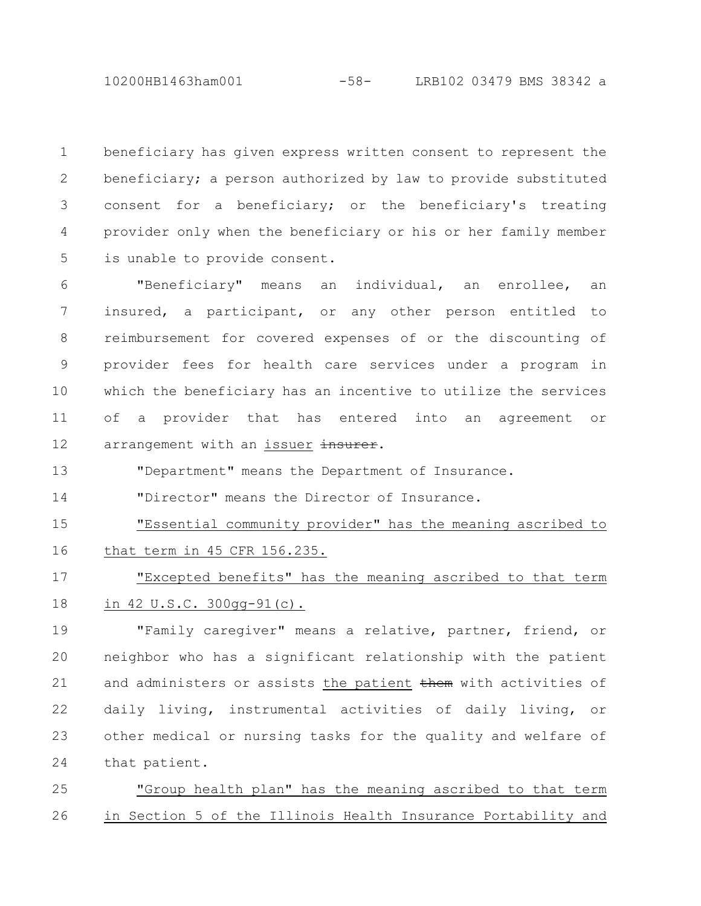10200HB1463ham001 -58- LRB102 03479 BMS 38342 a

beneficiary has given express written consent to represent the beneficiary; a person authorized by law to provide substituted consent for a beneficiary; or the beneficiary's treating provider only when the beneficiary or his or her family member is unable to provide consent. 1 2 3 4 5

"Beneficiary" means an individual, an enrollee, an insured, a participant, or any other person entitled to reimbursement for covered expenses of or the discounting of provider fees for health care services under a program in which the beneficiary has an incentive to utilize the services of a provider that has entered into an agreement or arrangement with an issuer insurer. 6 7 8 9 10 11 12

"Department" means the Department of Insurance. 13

"Director" means the Director of Insurance. 14

"Essential community provider" has the meaning ascribed to that term in 45 CFR 156.235. 15 16

"Excepted benefits" has the meaning ascribed to that term in 42 U.S.C. 300gg-91(c). 17 18

"Family caregiver" means a relative, partner, friend, or neighbor who has a significant relationship with the patient and administers or assists the patient them with activities of daily living, instrumental activities of daily living, or other medical or nursing tasks for the quality and welfare of that patient. 19 20 21 22 23 24

"Group health plan" has the meaning ascribed to that term in Section 5 of the Illinois Health Insurance Portability and 25 26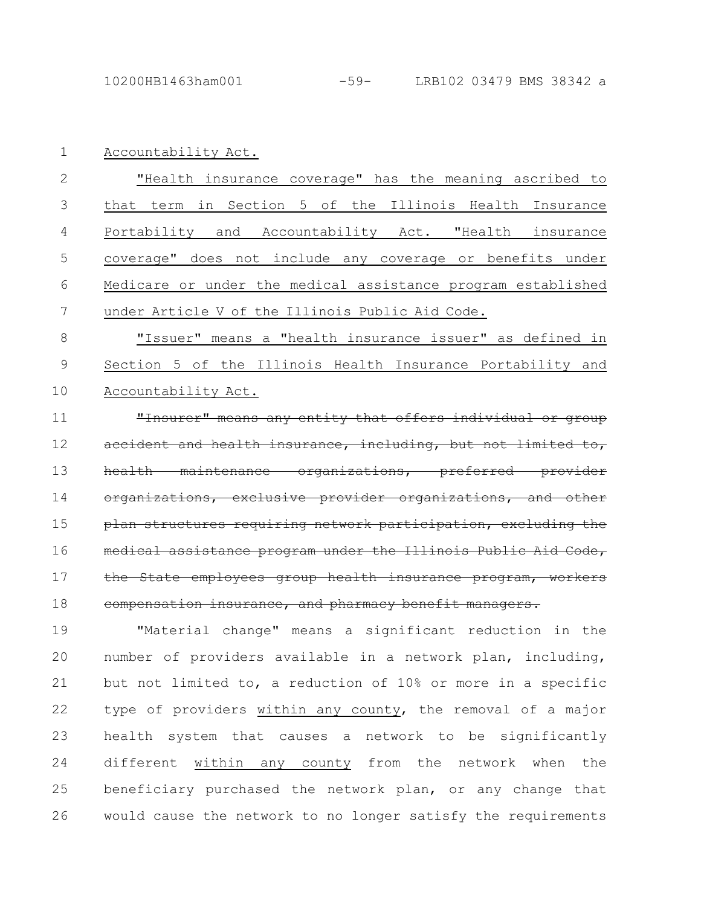Accountability Act. 1

"Health insurance coverage" has the meaning ascribed to that term in Section 5 of the Illinois Health Insurance Portability and Accountability Act. "Health insurance coverage" does not include any coverage or benefits under Medicare or under the medical assistance program established under Article V of the Illinois Public Aid Code. 2 3 4 5 6 7

"Issuer" means a "health insurance issuer" as defined in Section 5 of the Illinois Health Insurance Portability and Accountability Act. 8 9 10

"Insurer" means any entity that offers individual or group accident and health insurance, including, but not limited health maintenance organizations, preferred organizations, exclusive provider organizations, plan structures requiring network participation, medical assistance program under the Illinois Public Aid Code, the State employees group health insurance program, workers compensation insurance, and pharmacy benefit managers. 11 12 13 14 15 16 17 18

"Material change" means a significant reduction in the number of providers available in a network plan, including, but not limited to, a reduction of 10% or more in a specific type of providers within any county, the removal of a major health system that causes a network to be significantly different within any county from the network when the beneficiary purchased the network plan, or any change that would cause the network to no longer satisfy the requirements 19 20 21 22 23 24 25 26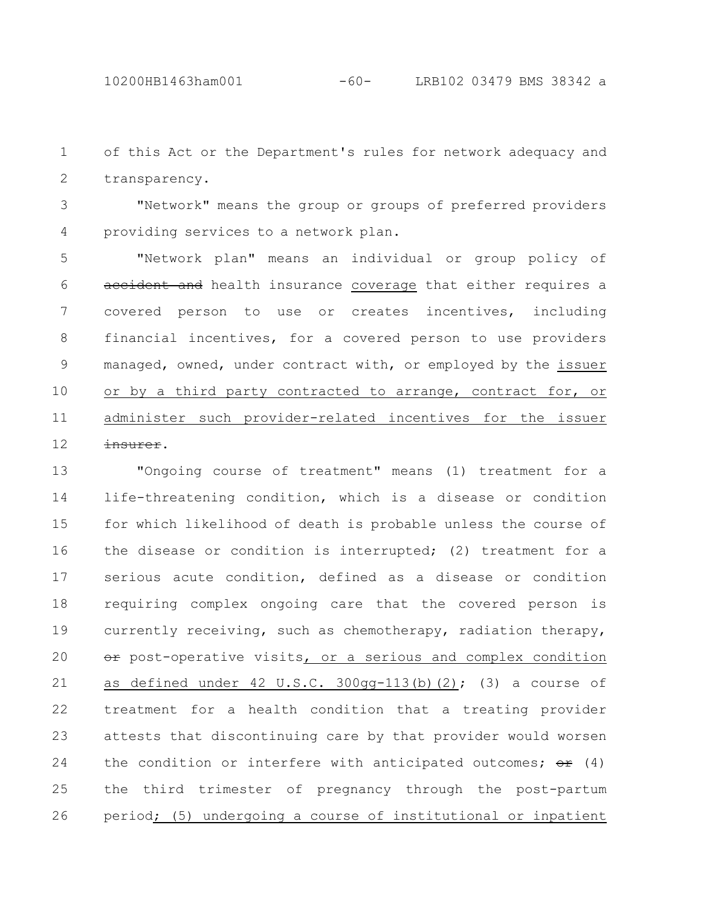of this Act or the Department's rules for network adequacy and transparency. 1 2

"Network" means the group or groups of preferred providers providing services to a network plan. 3 4

"Network plan" means an individual or group policy of accident and health insurance coverage that either requires a covered person to use or creates incentives, including financial incentives, for a covered person to use providers managed, owned, under contract with, or employed by the issuer or by a third party contracted to arrange, contract for, or administer such provider-related incentives for the issuer insurer. 5 6 7 8 9 10 11 12

"Ongoing course of treatment" means (1) treatment for a life-threatening condition, which is a disease or condition for which likelihood of death is probable unless the course of the disease or condition is interrupted; (2) treatment for a serious acute condition, defined as a disease or condition requiring complex ongoing care that the covered person is currently receiving, such as chemotherapy, radiation therapy, or post-operative visits, or a serious and complex condition as defined under  $42 \text{ U.S.C. } 300$ gg-113(b)(2); (3) a course of treatment for a health condition that a treating provider attests that discontinuing care by that provider would worsen the condition or interfere with anticipated outcomes;  $\Theta$   $\div$  (4) the third trimester of pregnancy through the post-partum period; (5) undergoing a course of institutional or inpatient 13 14 15 16 17 18 19 20 21 22 23 24 25 26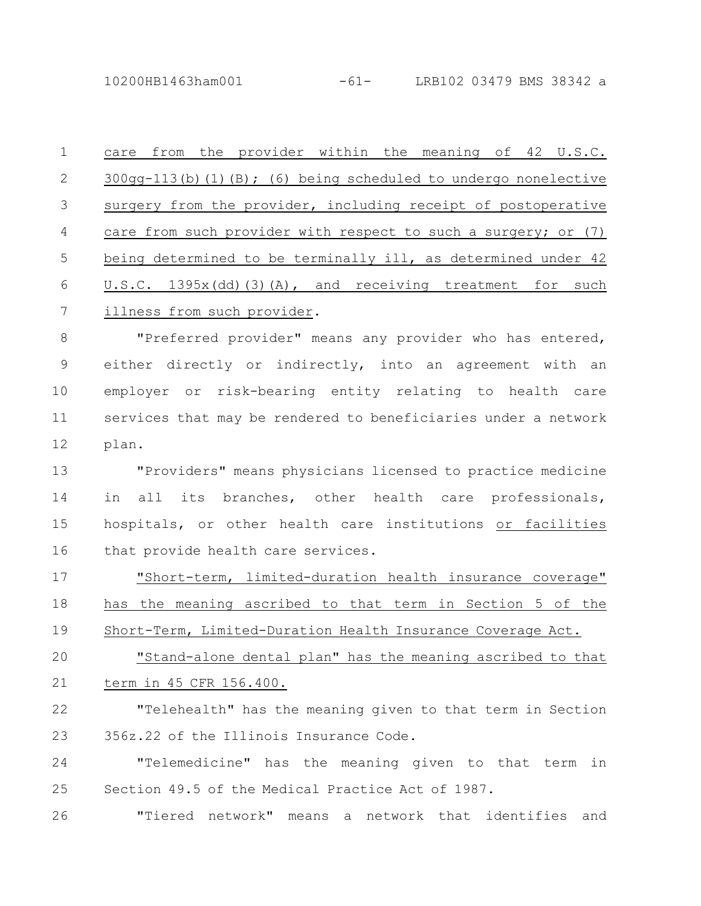10200HB1463ham001 -61- LRB102 03479 BMS 38342 a

care from the provider within the meaning of 42 U.S.C. 300gg-113(b)(1)(B); (6) being scheduled to undergo nonelective surgery from the provider, including receipt of postoperative care from such provider with respect to such a surgery; or (7) being determined to be terminally ill, as determined under 42 U.S.C. 1395x(dd)(3)(A), and receiving treatment for such illness from such provider. 1 2 3 4 5 6 7

"Preferred provider" means any provider who has entered, either directly or indirectly, into an agreement with an employer or risk-bearing entity relating to health care services that may be rendered to beneficiaries under a network plan. 8 9 10 11 12

"Providers" means physicians licensed to practice medicine in all its branches, other health care professionals, hospitals, or other health care institutions or facilities that provide health care services. 13 14 15 16

"Short-term, limited-duration health insurance coverage" has the meaning ascribed to that term in Section 5 of the Short-Term, Limited-Duration Health Insurance Coverage Act. 17 18 19

"Stand-alone dental plan" has the meaning ascribed to that term in 45 CFR 156.400. 20 21

"Telehealth" has the meaning given to that term in Section 356z.22 of the Illinois Insurance Code. 22 23

"Telemedicine" has the meaning given to that term in Section 49.5 of the Medical Practice Act of 1987. 24 25

"Tiered network" means a network that identifies and 26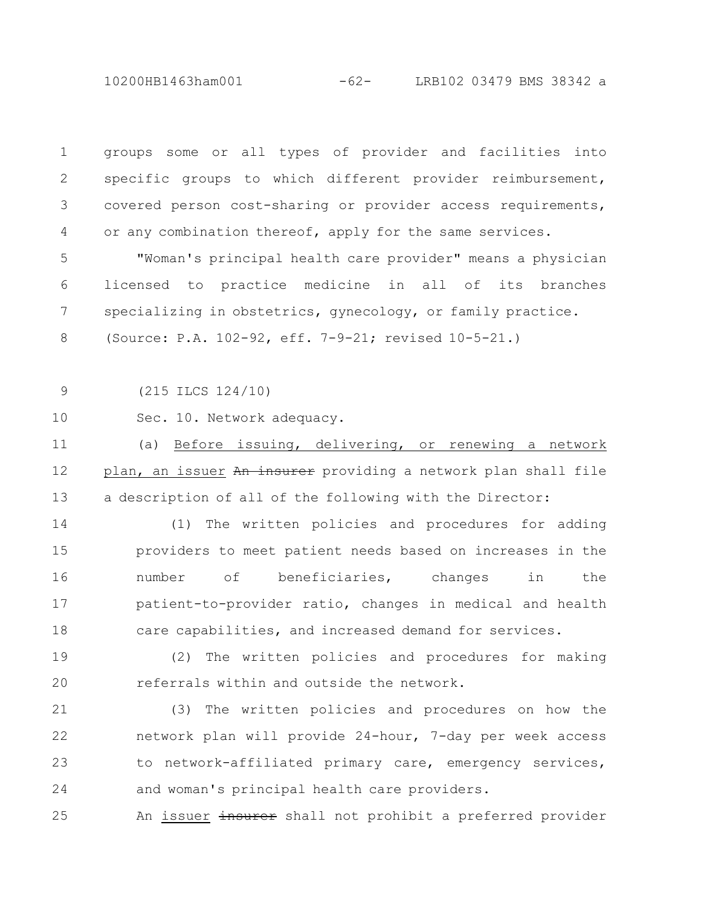10200HB1463ham001 -62- LRB102 03479 BMS 38342 a

| $\mathbf 1$   | groups some or all types of provider and facilities into       |
|---------------|----------------------------------------------------------------|
| $\mathbf{2}$  | specific groups to which different provider reimbursement,     |
| 3             | covered person cost-sharing or provider access requirements,   |
| 4             | or any combination thereof, apply for the same services.       |
| 5             | "Woman's principal health care provider" means a physician     |
| 6             | licensed to practice medicine in all of its branches           |
| 7             | specializing in obstetrics, gynecology, or family practice.    |
| $8\,$         | (Source: P.A. 102-92, eff. 7-9-21; revised 10-5-21.)           |
|               |                                                                |
| $\mathcal{G}$ | $(215$ ILCS $124/10)$                                          |
| 10            | Sec. 10. Network adequacy.                                     |
| 11            | Before issuing, delivering, or renewing a network<br>(a)       |
| 12            | plan, an issuer An insurer providing a network plan shall file |
| 13            | a description of all of the following with the Director:       |
| 14            | The written policies and procedures for adding<br>(1)          |
| 15            | providers to meet patient needs based on increases in the      |
| 16            | of beneficiaries, changes<br>number<br>in<br>the               |
| 17            | patient-to-provider ratio, changes in medical and health       |
| 18            | care capabilities, and increased demand for services.          |
| 19            | (2)<br>The written policies and procedures for making          |
| 20            | referrals within and outside the network.                      |
| 21            | (3) The written policies and procedures on how the             |
| 22            | network plan will provide 24-hour, 7-day per week access       |
| 23            | to network-affiliated primary care, emergency services,        |
| 24            | and woman's principal health care providers.                   |

An issuer insurer shall not prohibit a preferred provider 25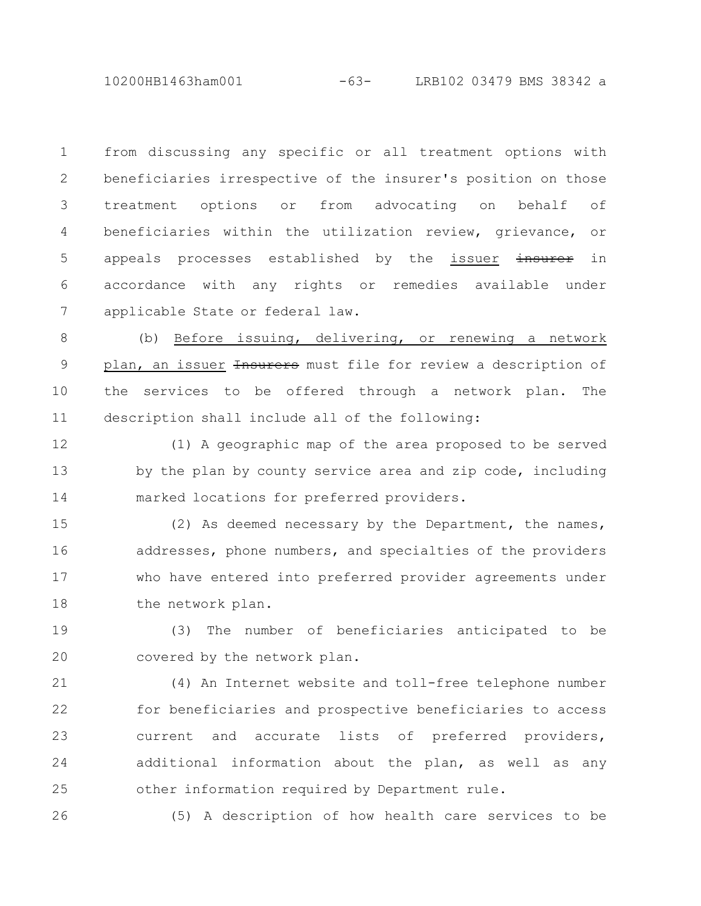10200HB1463ham001 -63- LRB102 03479 BMS 38342 a

from discussing any specific or all treatment options with beneficiaries irrespective of the insurer's position on those treatment options or from advocating on behalf of beneficiaries within the utilization review, grievance, or appeals processes established by the issuer insurer in accordance with any rights or remedies available under applicable State or federal law. 1 2 3 4 5 6 7

(b) Before issuing, delivering, or renewing a network plan, an issuer Hasurers must file for review a description of the services to be offered through a network plan. The description shall include all of the following: 8 9 10 11

(1) A geographic map of the area proposed to be served by the plan by county service area and zip code, including marked locations for preferred providers. 12 13 14

(2) As deemed necessary by the Department, the names, addresses, phone numbers, and specialties of the providers who have entered into preferred provider agreements under the network plan. 15 16 17 18

(3) The number of beneficiaries anticipated to be covered by the network plan. 19 20

(4) An Internet website and toll-free telephone number for beneficiaries and prospective beneficiaries to access current and accurate lists of preferred providers, additional information about the plan, as well as any other information required by Department rule. 21 22 23 24 25

26

(5) A description of how health care services to be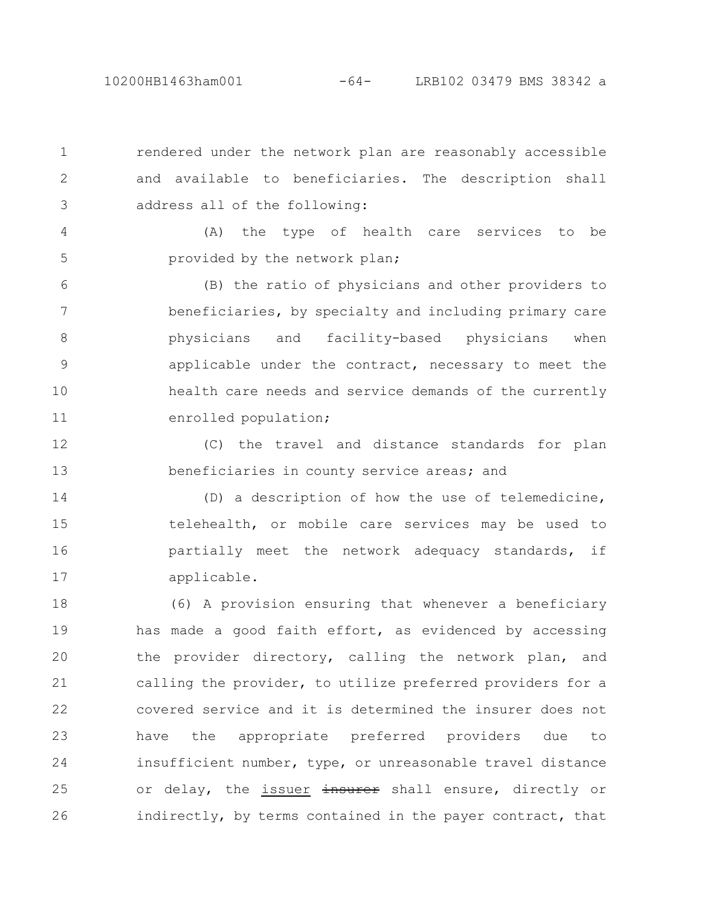1

2

3

rendered under the network plan are reasonably accessible and available to beneficiaries. The description shall address all of the following:

(A) the type of health care services to be provided by the network plan; 4 5

(B) the ratio of physicians and other providers to beneficiaries, by specialty and including primary care physicians and facility-based physicians when applicable under the contract, necessary to meet the health care needs and service demands of the currently enrolled population; 6 7 8 9 10 11

(C) the travel and distance standards for plan beneficiaries in county service areas; and 12 13

(D) a description of how the use of telemedicine, telehealth, or mobile care services may be used to partially meet the network adequacy standards, if applicable. 14 15 16 17

(6) A provision ensuring that whenever a beneficiary has made a good faith effort, as evidenced by accessing the provider directory, calling the network plan, and calling the provider, to utilize preferred providers for a covered service and it is determined the insurer does not have the appropriate preferred providers due to insufficient number, type, or unreasonable travel distance or delay, the issuer insurer shall ensure, directly or indirectly, by terms contained in the payer contract, that 18 19 20 21 22 23 24 25 26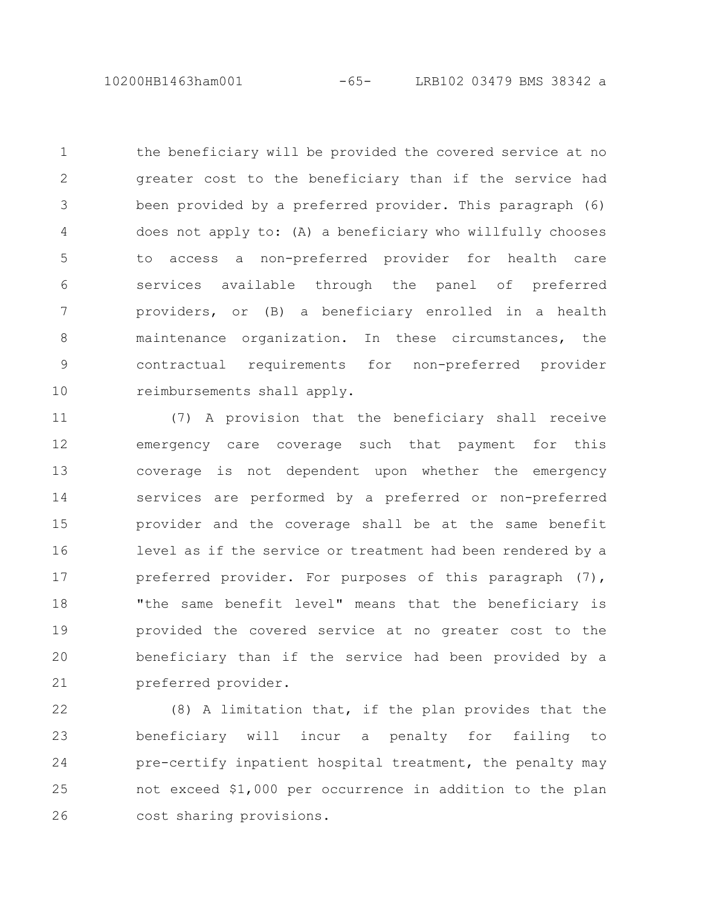10200HB1463ham001 -65- LRB102 03479 BMS 38342 a

the beneficiary will be provided the covered service at no greater cost to the beneficiary than if the service had been provided by a preferred provider. This paragraph (6) does not apply to: (A) a beneficiary who willfully chooses to access a non-preferred provider for health care services available through the panel of preferred providers, or (B) a beneficiary enrolled in a health maintenance organization. In these circumstances, the contractual requirements for non-preferred provider reimbursements shall apply. 1 2 3 4 5 6 7 8 9 10

(7) A provision that the beneficiary shall receive emergency care coverage such that payment for this coverage is not dependent upon whether the emergency services are performed by a preferred or non-preferred provider and the coverage shall be at the same benefit level as if the service or treatment had been rendered by a preferred provider. For purposes of this paragraph (7), "the same benefit level" means that the beneficiary is provided the covered service at no greater cost to the beneficiary than if the service had been provided by a preferred provider. 11 12 13 14 15 16 17 18 19 20 21

(8) A limitation that, if the plan provides that the beneficiary will incur a penalty for failing to pre-certify inpatient hospital treatment, the penalty may not exceed \$1,000 per occurrence in addition to the plan cost sharing provisions. 22 23 24 25 26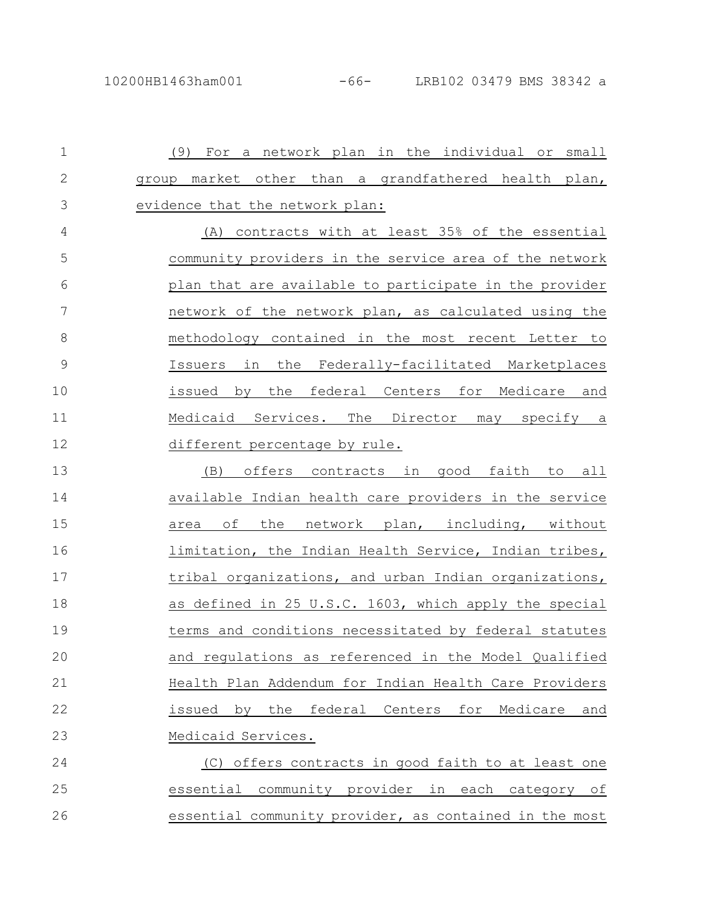(9) For a network plan in the individual or small group market other than a grandfathered health plan, evidence that the network plan: (A) contracts with at least 35% of the essential community providers in the service area of the network plan that are available to participate in the provider network of the network plan, as calculated using the methodology contained in the most recent Letter to Issuers in the Federally-facilitated Marketplaces issued by the federal Centers for Medicare and Medicaid Services. The Director may specify a different percentage by rule. (B) offers contracts in good faith to all available Indian health care providers in the service area of the network plan, including, without limitation, the Indian Health Service, Indian tribes, tribal organizations, and urban Indian organizations, as defined in 25 U.S.C. 1603, which apply the special terms and conditions necessitated by federal statutes and regulations as referenced in the Model Qualified Health Plan Addendum for Indian Health Care Providers issued by the federal Centers for Medicare and Medicaid Services. (C) offers contracts in good faith to at least one essential community provider in each category of essential community provider, as contained in the most 1 2 3 4 5 6 7 8 9 10 11 12 13 14 15 16 17 18 19 20 21 22 23 24 25 26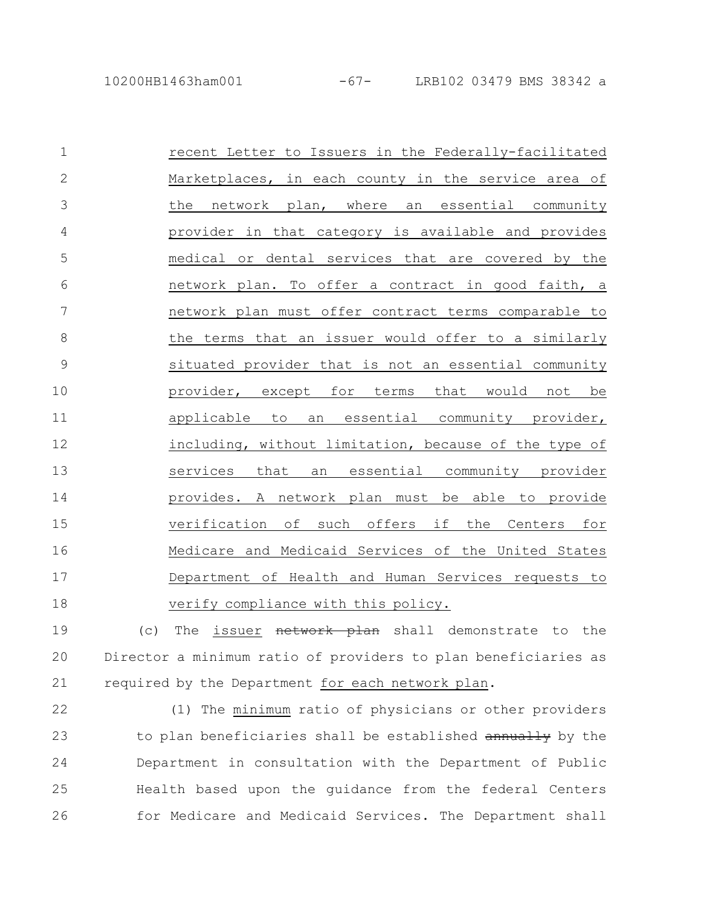| $\mathbf 1$   | recent Letter to Issuers in the Federally-facilitated   |
|---------------|---------------------------------------------------------|
| $\mathbf{2}$  | Marketplaces, in each county in the service area of     |
| 3             | the network plan, where an essential community          |
| 4             | provider in that category is available and provides     |
| 5             | medical or dental services that are covered by the      |
| 6             | network plan. To offer a contract in good faith, a      |
| 7             | network plan must offer contract terms comparable to    |
| $8\,$         | the terms that an issuer would offer to a similarly     |
| $\mathcal{G}$ | situated provider that is not an essential community    |
| 10            | provider, except for terms that would not be            |
| 11            | applicable<br>essential community provider,<br>to<br>an |
| 12            | including, without limitation, because of the type of   |
| 13            | services that<br>an essential community provider        |
| 14            | provides. A network plan must be able to provide        |
| 15            | verification of such offers if the Centers for          |
| 16            | Medicare and Medicaid Services of the United States     |
| 17            | Department of Health and Human Services requests to     |
| 18            | verify compliance with this policy.                     |

(c) The issuer network plan shall demonstrate to the Director a minimum ratio of providers to plan beneficiaries as required by the Department for each network plan. 19 20 21

22

(1) The minimum ratio of physicians or other providers to plan beneficiaries shall be established annually by the Department in consultation with the Department of Public Health based upon the guidance from the federal Centers for Medicare and Medicaid Services. The Department shall 23 24 25 26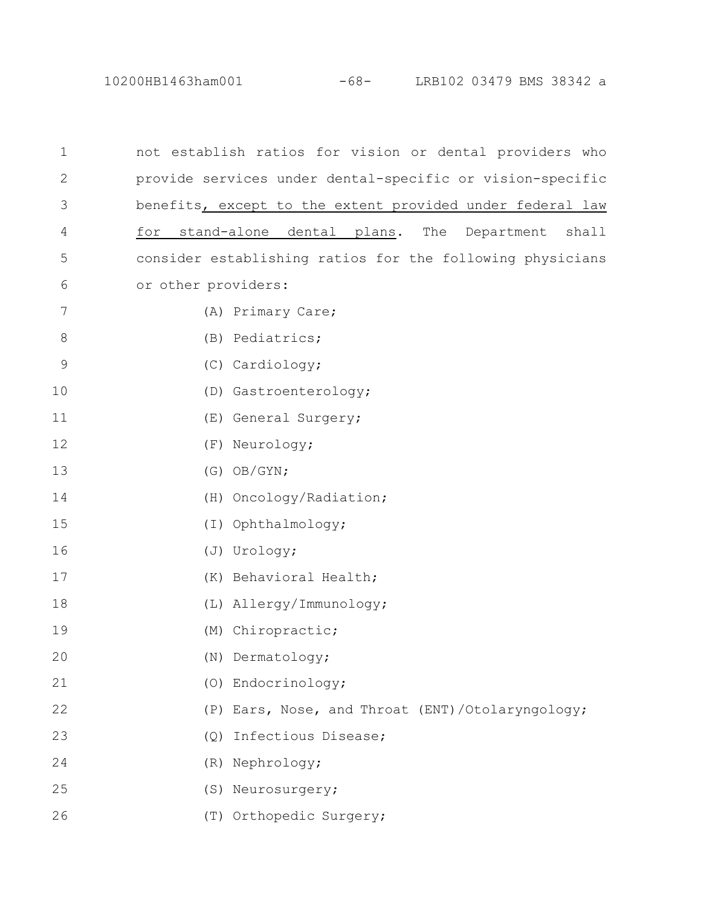10200HB1463ham001 -68- LRB102 03479 BMS 38342 a

| 1              | not establish ratios for vision or dental providers who   |
|----------------|-----------------------------------------------------------|
| $\mathbf{2}$   | provide services under dental-specific or vision-specific |
| 3              | benefits, except to the extent provided under federal law |
| 4              | stand-alone dental plans. The Department shall<br>for     |
| 5              | consider establishing ratios for the following physicians |
| 6              | or other providers:                                       |
| $\overline{7}$ | (A) Primary Care;                                         |
| 8              | (B) Pediatrics;                                           |
| 9              | (C) Cardiology;                                           |
| 10             | (D) Gastroenterology;                                     |
| 11             | (E) General Surgery;                                      |
| 12             | (F) Neurology;                                            |
| 13             | $(G)$ OB/GYN;                                             |
| 14             | (H) Oncology/Radiation;                                   |
| 15             | (I) Ophthalmology;                                        |
| 16             | (J) Urology;                                              |
| 17             | (K) Behavioral Health;                                    |
| 18             | (L) Allergy/Immunology;                                   |
| 19             | (M) Chiropractic;                                         |
| 20             | (N) Dermatology;                                          |
| 21             | (O) Endocrinology;                                        |
| 22             | Ears, Nose, and Throat (ENT)/Otolaryngology;<br>(P)       |
| 23             | Infectious Disease;<br>(Q)                                |
| 24             | (R) Nephrology;                                           |
| 25             | (S) Neurosurgery;                                         |
| 26             | (T) Orthopedic Surgery;                                   |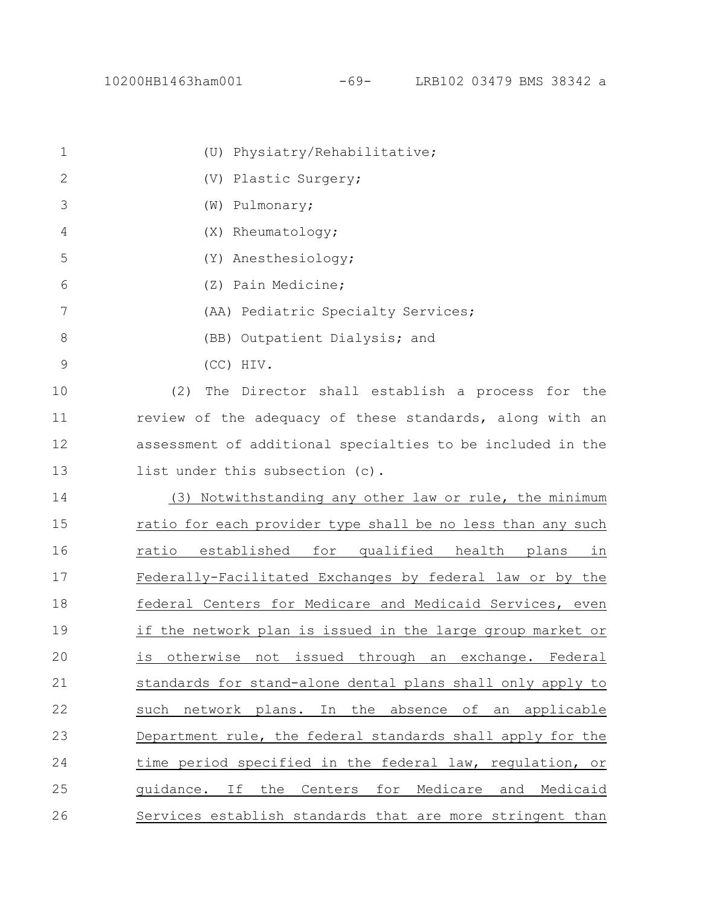| 1             | (U) Physiatry/Rehabilitative;                                          |
|---------------|------------------------------------------------------------------------|
| $\mathbf{2}$  | (V) Plastic Surgery;                                                   |
| 3             | (W) Pulmonary;                                                         |
| 4             | (X) Rheumatology;                                                      |
| 5             | (Y) Anesthesiology;                                                    |
| 6             | (Z) Pain Medicine;                                                     |
| 7             | (AA) Pediatric Specialty Services;                                     |
| 8             | (BB) Outpatient Dialysis; and                                          |
| $\mathcal{G}$ | (CC) HIV.                                                              |
| 10            | (2)<br>The Director shall establish a process for the                  |
| 11            | review of the adequacy of these standards, along with an               |
| 12            | assessment of additional specialties to be included in the             |
| 13            | list under this subsection (c).                                        |
| 14            | (3) Notwithstanding any other law or rule, the minimum                 |
| 15            | ratio for each provider type shall be no less than any such            |
| 16            | established for qualified health plans<br>ratio<br>in                  |
| 17            | Federally-Facilitated Exchanges by federal law or by the               |
| 18            | federal Centers for Medicare and Medicaid Services, even               |
| 19            | if the network plan is issued in the large group market or             |
| 20            | issued<br>through<br>otherwise<br>not<br>exchange. Federal<br>is<br>an |
| 21            | standards for stand-alone dental plans shall only apply to             |
| 22            | In the absence<br>of<br>such<br>network plans.<br>an<br>applicable     |
| 23            | Department rule, the federal standards shall apply for the             |
| 24            | time period specified in the federal law, regulation, or               |
| 25            | quidance. If<br>the<br>Centers<br>for<br>Medicare and Medicaid         |
| 26            | Services establish standards that are more stringent than              |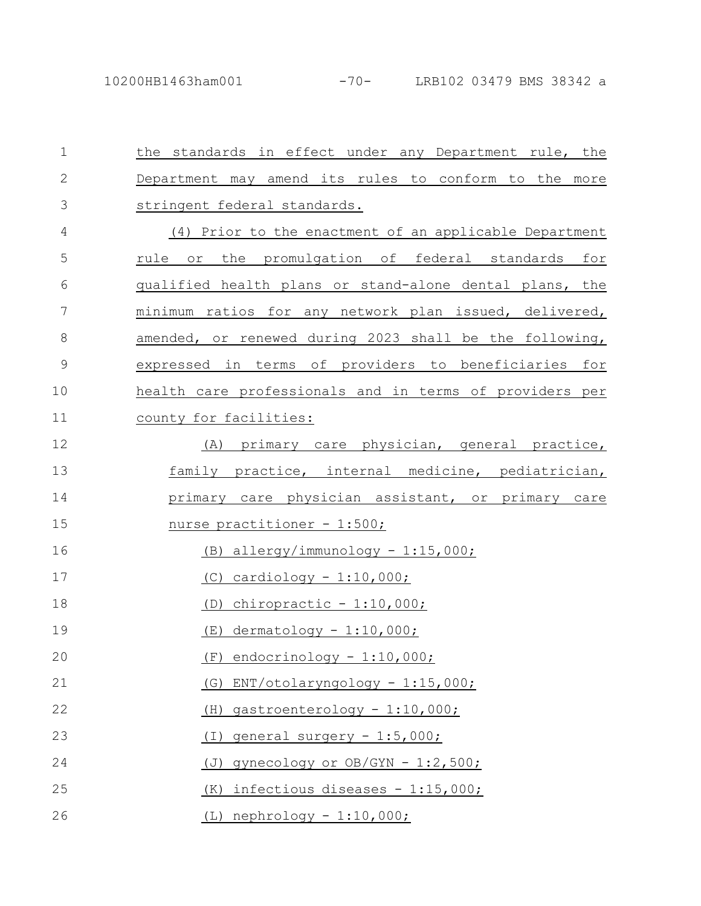| $\mathbf 1$   | the standards in effect under any Department rule, the  |
|---------------|---------------------------------------------------------|
| $\mathbf 2$   | Department may amend its rules to conform to the more   |
| 3             | stringent federal standards.                            |
| 4             | (4) Prior to the enactment of an applicable Department  |
| 5             | rule or the promulgation of federal standards for       |
| 6             | qualified health plans or stand-alone dental plans, the |
| 7             | minimum ratios for any network plan issued, delivered,  |
| 8             | amended, or renewed during 2023 shall be the following, |
| $\mathcal{G}$ | expressed in terms of providers to beneficiaries for    |
| 10            | health care professionals and in terms of providers per |
| 11            | county for facilities:                                  |
| 12            | (A) primary care physician, general practice,           |
| 13            | family practice, internal medicine, pediatrician,       |
| 14            | primary care physician assistant, or primary care       |
| 15            | <u>nurse practitioner - 1:500;</u>                      |
| 16            | $(B)$ allergy/immunology - 1:15,000;                    |
| 17            | $(C)$ cardiology - 1:10,000;                            |
| 18            | $(D)$ chiropractic - 1:10,000;                          |
| 19            | $(E)$ dermatology - 1:10,000;                           |
| 20            | endocrinology - 1:10,000;<br>(F)                        |
| 21            | ENT/otolaryngology - 1:15,000;<br>(G)                   |
| 22            | gastroenterology - 1:10,000;<br>(H)                     |
| 23            | general surgery - 1:5,000;<br>(I)                       |
| 24            | gynecology or OB/GYN - 1:2,500;<br>(J)                  |
| 25            | infectious diseases - 1:15,000;<br>(K)                  |
| 26            | (L) nephrology - 1:10,000;                              |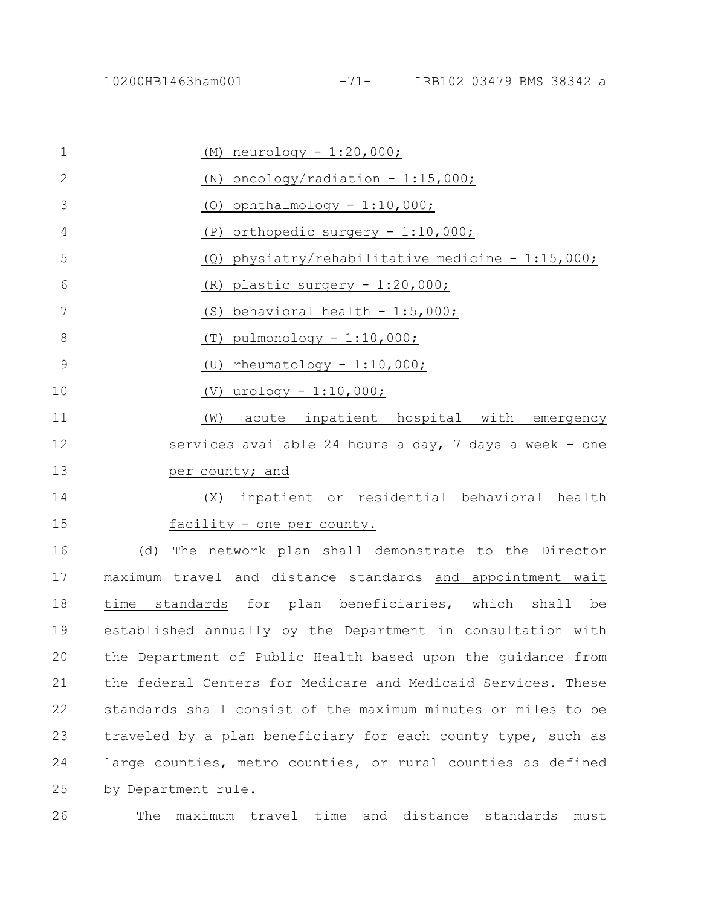(M) neurology - 1:20,000; (N) oncology/radiation  $-1:15,000;$ (O) ophthalmology  $-1:10,000;$ (P) orthopedic surgery - 1:10,000; (Q) physiatry/rehabilitative medicine - 1:15,000; (R) plastic surgery - 1:20,000; (S) behavioral health  $-1:5,000$ ; (T) pulmonology  $-1:10,000;$ (U) rheumatology - 1:10,000; (V) urology - 1:10,000; (W) acute inpatient hospital with emergency services available 24 hours a day, 7 days a week - one per county; and (X) inpatient or residential behavioral health facility - one per county. 1 2 3 4 5 6 7 8 9 10 11 12 13 14 15

(d) The network plan shall demonstrate to the Director maximum travel and distance standards and appointment wait time standards for plan beneficiaries, which shall be established  $annually$  by the Department in consultation with the Department of Public Health based upon the guidance from the federal Centers for Medicare and Medicaid Services. These standards shall consist of the maximum minutes or miles to be traveled by a plan beneficiary for each county type, such as large counties, metro counties, or rural counties as defined by Department rule. 16 17 18 19 20 21 22 23 24 25

26

The maximum travel time and distance standards must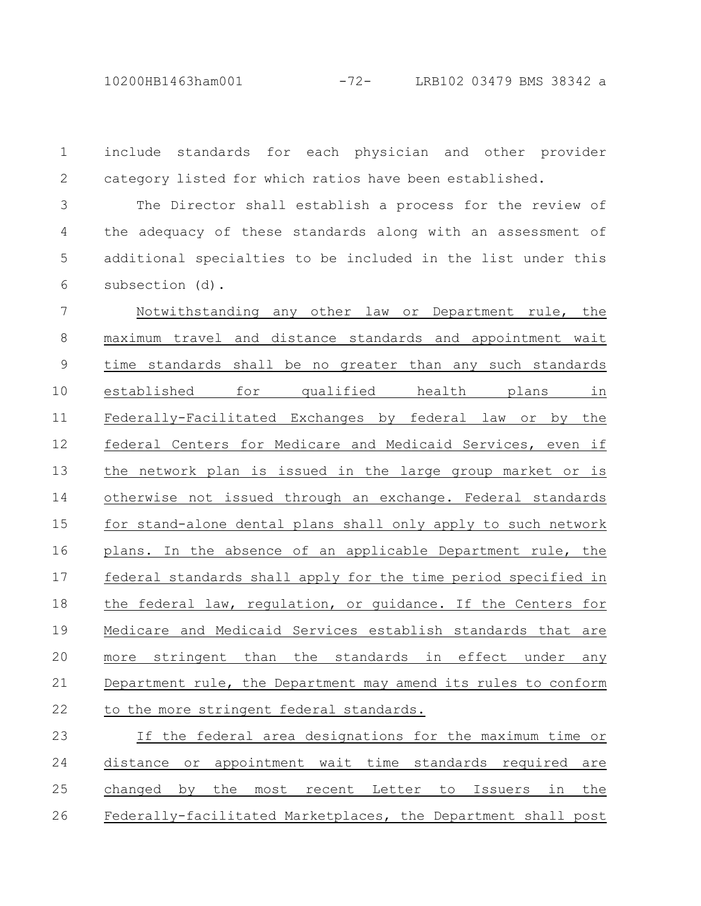10200HB1463ham001 -72- LRB102 03479 BMS 38342 a

include standards for each physician and other provider category listed for which ratios have been established. 1 2

The Director shall establish a process for the review of the adequacy of these standards along with an assessment of additional specialties to be included in the list under this subsection (d). 3 4 5 6

Notwithstanding any other law or Department rule, the maximum travel and distance standards and appointment wait time standards shall be no greater than any such standards established for qualified health plans in Federally-Facilitated Exchanges by federal law or by the federal Centers for Medicare and Medicaid Services, even if the network plan is issued in the large group market or is otherwise not issued through an exchange. Federal standards for stand-alone dental plans shall only apply to such network plans. In the absence of an applicable Department rule, the federal standards shall apply for the time period specified in the federal law, regulation, or guidance. If the Centers for Medicare and Medicaid Services establish standards that are more stringent than the standards in effect under any Department rule, the Department may amend its rules to conform to the more stringent federal standards. 7 8 9 10 11 12 13 14 15 16 17 18 19 20 21 22

If the federal area designations for the maximum time or distance or appointment wait time standards required are changed by the most recent Letter to Issuers in the Federally-facilitated Marketplaces, the Department shall post 23 24 25 26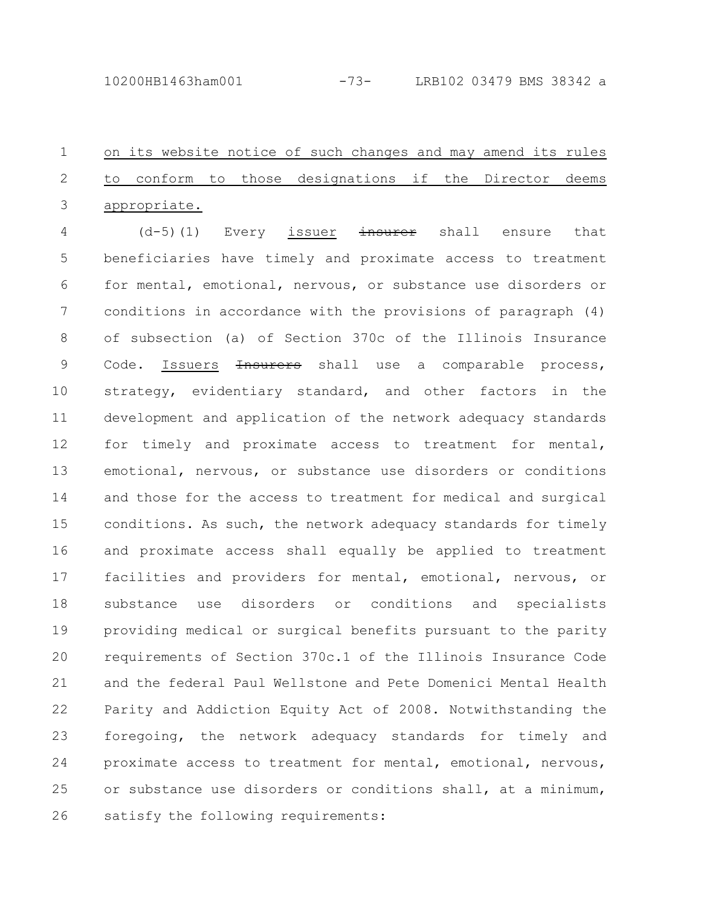on its website notice of such changes and may amend its rules to conform to those designations if the Director deems appropriate. 1 2 3

 $(d-5)$  (1) Every issuer insurer shall ensure that beneficiaries have timely and proximate access to treatment for mental, emotional, nervous, or substance use disorders or conditions in accordance with the provisions of paragraph (4) of subsection (a) of Section 370c of the Illinois Insurance Code. Issuers <del>Insurers</del> shall use a comparable process, strategy, evidentiary standard, and other factors in the development and application of the network adequacy standards for timely and proximate access to treatment for mental, emotional, nervous, or substance use disorders or conditions and those for the access to treatment for medical and surgical conditions. As such, the network adequacy standards for timely and proximate access shall equally be applied to treatment facilities and providers for mental, emotional, nervous, or substance use disorders or conditions and specialists providing medical or surgical benefits pursuant to the parity requirements of Section 370c.1 of the Illinois Insurance Code and the federal Paul Wellstone and Pete Domenici Mental Health Parity and Addiction Equity Act of 2008. Notwithstanding the foregoing, the network adequacy standards for timely and proximate access to treatment for mental, emotional, nervous, or substance use disorders or conditions shall, at a minimum, satisfy the following requirements: 4 5 6 7 8 9 10 11 12 13 14 15 16 17 18 19 20 21 22 23 24 25 26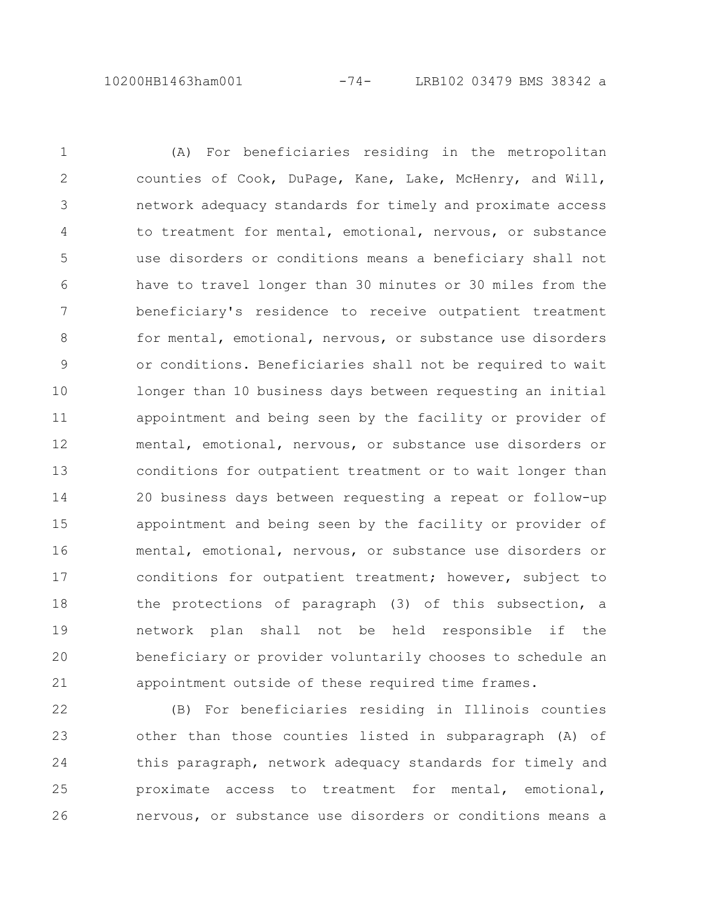(A) For beneficiaries residing in the metropolitan counties of Cook, DuPage, Kane, Lake, McHenry, and Will, network adequacy standards for timely and proximate access to treatment for mental, emotional, nervous, or substance use disorders or conditions means a beneficiary shall not have to travel longer than 30 minutes or 30 miles from the beneficiary's residence to receive outpatient treatment for mental, emotional, nervous, or substance use disorders or conditions. Beneficiaries shall not be required to wait longer than 10 business days between requesting an initial appointment and being seen by the facility or provider of mental, emotional, nervous, or substance use disorders or conditions for outpatient treatment or to wait longer than 20 business days between requesting a repeat or follow-up appointment and being seen by the facility or provider of mental, emotional, nervous, or substance use disorders or conditions for outpatient treatment; however, subject to the protections of paragraph (3) of this subsection, a network plan shall not be held responsible if the beneficiary or provider voluntarily chooses to schedule an appointment outside of these required time frames. 1 2 3 4 5 6 7 8 9 10 11 12 13 14 15 16 17 18 19 20 21

(B) For beneficiaries residing in Illinois counties other than those counties listed in subparagraph (A) of this paragraph, network adequacy standards for timely and proximate access to treatment for mental, emotional, nervous, or substance use disorders or conditions means a 22 23 24 25 26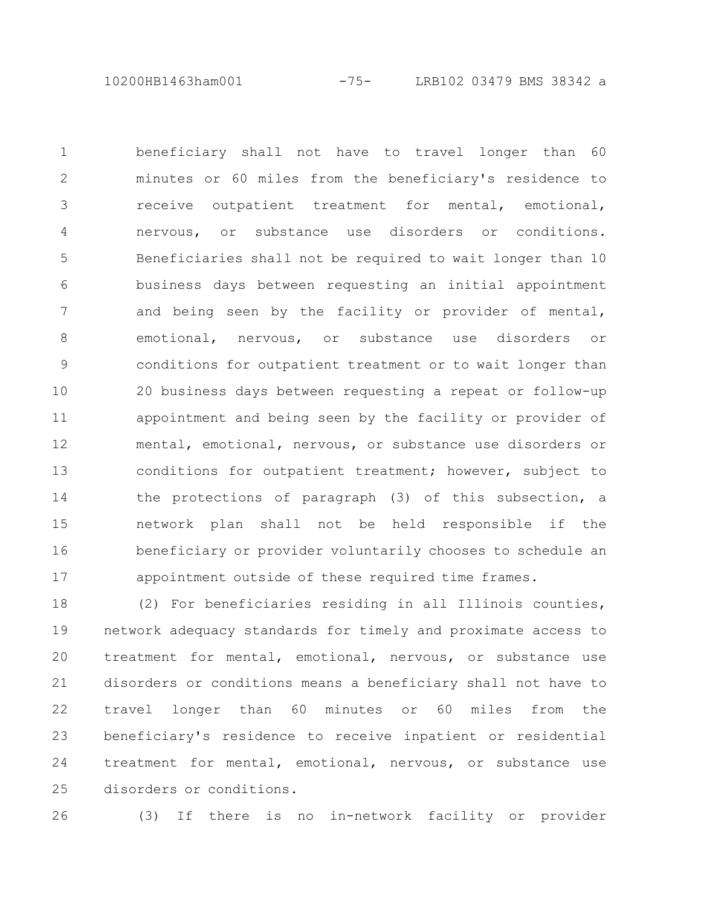10200HB1463ham001 -75- LRB102 03479 BMS 38342 a

beneficiary shall not have to travel longer than 60 minutes or 60 miles from the beneficiary's residence to receive outpatient treatment for mental, emotional, nervous, or substance use disorders or conditions. Beneficiaries shall not be required to wait longer than 10 business days between requesting an initial appointment and being seen by the facility or provider of mental, emotional, nervous, or substance use disorders or conditions for outpatient treatment or to wait longer than 20 business days between requesting a repeat or follow-up appointment and being seen by the facility or provider of mental, emotional, nervous, or substance use disorders or conditions for outpatient treatment; however, subject to the protections of paragraph (3) of this subsection, a network plan shall not be held responsible if the beneficiary or provider voluntarily chooses to schedule an appointment outside of these required time frames. 1 2 3 4 5 6 7 8 9 10 11 12 13 14 15 16 17

(2) For beneficiaries residing in all Illinois counties, network adequacy standards for timely and proximate access to treatment for mental, emotional, nervous, or substance use disorders or conditions means a beneficiary shall not have to travel longer than 60 minutes or 60 miles from the beneficiary's residence to receive inpatient or residential treatment for mental, emotional, nervous, or substance use disorders or conditions. 18 19 20 21 22 23 24 25

26

(3) If there is no in-network facility or provider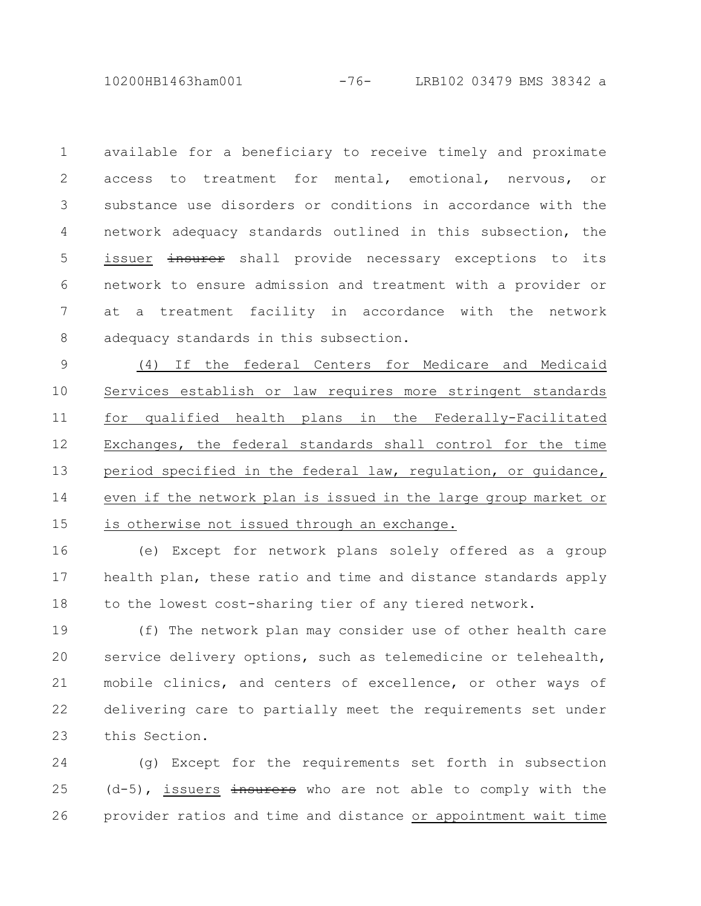10200HB1463ham001 -76- LRB102 03479 BMS 38342 a

available for a beneficiary to receive timely and proximate access to treatment for mental, emotional, nervous, or substance use disorders or conditions in accordance with the network adequacy standards outlined in this subsection, the issuer insurer shall provide necessary exceptions to its network to ensure admission and treatment with a provider or at a treatment facility in accordance with the network adequacy standards in this subsection. 1 2 3 4 5 6 7 8

(4) If the federal Centers for Medicare and Medicaid Services establish or law requires more stringent standards for qualified health plans in the Federally-Facilitated Exchanges, the federal standards shall control for the time period specified in the federal law, regulation, or guidance, even if the network plan is issued in the large group market or is otherwise not issued through an exchange. 9 10 11 12 13 14 15

(e) Except for network plans solely offered as a group health plan, these ratio and time and distance standards apply to the lowest cost-sharing tier of any tiered network. 16 17 18

(f) The network plan may consider use of other health care service delivery options, such as telemedicine or telehealth, mobile clinics, and centers of excellence, or other ways of delivering care to partially meet the requirements set under this Section. 19 20 21 22 23

(g) Except for the requirements set forth in subsection  $(d-5)$ , issuers  $\frac{1}{2}$  insurers who are not able to comply with the provider ratios and time and distance or appointment wait time 24 25 26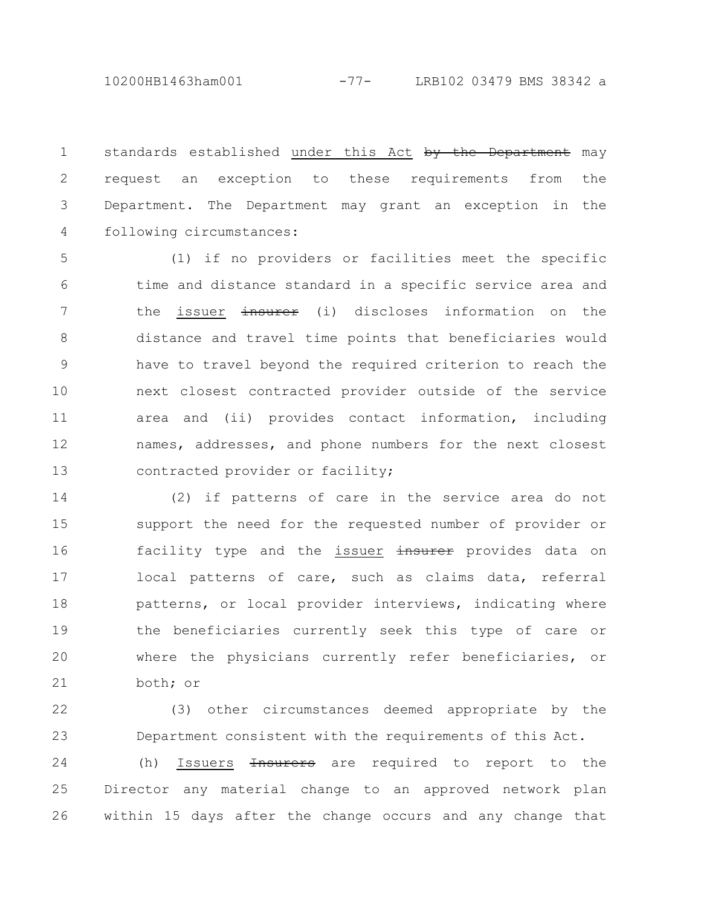10200HB1463ham001 -77- LRB102 03479 BMS 38342 a

standards established under this Act by the Department may request an exception to these requirements from the Department. The Department may grant an exception in the following circumstances: 1 2 3 4

(1) if no providers or facilities meet the specific time and distance standard in a specific service area and the issuer insurer (i) discloses information on the distance and travel time points that beneficiaries would have to travel beyond the required criterion to reach the next closest contracted provider outside of the service area and (ii) provides contact information, including names, addresses, and phone numbers for the next closest contracted provider or facility; 5 6 7 8 9 10 11 12 13

(2) if patterns of care in the service area do not support the need for the requested number of provider or facility type and the issuer insurer provides data on local patterns of care, such as claims data, referral patterns, or local provider interviews, indicating where the beneficiaries currently seek this type of care or where the physicians currently refer beneficiaries, or both; or 14 15 16 17 18 19 20 21

(3) other circumstances deemed appropriate by the Department consistent with the requirements of this Act. 22 23

(h) Issuers <del>Insurers</del> are required to report to the Director any material change to an approved network plan within 15 days after the change occurs and any change that 24 25 26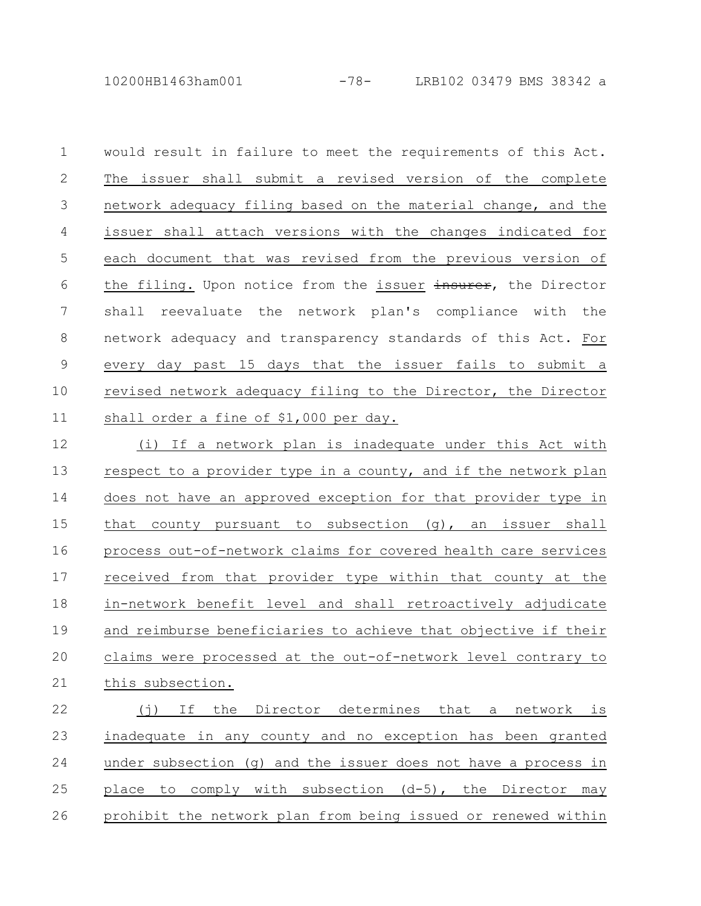10200HB1463ham001 -78- LRB102 03479 BMS 38342 a

would result in failure to meet the requirements of this Act. The issuer shall submit a revised version of the complete network adequacy filing based on the material change, and the issuer shall attach versions with the changes indicated for each document that was revised from the previous version of the filing. Upon notice from the issuer insurer, the Director shall reevaluate the network plan's compliance with the network adequacy and transparency standards of this Act. For every day past 15 days that the issuer fails to submit a revised network adequacy filing to the Director, the Director shall order a fine of \$1,000 per day. 1 2 3 4 5 6 7 8 9 10 11

(i) If a network plan is inadequate under this Act with respect to a provider type in a county, and if the network plan does not have an approved exception for that provider type in that county pursuant to subsection (g), an issuer shall process out-of-network claims for covered health care services received from that provider type within that county at the in-network benefit level and shall retroactively adjudicate and reimburse beneficiaries to achieve that objective if their claims were processed at the out-of-network level contrary to this subsection. 12 13 14 15 16 17 18 19 20 21

(j) If the Director determines that a network is inadequate in any county and no exception has been granted under subsection (q) and the issuer does not have a process in place to comply with subsection (d-5), the Director may prohibit the network plan from being issued or renewed within 22 23 24 25 26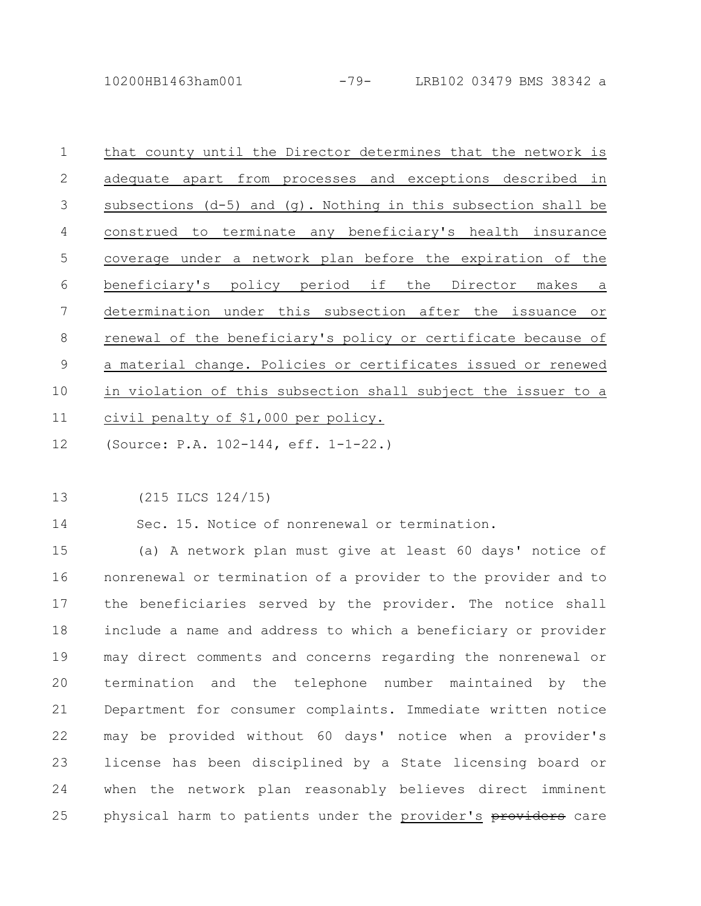10200HB1463ham001 -79- LRB102 03479 BMS 38342 a

that county until the Director determines that the network is adequate apart from processes and exceptions described in subsections (d-5) and (g). Nothing in this subsection shall be construed to terminate any beneficiary's health insurance coverage under a network plan before the expiration of the beneficiary's policy period if the Director makes a determination under this subsection after the issuance or renewal of the beneficiary's policy or certificate because of a material change. Policies or certificates issued or renewed in violation of this subsection shall subject the issuer to a civil penalty of \$1,000 per policy. 1 2 3 4 5 6 7 8 9 10 11

- (Source: P.A. 102-144, eff. 1-1-22.) 12
- (215 ILCS 124/15) 13

14

Sec. 15. Notice of nonrenewal or termination.

(a) A network plan must give at least 60 days' notice of nonrenewal or termination of a provider to the provider and to the beneficiaries served by the provider. The notice shall include a name and address to which a beneficiary or provider may direct comments and concerns regarding the nonrenewal or termination and the telephone number maintained by the Department for consumer complaints. Immediate written notice may be provided without 60 days' notice when a provider's license has been disciplined by a State licensing board or when the network plan reasonably believes direct imminent physical harm to patients under the provider's providers care 15 16 17 18 19 20 21 22 23 24 25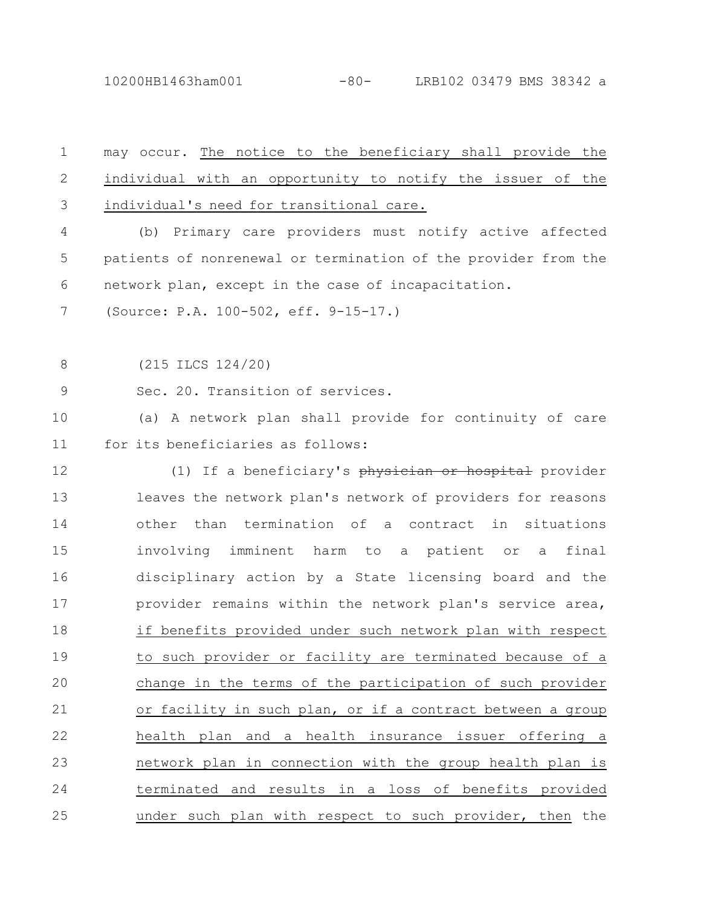10200HB1463ham001 -80- LRB102 03479 BMS 38342 a

| $\mathbf 1$    | may occur. The notice to the beneficiary shall provide the     |
|----------------|----------------------------------------------------------------|
| $\mathbf{2}$   | individual with an opportunity to notify the issuer of the     |
| $\mathfrak{Z}$ | individual's need for transitional care.                       |
| 4              | Primary care providers must notify active affected<br>(b)      |
| 5              | patients of nonrenewal or termination of the provider from the |
| 6              | network plan, except in the case of incapacitation.            |
| 7              | (Source: P.A. 100-502, eff. 9-15-17.)                          |
| 8              | $(215$ ILCS $124/20)$                                          |
| 9              | Sec. 20. Transition of services.                               |
| 10             | (a) A network plan shall provide for continuity of care        |
| 11             | for its beneficiaries as follows:                              |
| 12             | (1) If a beneficiary's physician or hospital provider          |
| 13             | leaves the network plan's network of providers for reasons     |
| 14             | than termination of a contract in situations<br>other          |
| 15             | involving<br>imminent harm to a patient or a<br>final          |
| 16             | disciplinary action by a State licensing board and the         |
| 17             | provider remains within the network plan's service area,       |
| 18             | if benefits provided under such network plan with respect      |
| 19             | to such provider or facility are terminated because of a       |
| 20             | change in the terms of the participation of such provider      |
| 21             | or facility in such plan, or if a contract between a group     |
| 22             | health plan and a health insurance issuer offering a           |
| 23             | network plan in connection with the group health plan is       |
| 24             | terminated and results in a loss of benefits provided          |
| 25             | under such plan with respect to such provider, then the        |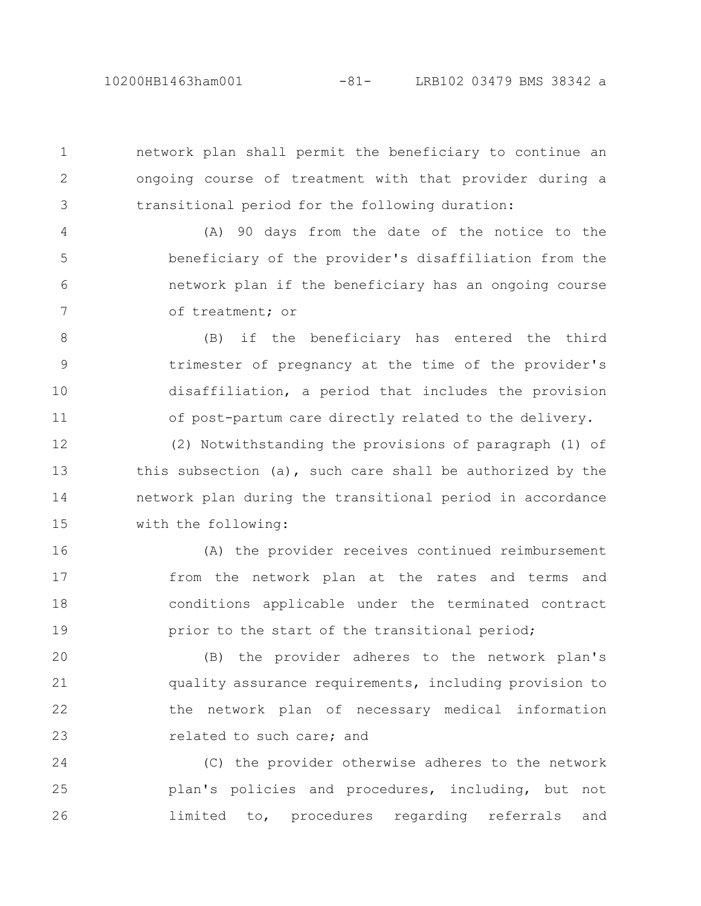10200HB1463ham001 -81- LRB102 03479 BMS 38342 a

1

2

3

network plan shall permit the beneficiary to continue an ongoing course of treatment with that provider during a transitional period for the following duration:

(A) 90 days from the date of the notice to the beneficiary of the provider's disaffiliation from the network plan if the beneficiary has an ongoing course of treatment; or 4 5 6 7

(B) if the beneficiary has entered the third trimester of pregnancy at the time of the provider's disaffiliation, a period that includes the provision of post-partum care directly related to the delivery. 8 9 10 11

(2) Notwithstanding the provisions of paragraph (1) of this subsection (a), such care shall be authorized by the network plan during the transitional period in accordance with the following: 12 13 14 15

(A) the provider receives continued reimbursement from the network plan at the rates and terms and conditions applicable under the terminated contract prior to the start of the transitional period; 16 17 18 19

(B) the provider adheres to the network plan's quality assurance requirements, including provision to the network plan of necessary medical information related to such care; and 20 21 22 23

(C) the provider otherwise adheres to the network plan's policies and procedures, including, but not limited to, procedures regarding referrals and 24 25 26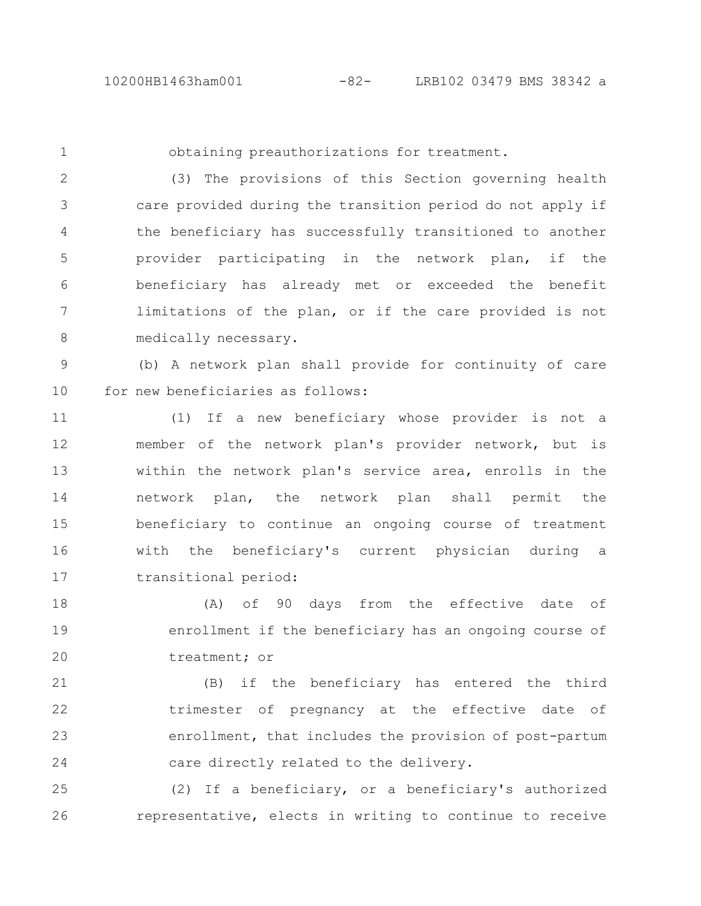1

obtaining preauthorizations for treatment.

(3) The provisions of this Section governing health care provided during the transition period do not apply if the beneficiary has successfully transitioned to another provider participating in the network plan, if the beneficiary has already met or exceeded the benefit limitations of the plan, or if the care provided is not medically necessary. 2 3 4 5 6 7 8

(b) A network plan shall provide for continuity of care for new beneficiaries as follows: 9 10

(1) If a new beneficiary whose provider is not a member of the network plan's provider network, but is within the network plan's service area, enrolls in the network plan, the network plan shall permit the beneficiary to continue an ongoing course of treatment with the beneficiary's current physician during a transitional period: 11 12 13 14 15 16 17

(A) of 90 days from the effective date of enrollment if the beneficiary has an ongoing course of treatment; or 18 19 20

(B) if the beneficiary has entered the third trimester of pregnancy at the effective date of enrollment, that includes the provision of post-partum care directly related to the delivery. 21 22 23 24

(2) If a beneficiary, or a beneficiary's authorized representative, elects in writing to continue to receive 25 26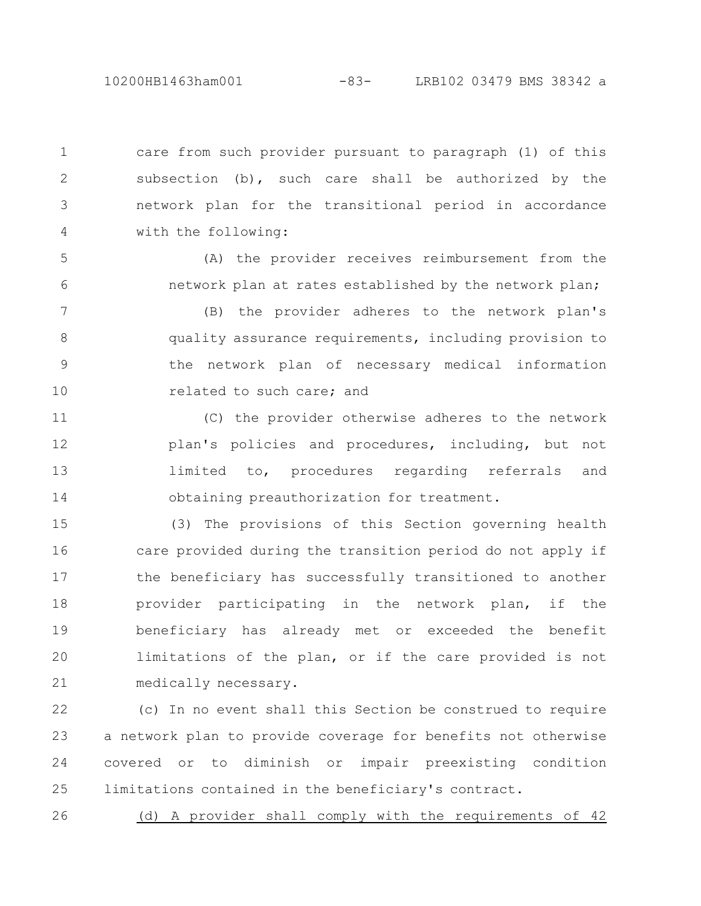10200HB1463ham001 -83- LRB102 03479 BMS 38342 a

care from such provider pursuant to paragraph (1) of this subsection (b), such care shall be authorized by the network plan for the transitional period in accordance with the following: 1 2 3 4

(A) the provider receives reimbursement from the network plan at rates established by the network plan; 5 6

(B) the provider adheres to the network plan's quality assurance requirements, including provision to the network plan of necessary medical information related to such care; and 7 8 9 10

(C) the provider otherwise adheres to the network plan's policies and procedures, including, but not limited to, procedures regarding referrals and obtaining preauthorization for treatment. 11 12 13 14

(3) The provisions of this Section governing health care provided during the transition period do not apply if the beneficiary has successfully transitioned to another provider participating in the network plan, if the beneficiary has already met or exceeded the benefit limitations of the plan, or if the care provided is not medically necessary. 15 16 17 18 19 20 21

(c) In no event shall this Section be construed to require a network plan to provide coverage for benefits not otherwise covered or to diminish or impair preexisting condition limitations contained in the beneficiary's contract. 22 23 24 25

(d) A provider shall comply with the requirements of 42 26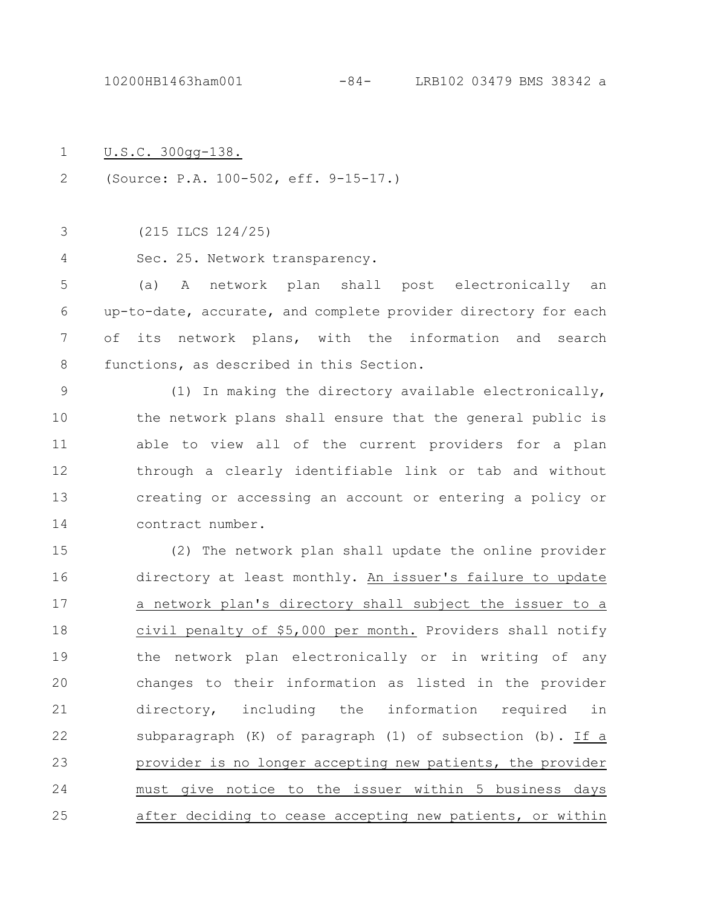10200HB1463ham001 -84- LRB102 03479 BMS 38342 a

- U.S.C. 300gg-138. 1
- (Source: P.A. 100-502, eff. 9-15-17.) 2
- (215 ILCS 124/25) 3
- Sec. 25. Network transparency. 4

(a) A network plan shall post electronically an up-to-date, accurate, and complete provider directory for each of its network plans, with the information and search functions, as described in this Section. 5 6 7 8

(1) In making the directory available electronically, the network plans shall ensure that the general public is able to view all of the current providers for a plan through a clearly identifiable link or tab and without creating or accessing an account or entering a policy or contract number. 9 10 11 12 13 14

(2) The network plan shall update the online provider directory at least monthly. An issuer's failure to update a network plan's directory shall subject the issuer to a civil penalty of \$5,000 per month. Providers shall notify the network plan electronically or in writing of any changes to their information as listed in the provider directory, including the information required in subparagraph (K) of paragraph (1) of subsection (b). If a provider is no longer accepting new patients, the provider must give notice to the issuer within 5 business days after deciding to cease accepting new patients, or within 15 16 17 18 19 20 21 22 23 24 25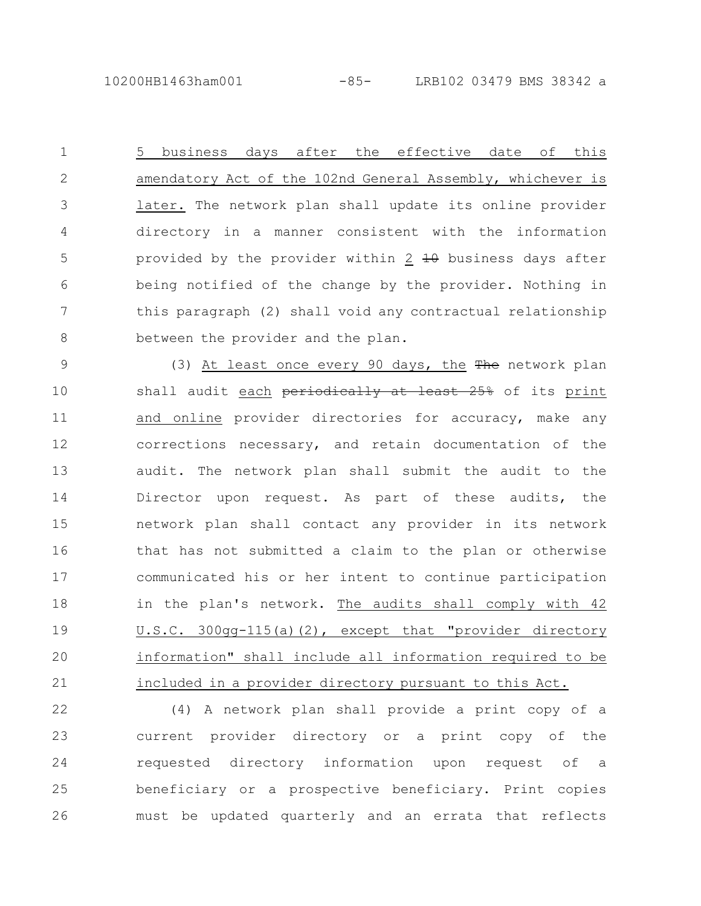10200HB1463ham001 -85- LRB102 03479 BMS 38342 a

5 business days after the effective date of this amendatory Act of the 102nd General Assembly, whichever is later. The network plan shall update its online provider directory in a manner consistent with the information provided by the provider within  $2 + \theta$  business days after being notified of the change by the provider. Nothing in this paragraph (2) shall void any contractual relationship between the provider and the plan. 1 2 3 4 5 6 7 8

(3) At least once every 90 days, the The network plan shall audit each periodically at least 25% of its print and online provider directories for accuracy, make any corrections necessary, and retain documentation of the audit. The network plan shall submit the audit to the Director upon request. As part of these audits, the network plan shall contact any provider in its network that has not submitted a claim to the plan or otherwise communicated his or her intent to continue participation in the plan's network. The audits shall comply with 42 U.S.C. 300gg-115(a)(2), except that "provider directory information" shall include all information required to be included in a provider directory pursuant to this Act. 9 10 11 12 13 14 15 16 17 18 19 20 21

(4) A network plan shall provide a print copy of a current provider directory or a print copy of the requested directory information upon request of a beneficiary or a prospective beneficiary. Print copies must be updated quarterly and an errata that reflects 22 23 24 25 26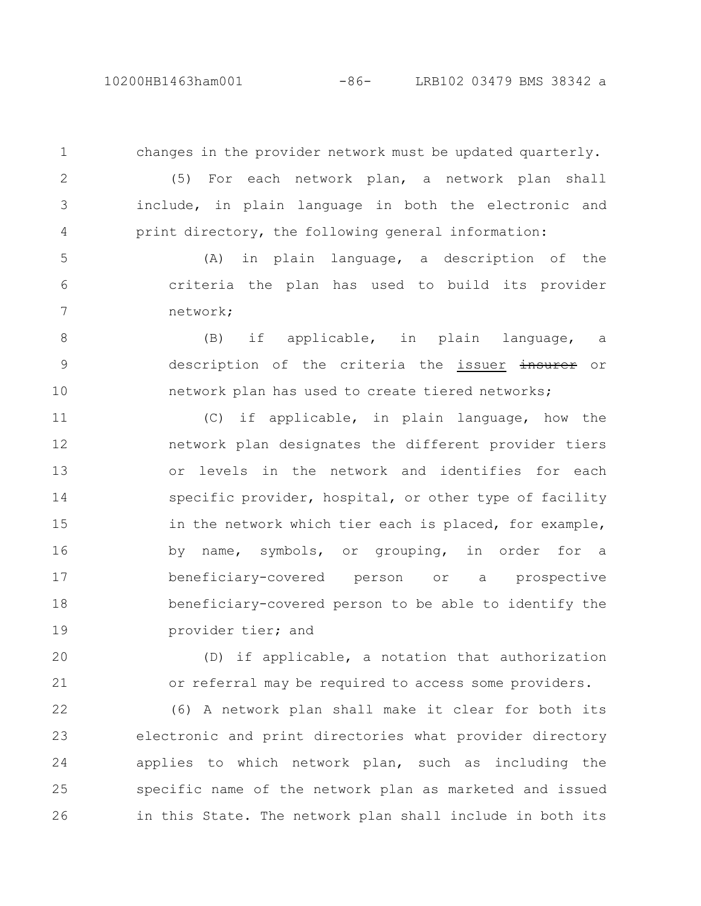10200HB1463ham001 -86- LRB102 03479 BMS 38342 a

changes in the provider network must be updated quarterly. (5) For each network plan, a network plan shall include, in plain language in both the electronic and print directory, the following general information: (A) in plain language, a description of the criteria the plan has used to build its provider network; (B) if applicable, in plain language, a description of the criteria the issuer insurer or network plan has used to create tiered networks; (C) if applicable, in plain language, how the network plan designates the different provider tiers or levels in the network and identifies for each specific provider, hospital, or other type of facility in the network which tier each is placed, for example, by name, symbols, or grouping, in order for a beneficiary-covered person or a prospective beneficiary-covered person to be able to identify the 1 2 3 4 5 6 7 8 9 10 11 12 13 14 15 16 17 18

provider tier; and 19

(D) if applicable, a notation that authorization or referral may be required to access some providers. 20 21

(6) A network plan shall make it clear for both its electronic and print directories what provider directory applies to which network plan, such as including the specific name of the network plan as marketed and issued in this State. The network plan shall include in both its 22 23 24 25 26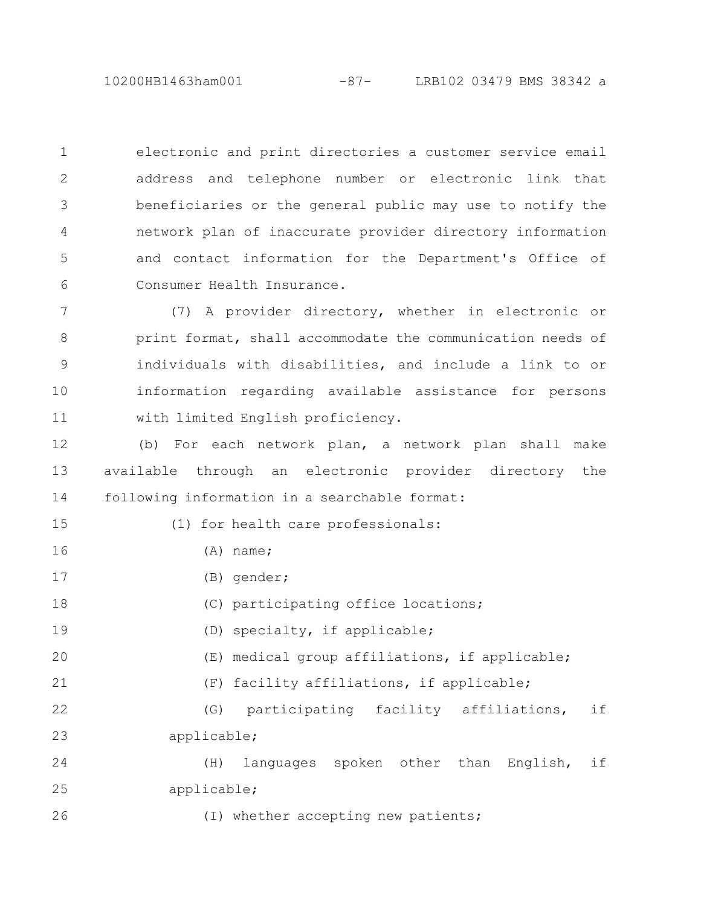10200HB1463ham001 -87- LRB102 03479 BMS 38342 a

electronic and print directories a customer service email address and telephone number or electronic link that beneficiaries or the general public may use to notify the network plan of inaccurate provider directory information and contact information for the Department's Office of Consumer Health Insurance. 1 2 3 4 5 6

(7) A provider directory, whether in electronic or print format, shall accommodate the communication needs of individuals with disabilities, and include a link to or information regarding available assistance for persons with limited English proficiency. 7 8 9 10 11

(b) For each network plan, a network plan shall make available through an electronic provider directory the following information in a searchable format: 12 13 14

(1) for health care professionals:

- (A) name;
- (B) gender;

15

16

17

21

26

(C) participating office locations; 18

(D) specialty, if applicable; 19

- (E) medical group affiliations, if applicable; 20
	- (F) facility affiliations, if applicable;

(G) participating facility affiliations, if applicable; 22 23

(H) languages spoken other than English, if applicable; 24 25

(I) whether accepting new patients;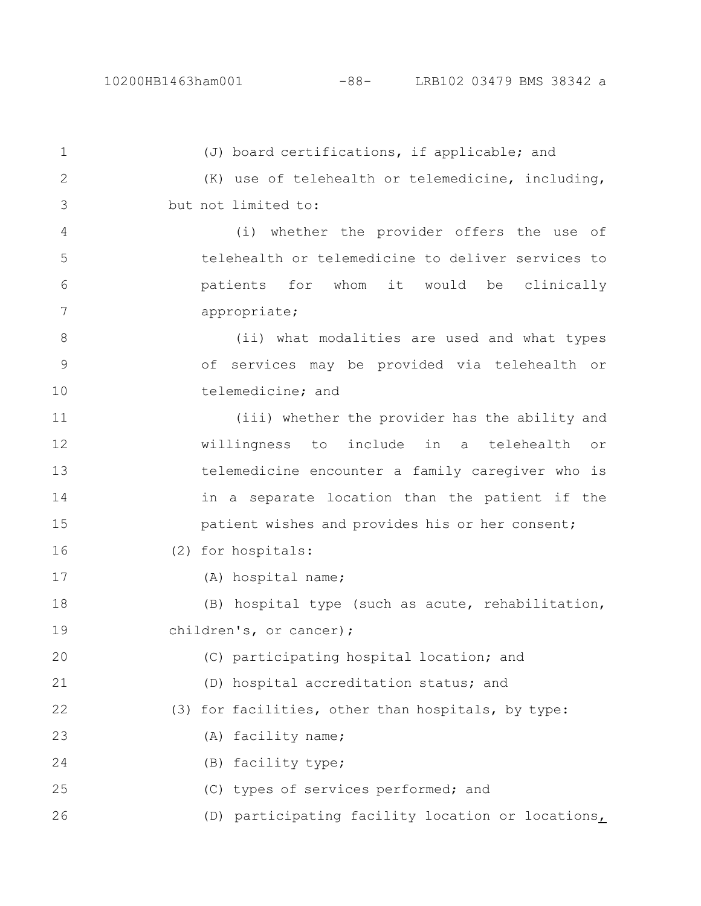(J) board certifications, if applicable; and (K) use of telehealth or telemedicine, including, but not limited to: (i) whether the provider offers the use of telehealth or telemedicine to deliver services to patients for whom it would be clinically appropriate; (ii) what modalities are used and what types of services may be provided via telehealth or telemedicine; and (iii) whether the provider has the ability and willingness to include in a telehealth or telemedicine encounter a family caregiver who is in a separate location than the patient if the patient wishes and provides his or her consent; (2) for hospitals: (A) hospital name; (B) hospital type (such as acute, rehabilitation, children's, or cancer); (C) participating hospital location; and (D) hospital accreditation status; and (3) for facilities, other than hospitals, by type: (A) facility name; (B) facility type; (C) types of services performed; and (D) participating facility location or locations, 1 2 3 4 5 6 7 8 9 10 11 12 13 14 15 16 17 18 19 20 21 22 23 24 25 26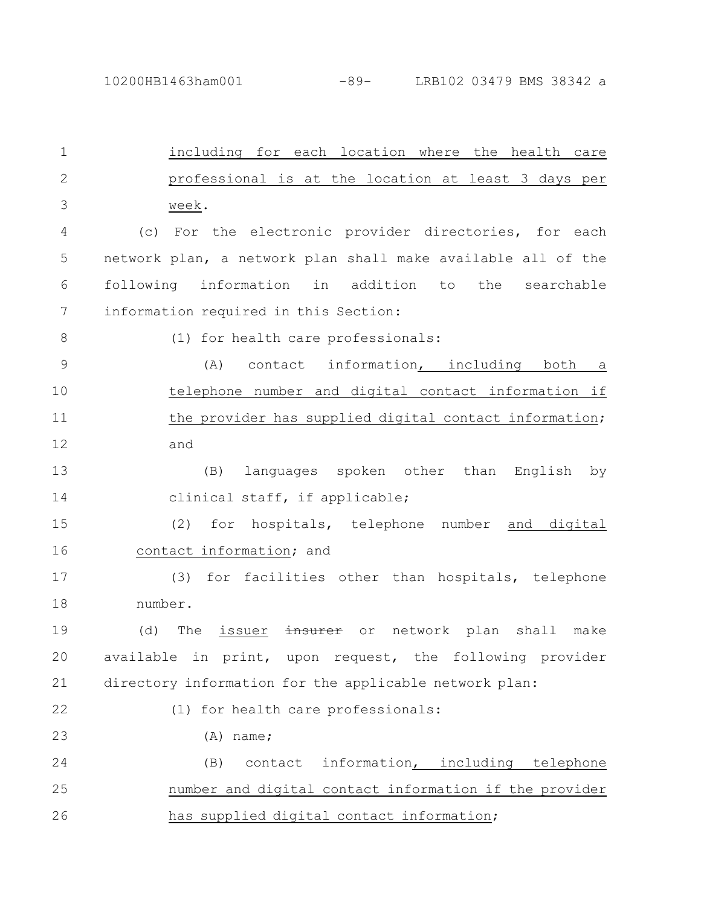including for each location where the health care professional is at the location at least 3 days per week. (c) For the electronic provider directories, for each network plan, a network plan shall make available all of the following information in addition to the searchable information required in this Section: (1) for health care professionals: (A) contact information, including both a telephone number and digital contact information if the provider has supplied digital contact information; and (B) languages spoken other than English by clinical staff, if applicable; (2) for hospitals, telephone number and digital contact information; and (3) for facilities other than hospitals, telephone number. (d) The issuer insurer or network plan shall make available in print, upon request, the following provider directory information for the applicable network plan: (1) for health care professionals: (A) name; (B) contact information, including telephone number and digital contact information if the provider has supplied digital contact information; 1 2 3 4 5 6 7 8 9 10 11 12 13 14 15 16 17 18 19 20 21 22 23 24 25 26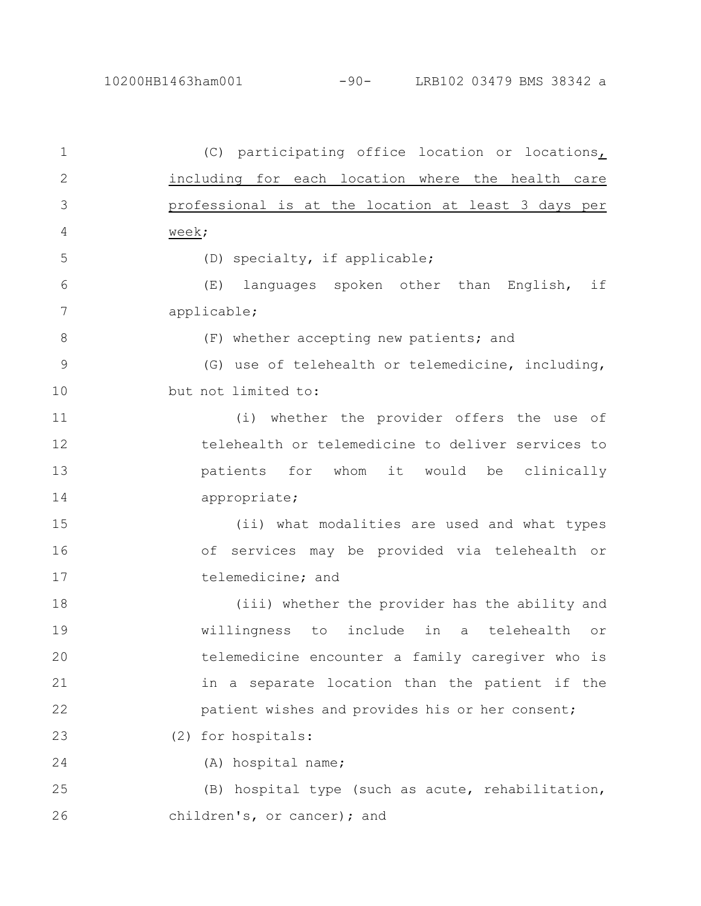10200HB1463ham001 -90- LRB102 03479 BMS 38342 a

(C) participating office location or locations, including for each location where the health care professional is at the location at least 3 days per week; (D) specialty, if applicable; (E) languages spoken other than English, if applicable; (F) whether accepting new patients; and (G) use of telehealth or telemedicine, including, but not limited to: (i) whether the provider offers the use of telehealth or telemedicine to deliver services to patients for whom it would be clinically appropriate; (ii) what modalities are used and what types of services may be provided via telehealth or telemedicine; and (iii) whether the provider has the ability and willingness to include in a telehealth or telemedicine encounter a family caregiver who is in a separate location than the patient if the patient wishes and provides his or her consent; (2) for hospitals: (A) hospital name; (B) hospital type (such as acute, rehabilitation, children's, or cancer); and 1 2 3 4 5 6 7 8 9 10 11 12 13 14 15 16 17 18 19 20 21 22 23 24 25 26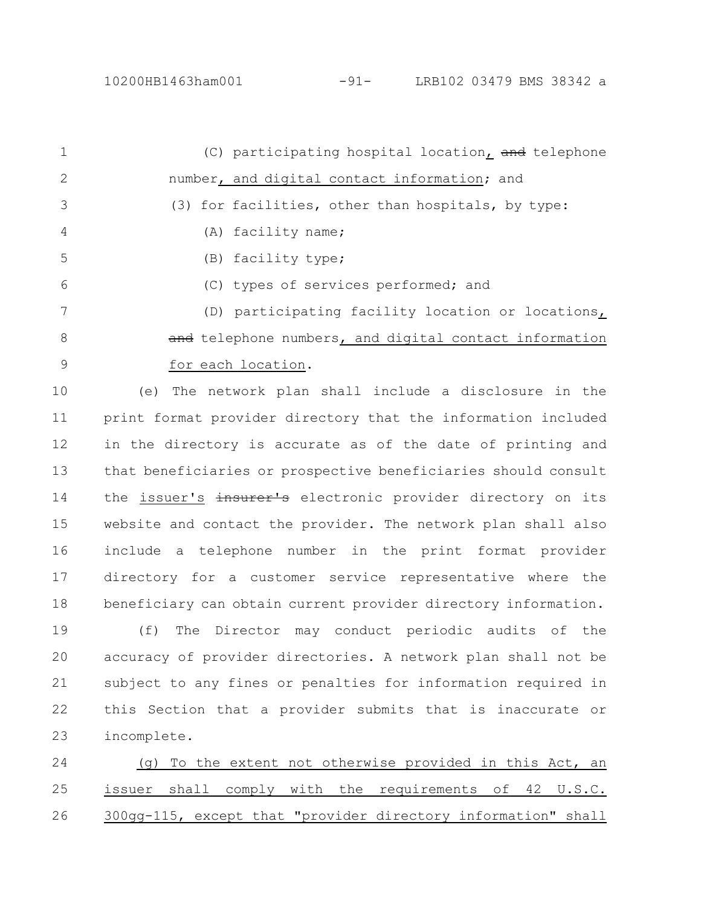(C) participating hospital location, and telephone number, and digital contact information; and (3) for facilities, other than hospitals, by type: (A) facility name; (B) facility type; (C) types of services performed; and (D) participating facility location or locations, and telephone numbers, and digital contact information for each location. 1 2 3 4 5 6 7 8 9

(e) The network plan shall include a disclosure in the print format provider directory that the information included in the directory is accurate as of the date of printing and that beneficiaries or prospective beneficiaries should consult the issuer's insurer's electronic provider directory on its website and contact the provider. The network plan shall also include a telephone number in the print format provider directory for a customer service representative where the beneficiary can obtain current provider directory information. 10 11 12 13 14 15 16 17 18

(f) The Director may conduct periodic audits of the accuracy of provider directories. A network plan shall not be subject to any fines or penalties for information required in this Section that a provider submits that is inaccurate or incomplete. 19 20 21 22 23

(g) To the extent not otherwise provided in this Act, an issuer shall comply with the requirements of 42 U.S.C. 300gg-115, except that "provider directory information" shall 24 25 26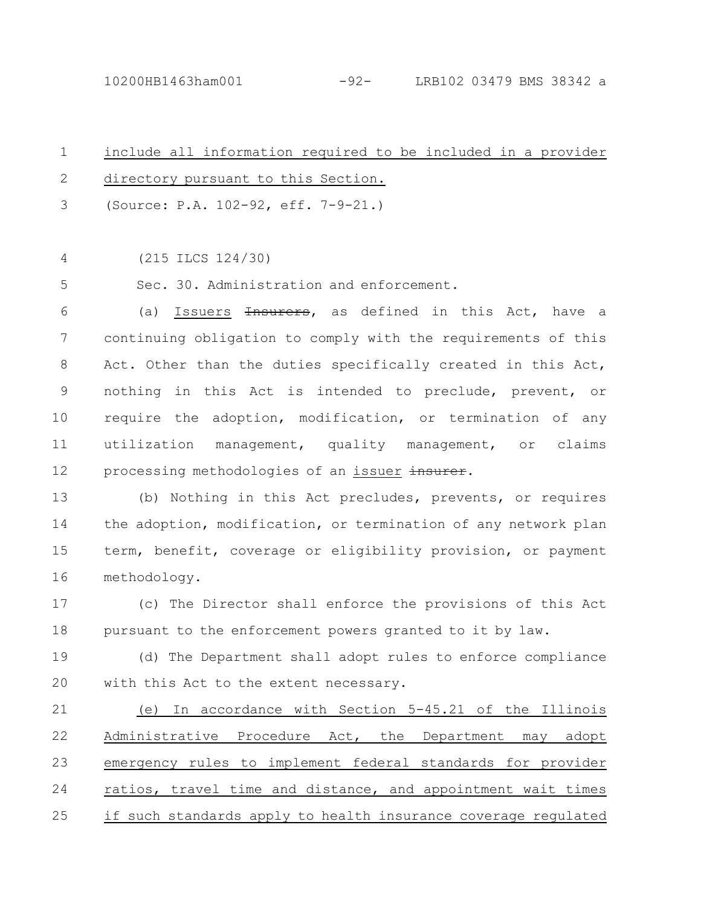include all information required to be included in a provider directory pursuant to this Section. (Source: P.A. 102-92, eff. 7-9-21.) 1 2 3

(215 ILCS 124/30) 4

Sec. 30. Administration and enforcement. 5

(a) Issuers <del>Insurers</del>, as defined in this Act, have a continuing obligation to comply with the requirements of this Act. Other than the duties specifically created in this Act, nothing in this Act is intended to preclude, prevent, or require the adoption, modification, or termination of any utilization management, quality management, or claims processing methodologies of an issuer insurer. 6 7 8 9 10 11 12

(b) Nothing in this Act precludes, prevents, or requires the adoption, modification, or termination of any network plan term, benefit, coverage or eligibility provision, or payment methodology. 13 14 15 16

(c) The Director shall enforce the provisions of this Act pursuant to the enforcement powers granted to it by law. 17 18

(d) The Department shall adopt rules to enforce compliance with this Act to the extent necessary. 19  $20$ 

(e) In accordance with Section 5-45.21 of the Illinois Administrative Procedure Act, the Department may adopt emergency rules to implement federal standards for provider ratios, travel time and distance, and appointment wait times if such standards apply to health insurance coverage regulated 21 22 23 24 25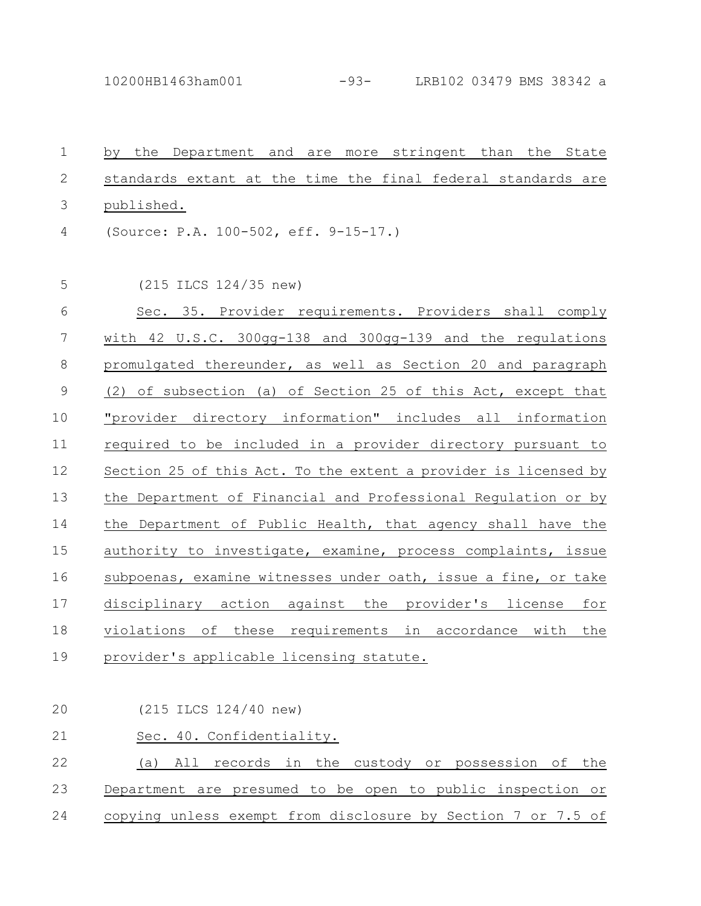10200HB1463ham001 -93- LRB102 03479 BMS 38342 a

by the Department and are more stringent than the State standards extant at the time the final federal standards are published. (Source: P.A. 100-502, eff. 9-15-17.) (215 ILCS 124/35 new) Sec. 35. Provider requirements. Providers shall comply with 42 U.S.C. 300gg-138 and 300gg-139 and the regulations promulgated thereunder, as well as Section 20 and paragraph (2) of subsection (a) of Section 25 of this Act, except that "provider directory information" includes all information required to be included in a provider directory pursuant to Section 25 of this Act. To the extent a provider is licensed by the Department of Financial and Professional Regulation or by the Department of Public Health, that agency shall have the authority to investigate, examine, process complaints, issue subpoenas, examine witnesses under oath, issue a fine, or take disciplinary action against the provider's license for violations of these requirements in accordance with the provider's applicable licensing statute. 1 2 3 4 5 6 7 8 9 10 11 12 13 14 15 16 17 18 19

(215 ILCS 124/40 new) Sec. 40. Confidentiality. (a) All records in the custody or possession of the Department are presumed to be open to public inspection or copying unless exempt from disclosure by Section 7 or 7.5 of 20 21 22 23 24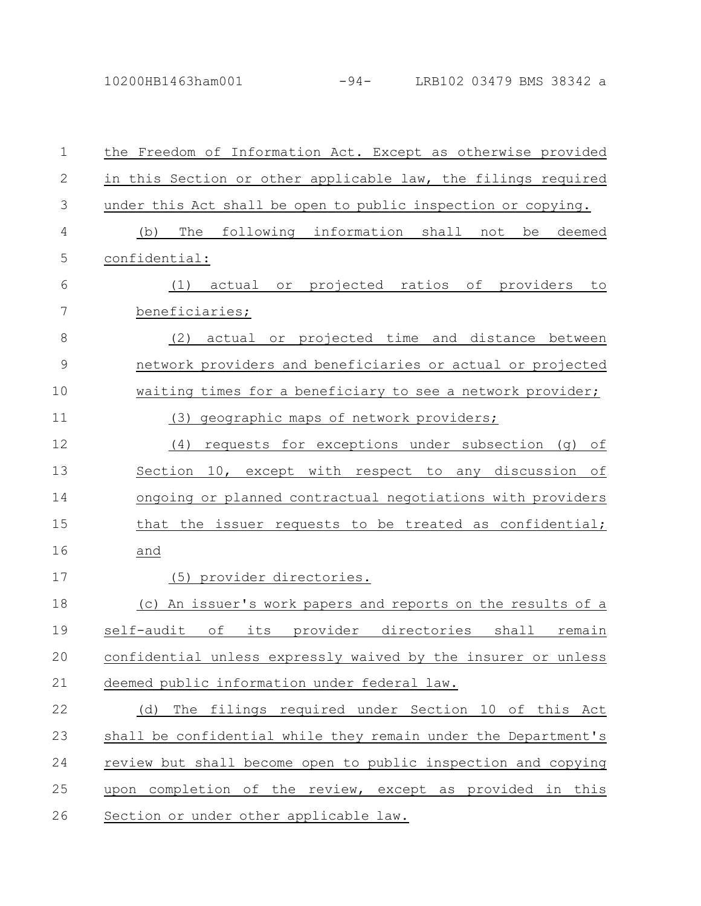| $\mathbf 1$   | the Freedom of Information Act. Except as otherwise provided    |
|---------------|-----------------------------------------------------------------|
| $\mathbf{2}$  | in this Section or other applicable law, the filings required   |
| 3             | under this Act shall be open to public inspection or copying.   |
| 4             | following information shall not<br>The<br>(b)<br>be<br>deemed   |
| 5             | confidential:                                                   |
| 6             | or projected ratios of providers<br>actual<br>(1)<br>to         |
| 7             | beneficiaries;                                                  |
| $\,8\,$       | or projected time and distance between<br>(2)<br>actual         |
| $\mathcal{G}$ | network providers and beneficiaries or actual or projected      |
| 10            | waiting times for a beneficiary to see a network provider;      |
| 11            | geographic maps of network providers;<br>(3)                    |
| 12            | requests for exceptions under subsection (g) of<br>(4)          |
| 13            | 10, except with respect to any discussion of<br>Section         |
| 14            | ongoing or planned contractual negotiations with providers      |
| 15            | that the issuer requests to be treated as confidential;         |
| 16            | and                                                             |
| 17            | (5) provider directories.                                       |
| 18            | (c) An issuer's work papers and reports on the results of a     |
| 19            | self-audit<br>оf<br>provider directories shall<br>its<br>remain |
| 20            | confidential unless expressly waived by the insurer or unless   |
| 21            | deemed public information under federal law.                    |
| 22            | The filings required under Section 10 of this Act<br>(d)        |
| 23            | shall be confidential while they remain under the Department's  |
| 24            | review but shall become open to public inspection and copying   |
| 25            | upon completion of the review, except as provided in this       |
| 26            | Section or under other applicable law.                          |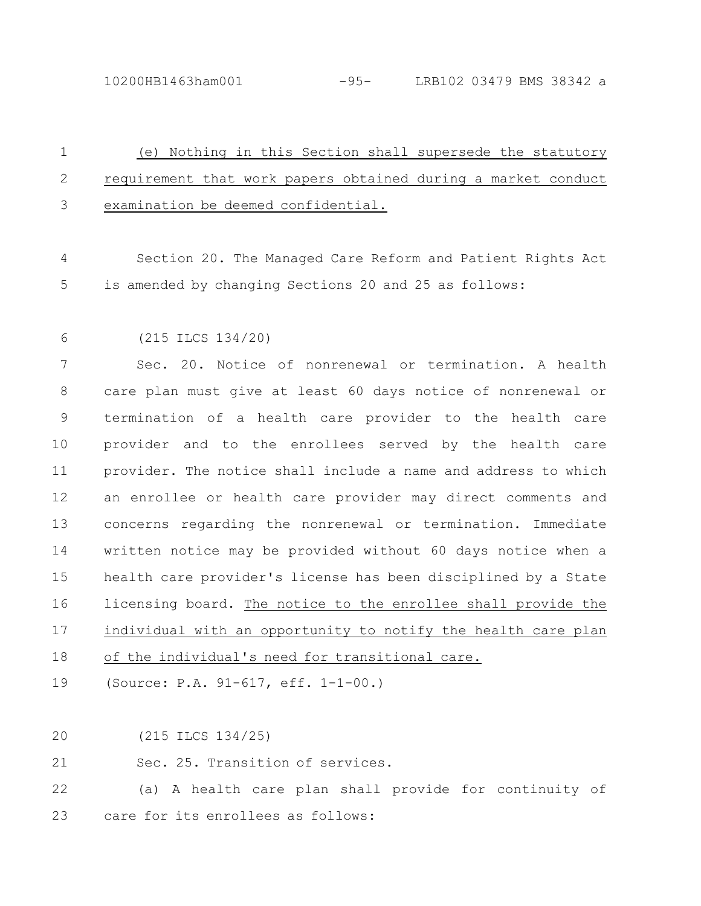10200HB1463ham001 -95- LRB102 03479 BMS 38342 a

## (e) Nothing in this Section shall supersede the statutory requirement that work papers obtained during a market conduct examination be deemed confidential. 1 2 3

Section 20. The Managed Care Reform and Patient Rights Act is amended by changing Sections 20 and 25 as follows: 4 5

(215 ILCS 134/20) 6

Sec. 20. Notice of nonrenewal or termination. A health care plan must give at least 60 days notice of nonrenewal or termination of a health care provider to the health care provider and to the enrollees served by the health care provider. The notice shall include a name and address to which an enrollee or health care provider may direct comments and concerns regarding the nonrenewal or termination. Immediate written notice may be provided without 60 days notice when a health care provider's license has been disciplined by a State licensing board. The notice to the enrollee shall provide the individual with an opportunity to notify the health care plan of the individual's need for transitional care. 7 8 9 10 11 12 13 14 15 16 17 18

(Source: P.A. 91-617, eff. 1-1-00.) 19

(215 ILCS 134/25) 20

Sec. 25. Transition of services. 21

(a) A health care plan shall provide for continuity of care for its enrollees as follows: 22 23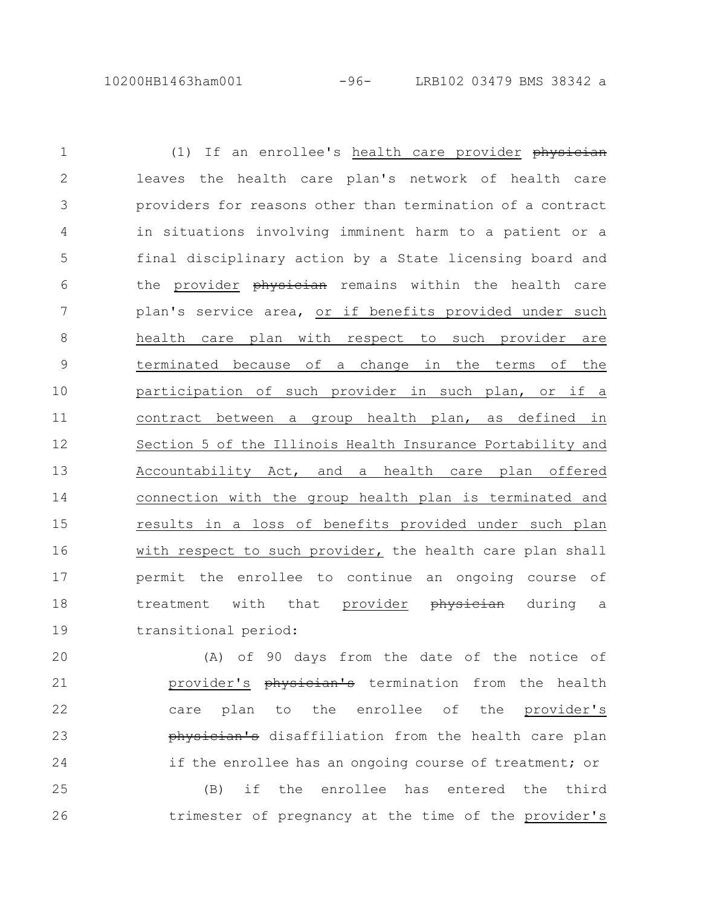10200HB1463ham001 -96- LRB102 03479 BMS 38342 a

(1) If an enrollee's health care provider physician leaves the health care plan's network of health care providers for reasons other than termination of a contract in situations involving imminent harm to a patient or a final disciplinary action by a State licensing board and the provider physician remains within the health care plan's service area, or if benefits provided under such health care plan with respect to such provider are terminated because of a change in the terms of the participation of such provider in such plan, or if a contract between a group health plan, as defined in Section 5 of the Illinois Health Insurance Portability and Accountability Act, and a health care plan offered connection with the group health plan is terminated and results in a loss of benefits provided under such plan with respect to such provider, the health care plan shall permit the enrollee to continue an ongoing course of treatment with that provider physician during a transitional period: 1 2 3 4 5 6 7 8 9 10 11 12 13 14 15 16 17 18 19

(A) of 90 days from the date of the notice of provider's physician's termination from the health care plan to the enrollee of the provider's physician's disaffiliation from the health care plan if the enrollee has an ongoing course of treatment; or 20 21 22 23 24

(B) if the enrollee has entered the third trimester of pregnancy at the time of the provider's 25 26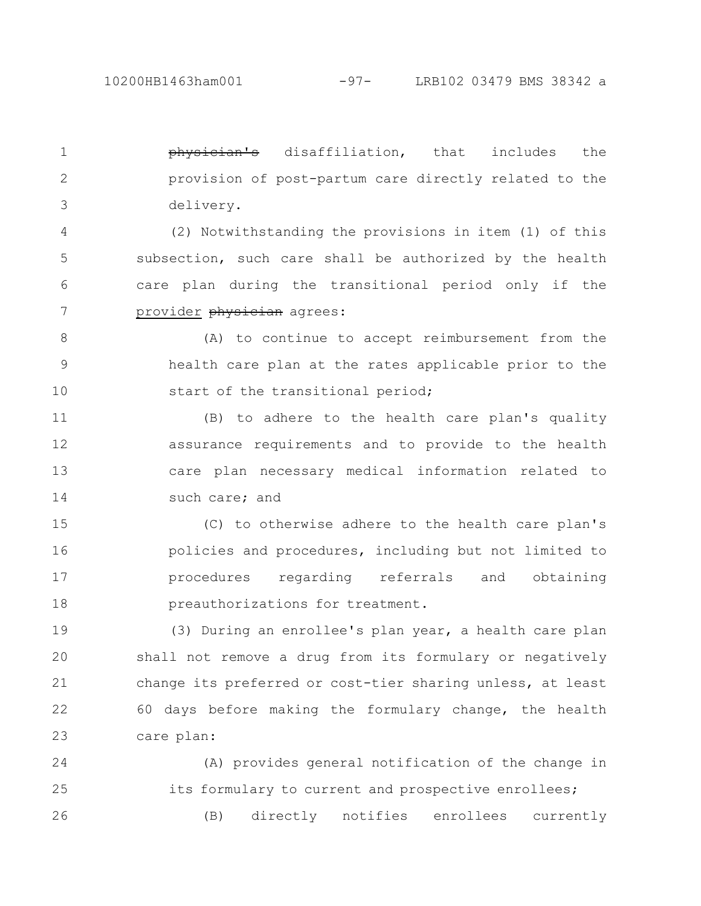physician's disaffiliation, that includes the provision of post-partum care directly related to the delivery. 1 2 3

(2) Notwithstanding the provisions in item (1) of this subsection, such care shall be authorized by the health care plan during the transitional period only if the provider physician agrees: 4 5 6 7

(A) to continue to accept reimbursement from the health care plan at the rates applicable prior to the start of the transitional period; 8 9 10

(B) to adhere to the health care plan's quality assurance requirements and to provide to the health care plan necessary medical information related to such care; and 11 12 13 14

(C) to otherwise adhere to the health care plan's policies and procedures, including but not limited to procedures regarding referrals and obtaining preauthorizations for treatment. 15 16 17 18

(3) During an enrollee's plan year, a health care plan shall not remove a drug from its formulary or negatively change its preferred or cost-tier sharing unless, at least 60 days before making the formulary change, the health care plan: 19 20 21 22 23

(A) provides general notification of the change in its formulary to current and prospective enrollees; (B) directly notifies enrollees currently 24 25 26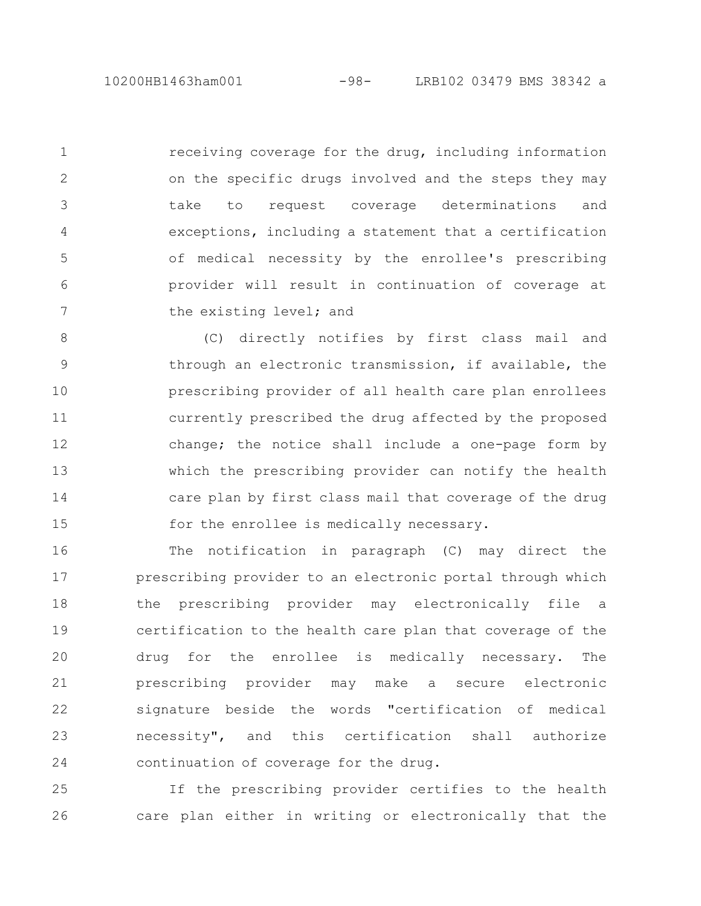10200HB1463ham001 -98- LRB102 03479 BMS 38342 a

receiving coverage for the drug, including information on the specific drugs involved and the steps they may take to request coverage determinations and exceptions, including a statement that a certification of medical necessity by the enrollee's prescribing provider will result in continuation of coverage at the existing level; and 1 2 3 4 5 6 7

(C) directly notifies by first class mail and through an electronic transmission, if available, the prescribing provider of all health care plan enrollees currently prescribed the drug affected by the proposed change; the notice shall include a one-page form by which the prescribing provider can notify the health care plan by first class mail that coverage of the drug for the enrollee is medically necessary. 8 9 10 11 12 13 14 15

The notification in paragraph (C) may direct the prescribing provider to an electronic portal through which the prescribing provider may electronically file a certification to the health care plan that coverage of the drug for the enrollee is medically necessary. The prescribing provider may make a secure electronic signature beside the words "certification of medical necessity", and this certification shall authorize continuation of coverage for the drug. 16 17 18 19 20 21 22 23 24

If the prescribing provider certifies to the health care plan either in writing or electronically that the 25 26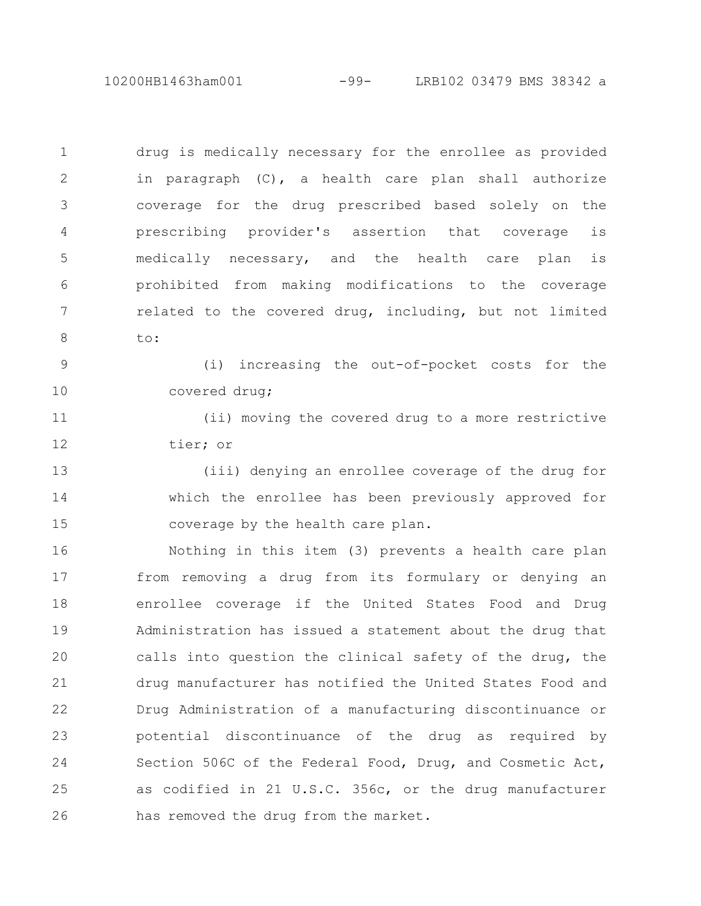10200HB1463ham001 -99- LRB102 03479 BMS 38342 a

drug is medically necessary for the enrollee as provided in paragraph (C), a health care plan shall authorize coverage for the drug prescribed based solely on the prescribing provider's assertion that coverage is medically necessary, and the health care plan is prohibited from making modifications to the coverage related to the covered drug, including, but not limited to: 1 2 3 4 5 6 7 8

(i) increasing the out-of-pocket costs for the covered drug; 9 10

(ii) moving the covered drug to a more restrictive tier; or 11 12

(iii) denying an enrollee coverage of the drug for which the enrollee has been previously approved for coverage by the health care plan. 13 14 15

Nothing in this item (3) prevents a health care plan from removing a drug from its formulary or denying an enrollee coverage if the United States Food and Drug Administration has issued a statement about the drug that calls into question the clinical safety of the drug, the drug manufacturer has notified the United States Food and Drug Administration of a manufacturing discontinuance or potential discontinuance of the drug as required by Section 506C of the Federal Food, Drug, and Cosmetic Act, as codified in 21 U.S.C. 356c, or the drug manufacturer has removed the drug from the market. 16 17 18 19 20 21 22 23 24 25 26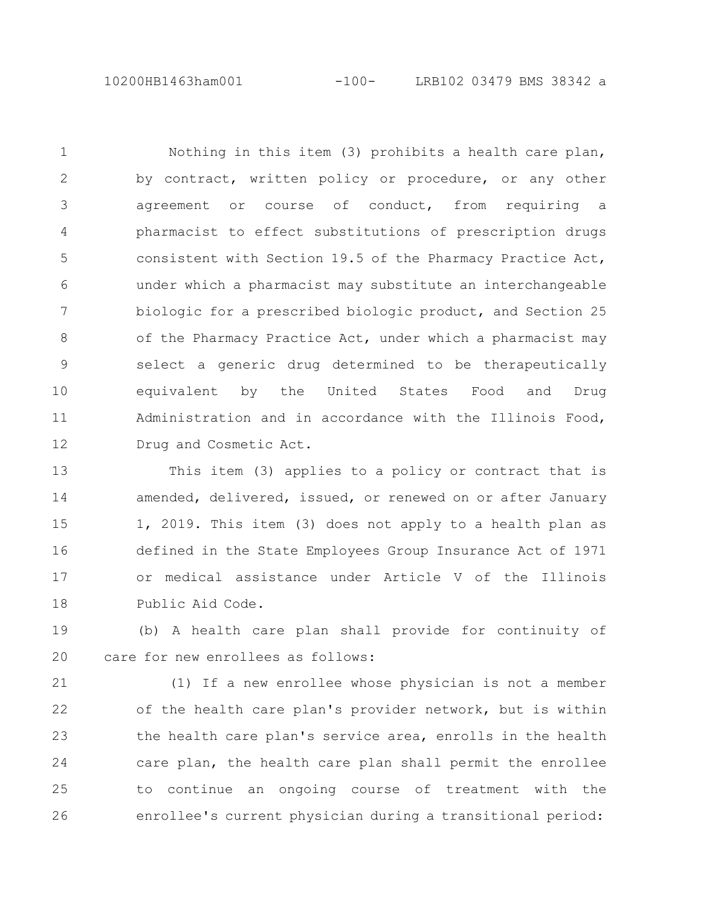10200HB1463ham001 -100- LRB102 03479 BMS 38342 a

Nothing in this item (3) prohibits a health care plan, by contract, written policy or procedure, or any other agreement or course of conduct, from requiring a pharmacist to effect substitutions of prescription drugs consistent with Section 19.5 of the Pharmacy Practice Act, under which a pharmacist may substitute an interchangeable biologic for a prescribed biologic product, and Section 25 of the Pharmacy Practice Act, under which a pharmacist may select a generic drug determined to be therapeutically equivalent by the United States Food and Drug Administration and in accordance with the Illinois Food, Drug and Cosmetic Act. 1 2 3 4 5 6 7 8 9 10 11 12

This item (3) applies to a policy or contract that is amended, delivered, issued, or renewed on or after January 1, 2019. This item (3) does not apply to a health plan as defined in the State Employees Group Insurance Act of 1971 or medical assistance under Article V of the Illinois Public Aid Code. 13 14 15 16 17 18

(b) A health care plan shall provide for continuity of care for new enrollees as follows: 19 20

(1) If a new enrollee whose physician is not a member of the health care plan's provider network, but is within the health care plan's service area, enrolls in the health care plan, the health care plan shall permit the enrollee to continue an ongoing course of treatment with the enrollee's current physician during a transitional period: 21 22 23 24 25 26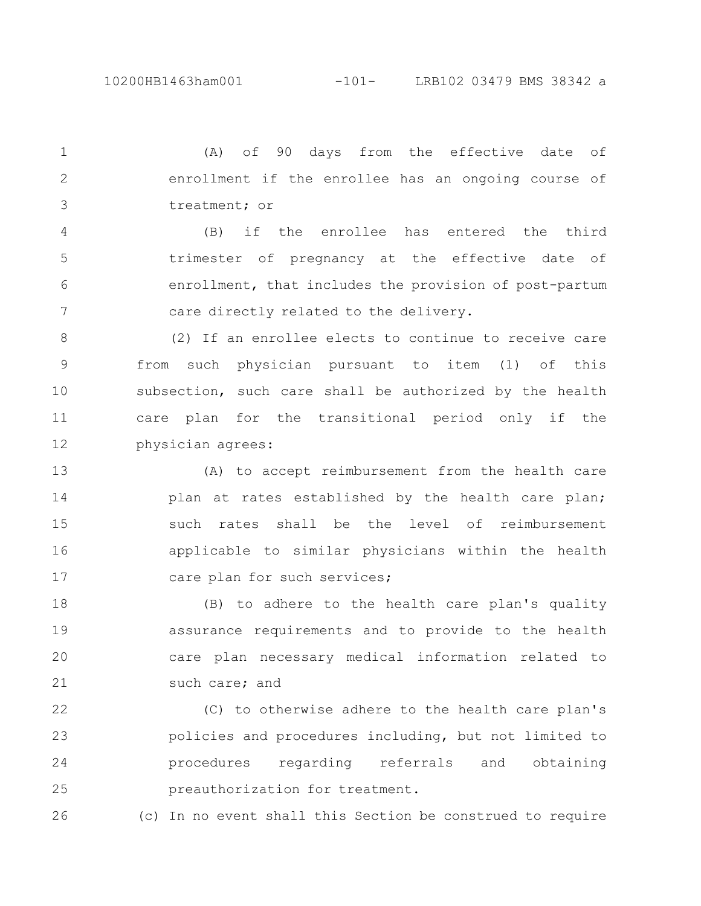(A) of 90 days from the effective date of enrollment if the enrollee has an ongoing course of treatment; or 1 2 3

(B) if the enrollee has entered the third trimester of pregnancy at the effective date of enrollment, that includes the provision of post-partum care directly related to the delivery. 4 5 6 7

(2) If an enrollee elects to continue to receive care from such physician pursuant to item (1) of this subsection, such care shall be authorized by the health care plan for the transitional period only if the physician agrees: 8 9 10 11 12

(A) to accept reimbursement from the health care plan at rates established by the health care plan; such rates shall be the level of reimbursement applicable to similar physicians within the health care plan for such services; 13 14 15 16 17

(B) to adhere to the health care plan's quality assurance requirements and to provide to the health care plan necessary medical information related to such care; and 18 19 20 21

(C) to otherwise adhere to the health care plan's policies and procedures including, but not limited to procedures regarding referrals and obtaining preauthorization for treatment. 22 23 24 25

26

(c) In no event shall this Section be construed to require